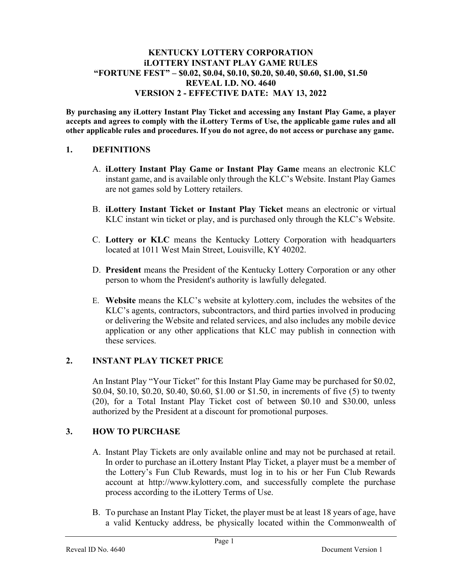### KENTUCKY LOTTERY CORPORATION iLOTTERY INSTANT PLAY GAME RULES "FORTUNE FEST" – \$0.02, \$0.04, \$0.10, \$0.20, \$0.40, \$0.60, \$1.00, \$1.50 REVEAL I.D. NO. 4640 VERSION 2 - EFFECTIVE DATE: MAY 13, 2022

By purchasing any iLottery Instant Play Ticket and accessing any Instant Play Game, a player accepts and agrees to comply with the iLottery Terms of Use, the applicable game rules and all other applicable rules and procedures. If you do not agree, do not access or purchase any game.

## 1. DEFINITIONS

- A. iLottery Instant Play Game or Instant Play Game means an electronic KLC instant game, and is available only through the KLC's Website. Instant Play Games are not games sold by Lottery retailers.
- B. iLottery Instant Ticket or Instant Play Ticket means an electronic or virtual KLC instant win ticket or play, and is purchased only through the KLC's Website.
- C. Lottery or KLC means the Kentucky Lottery Corporation with headquarters located at 1011 West Main Street, Louisville, KY 40202.
- D. President means the President of the Kentucky Lottery Corporation or any other person to whom the President's authority is lawfully delegated.
- E. Website means the KLC's website at kylottery.com, includes the websites of the KLC's agents, contractors, subcontractors, and third parties involved in producing or delivering the Website and related services, and also includes any mobile device application or any other applications that KLC may publish in connection with these services.

## 2. INSTANT PLAY TICKET PRICE

An Instant Play "Your Ticket" for this Instant Play Game may be purchased for \$0.02, \$0.04, \$0.10, \$0.20, \$0.40, \$0.60, \$1.00 or \$1.50, in increments of five (5) to twenty (20), for a Total Instant Play Ticket cost of between \$0.10 and \$30.00, unless authorized by the President at a discount for promotional purposes.

## 3. HOW TO PURCHASE

- A. Instant Play Tickets are only available online and may not be purchased at retail. In order to purchase an iLottery Instant Play Ticket, a player must be a member of the Lottery's Fun Club Rewards, must log in to his or her Fun Club Rewards account at http://www.kylottery.com, and successfully complete the purchase process according to the iLottery Terms of Use.
- B. To purchase an Instant Play Ticket, the player must be at least 18 years of age, have a valid Kentucky address, be physically located within the Commonwealth of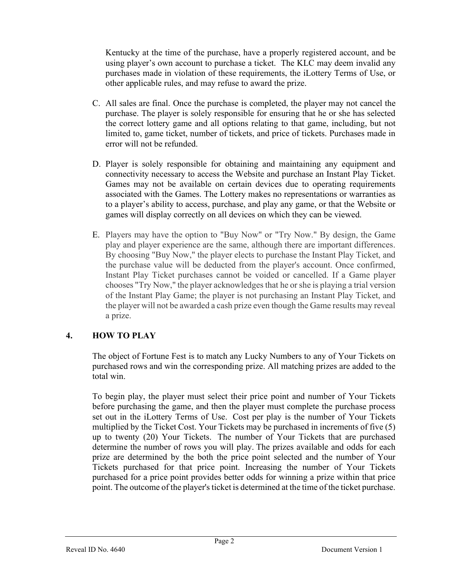Kentucky at the time of the purchase, have a properly registered account, and be using player's own account to purchase a ticket. The KLC may deem invalid any purchases made in violation of these requirements, the iLottery Terms of Use, or other applicable rules, and may refuse to award the prize.

- C. All sales are final. Once the purchase is completed, the player may not cancel the purchase. The player is solely responsible for ensuring that he or she has selected the correct lottery game and all options relating to that game, including, but not limited to, game ticket, number of tickets, and price of tickets. Purchases made in error will not be refunded.
- D. Player is solely responsible for obtaining and maintaining any equipment and connectivity necessary to access the Website and purchase an Instant Play Ticket. Games may not be available on certain devices due to operating requirements associated with the Games. The Lottery makes no representations or warranties as to a player's ability to access, purchase, and play any game, or that the Website or games will display correctly on all devices on which they can be viewed.
- E. Players may have the option to "Buy Now" or "Try Now." By design, the Game play and player experience are the same, although there are important differences. By choosing "Buy Now," the player elects to purchase the Instant Play Ticket, and the purchase value will be deducted from the player's account. Once confirmed, Instant Play Ticket purchases cannot be voided or cancelled. If a Game player chooses "Try Now," the player acknowledges that he or she is playing a trial version of the Instant Play Game; the player is not purchasing an Instant Play Ticket, and the player will not be awarded a cash prize even though the Game results may reveal a prize.

## 4. HOW TO PLAY

The object of Fortune Fest is to match any Lucky Numbers to any of Your Tickets on purchased rows and win the corresponding prize. All matching prizes are added to the total win.

To begin play, the player must select their price point and number of Your Tickets before purchasing the game, and then the player must complete the purchase process set out in the iLottery Terms of Use. Cost per play is the number of Your Tickets multiplied by the Ticket Cost. Your Tickets may be purchased in increments of five (5) up to twenty (20) Your Tickets. The number of Your Tickets that are purchased determine the number of rows you will play. The prizes available and odds for each prize are determined by the both the price point selected and the number of Your Tickets purchased for that price point. Increasing the number of Your Tickets purchased for a price point provides better odds for winning a prize within that price point. The outcome of the player's ticket is determined at the time of the ticket purchase.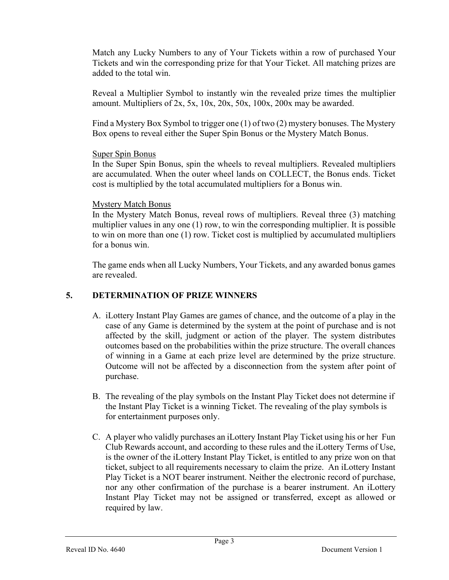Match any Lucky Numbers to any of Your Tickets within a row of purchased Your Tickets and win the corresponding prize for that Your Ticket. All matching prizes are added to the total win.

Reveal a Multiplier Symbol to instantly win the revealed prize times the multiplier amount. Multipliers of 2x, 5x, 10x, 20x, 50x, 100x, 200x may be awarded.

Find a Mystery Box Symbol to trigger one (1) of two (2) mystery bonuses. The Mystery Box opens to reveal either the Super Spin Bonus or the Mystery Match Bonus.

### Super Spin Bonus

In the Super Spin Bonus, spin the wheels to reveal multipliers. Revealed multipliers are accumulated. When the outer wheel lands on COLLECT, the Bonus ends. Ticket cost is multiplied by the total accumulated multipliers for a Bonus win.

### Mystery Match Bonus

In the Mystery Match Bonus, reveal rows of multipliers. Reveal three (3) matching multiplier values in any one (1) row, to win the corresponding multiplier. It is possible to win on more than one (1) row. Ticket cost is multiplied by accumulated multipliers for a bonus win.

The game ends when all Lucky Numbers, Your Tickets, and any awarded bonus games are revealed.

## 5. DETERMINATION OF PRIZE WINNERS

- A. iLottery Instant Play Games are games of chance, and the outcome of a play in the case of any Game is determined by the system at the point of purchase and is not affected by the skill, judgment or action of the player. The system distributes outcomes based on the probabilities within the prize structure. The overall chances of winning in a Game at each prize level are determined by the prize structure. Outcome will not be affected by a disconnection from the system after point of purchase.
- B. The revealing of the play symbols on the Instant Play Ticket does not determine if the Instant Play Ticket is a winning Ticket. The revealing of the play symbols is for entertainment purposes only.
- C. A player who validly purchases an iLottery Instant Play Ticket using his or her Fun Club Rewards account, and according to these rules and the iLottery Terms of Use, is the owner of the iLottery Instant Play Ticket, is entitled to any prize won on that ticket, subject to all requirements necessary to claim the prize. An iLottery Instant Play Ticket is a NOT bearer instrument. Neither the electronic record of purchase, nor any other confirmation of the purchase is a bearer instrument. An iLottery Instant Play Ticket may not be assigned or transferred, except as allowed or required by law.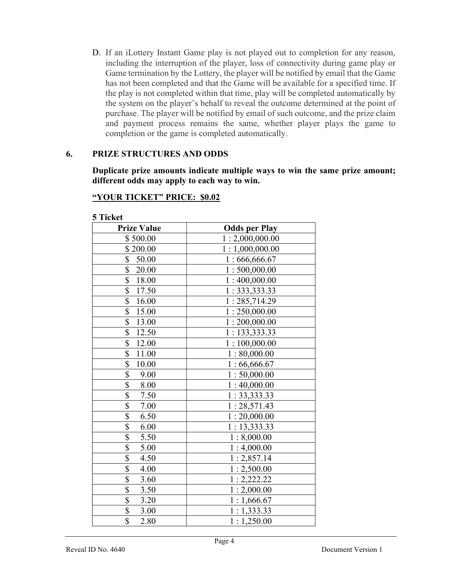D. If an iLottery Instant Game play is not played out to completion for any reason, including the interruption of the player, loss of connectivity during game play or Game termination by the Lottery, the player will be notified by email that the Game has not been completed and that the Game will be available for a specified time. If the play is not completed within that time, play will be completed automatically by the system on the player's behalf to reveal the outcome determined at the point of purchase. The player will be notified by email of such outcome, and the prize claim and payment process remains the same, whether player plays the game to completion or the game is completed automatically.

### 6. PRIZE STRUCTURES AND ODDS

Duplicate prize amounts indicate multiple ways to win the same prize amount; different odds may apply to each way to win.

### "YOUR TICKET" PRICE: \$0.02

| <b>J</b> Lickel<br><b>Prize Value</b> | <b>Odds per Play</b> |
|---------------------------------------|----------------------|
| \$500.00                              | 1:2,000,000.00       |
| \$200.00                              | 1:1,000,000.00       |
| \$<br>50.00                           | 1:666,666.67         |
| \$<br>20.00                           | 1:500,000.00         |
| $\overline{\$}$<br>18.00              | 1:400,000.00         |
| \$<br>17.50                           | 1: 333, 333.33       |
| \$<br>16.00                           | 1:285,714.29         |
| $\overline{\mathbb{S}}$<br>15.00      | 1:250,000.00         |
| \$<br>13.00                           | 1:200,000.00         |
| \$<br>12.50                           | 1:133,333.33         |
| $\overline{\$}$<br>12.00              | 1:100,000.00         |
| $\overline{\$}$<br>11.00              | 1:80,000.00          |
| $\overline{\$}$<br>10.00              | 1:66,666.67          |
| $\overline{\$}$<br>9.00               | 1:50,000.00          |
| \$<br>8.00                            | 1:40,000.00          |
| \$<br>7.50                            | 1:33,333.33          |
| \$<br>7.00                            | 1:28,571.43          |
| $\overline{\$}$<br>6.50               | 1:20,000.00          |
| $\overline{\$}$<br>6.00               | 1: 13,333.33         |
| \$<br>5.50                            | 1:8,000.00           |
| $\overline{\$}$<br>5.00               | 1:4,000.00           |
| $\overline{\$}$<br>4.50               | 1:2,857.14           |
| $rac{1}{3}$<br>4.00                   | 1:2,500.00           |
| 3.60                                  | 1:2,222.22           |
| $\overline{\$}$<br>3.50               | 1:2,000.00           |
| $\overline{\$}$<br>3.20               | 1:1,666.67           |
| $\overline{\$}$<br>3.00               | 1:1,333.33           |
| \$<br>2.80                            | 1:1,250.00           |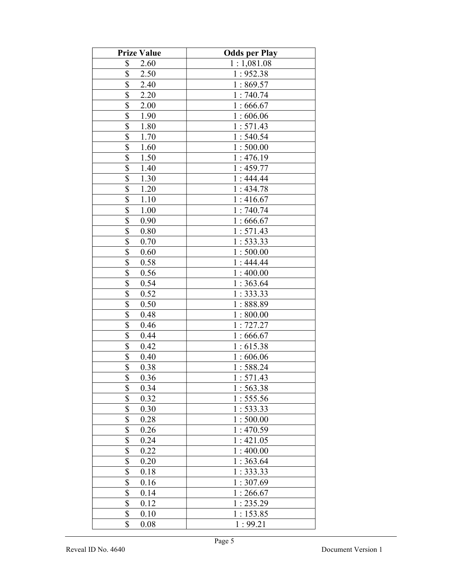| <b>Prize Value</b>               | <b>Odds per Play</b> |
|----------------------------------|----------------------|
| \$<br>2.60                       | 1:1,081.08           |
| \$<br>2.50                       | 1:952.38             |
| \$<br>2.40                       | 1:869.57             |
| \$<br>2.20                       | 1:740.74             |
| \$<br>2.00                       | 1:666.67             |
| \$<br>1.90                       | 1:606.06             |
| \$<br>1.80                       | 1:571.43             |
| \$<br>1.70                       | 1:540.54             |
| \$<br>1.60                       | 1:500.00             |
| \$<br>1.50                       | 1:476.19             |
| $\overline{\$}$<br>1.40          | 1:459.77             |
| \$<br>1.30                       | 1:444.44             |
| $\overline{\mathbb{S}}$<br>1.20  | 1:434.78             |
| \$<br>1.10                       | 1:416.67             |
| $\overline{\mathbb{S}}$<br>1.00  | 1:740.74             |
| \$<br>0.90                       | 1:666.67             |
| \$<br>0.80                       | 1:571.43             |
| \$<br>0.70                       | 1:533.33             |
| \$<br>0.60                       | 1:500.00             |
| \$<br>0.58                       | 1:444.44             |
| \$<br>0.56                       | 1:400.00             |
| \$<br>0.54                       | 1:363.64             |
| $\overline{\mathcal{S}}$<br>0.52 | 1:333.33             |
| $\overline{\$}$<br>0.50          | 1:888.89             |
| \$<br>0.48                       | 1:800.00             |
| $\overline{\$}$<br>0.46          | 1:727.27             |
| $\overline{\mathbb{S}}$<br>0.44  | 1:666.67             |
| $\overline{\mathbb{S}}$<br>0.42  | 1:615.38             |
| $\overline{\$}$<br>0.40          | 1:606.06             |
| $\overline{\$}$<br>0.38          | 1:588.24             |
| \$<br>0.36                       | 1:571.43             |
| \$<br>0.34                       | 1:563.38             |
| \$<br>0.32                       | 1:555.56             |
| \$<br>0.30                       | 1: 533.33            |
| \$<br>0.28                       | 1:500.00             |
| \$<br>0.26                       | 1:470.59             |
| \$<br>0.24                       | 1:421.05             |
| \$<br>0.22                       | 1:400.00             |
| \$<br>0.20                       | 1:363.64             |
| \$<br>0.18                       | 1:333.33             |
| \$<br>0.16                       | 1:307.69             |
| $\overline{\$}$<br>0.14          | 1:266.67             |
| \$<br>0.12                       | 1:235.29             |
| \$<br>0.10                       | 1:153.85             |
| \$<br>0.08                       | 1:99.21              |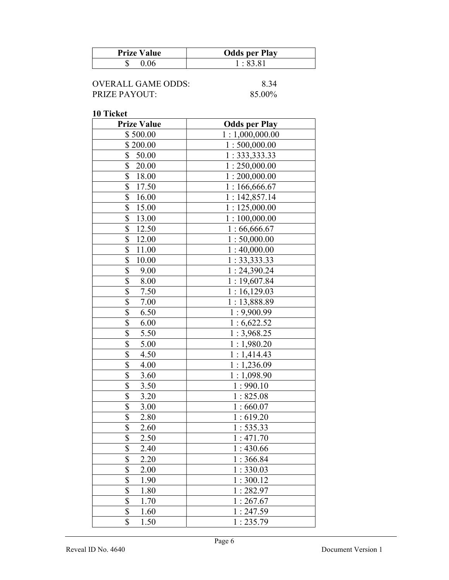| <b>Prize Value</b> | <b>Odds per Play</b> |
|--------------------|----------------------|
|                    | .8381                |

| OVERALL GAME ODDS: | 8.34   |
|--------------------|--------|
| PRIZE PAYOUT:      | 85.00% |

| <b>Prize Value</b>               | <b>Odds per Play</b> |
|----------------------------------|----------------------|
| \$500.00                         | 1:1,000,000.00       |
| \$200.00                         | 1:500,000.00         |
| \$<br>50.00                      | 1: 333, 333.33       |
| \$<br>20.00                      | 1:250,000.00         |
| \$<br>18.00                      | 1:200,000.00         |
| \$<br>17.50                      | 1:166,666.67         |
| \$<br>16.00                      | 1:142,857.14         |
| \$<br>15.00                      | 1:125,000.00         |
| \$<br>13.00                      | 1:100,000.00         |
| \$<br>12.50                      | 1:66,666.67          |
| \$<br>12.00                      | 1:50,000.00          |
| \$<br>11.00                      | 1:40,000.00          |
| \$<br>10.00                      | 1: 33, 333.33        |
| $\overline{\$}$<br>9.00          | 1:24,390.24          |
| \$<br>8.00                       | 1:19,607.84          |
| $\overline{\mathbb{S}}$<br>7.50  | 1:16,129.03          |
| $\overline{\$}$<br>$7.00\,$      | 1:13,888.89          |
| $\overline{\$}$<br>6.50          | 1:9,900.99           |
| $\overline{\mathcal{S}}$<br>6.00 | 1:6,622.52           |
| \$<br>5.50                       | 1:3,968.25           |
| $\overline{\$}$<br>5.00          | 1:1,980.20           |
| \$<br>4.50                       | 1:1,414.43           |
| \$<br>4.00                       | 1:1,236.09           |
| \$<br>3.60                       | 1:1,098.90           |
| \$<br>3.50                       | 1:990.10             |
| \$<br>3.20                       | 1:825.08             |
| \$<br>3.00                       | 1:660.07             |
| \$<br>2.80                       | 1:619.20             |
| $\overline{\mathbb{S}}$<br>2.60  | 1:535.33             |
| $\overline{\$}$<br>2.50          | 1:471.70             |
| \$<br>2.40                       | 1:430.66             |
| \$<br>2.20                       | 1:366.84             |
| \$<br>2.00                       | 1:330.03             |
| $\overline{\$}$<br>1.90          | 1:300.12             |
| $\overline{\$}$<br>1.80          | 1:282.97             |
| \$<br>1.70                       | 1:267.67             |
| \$<br>1.60                       | 1:247.59             |
| \$<br>1.50                       | 1:235.79             |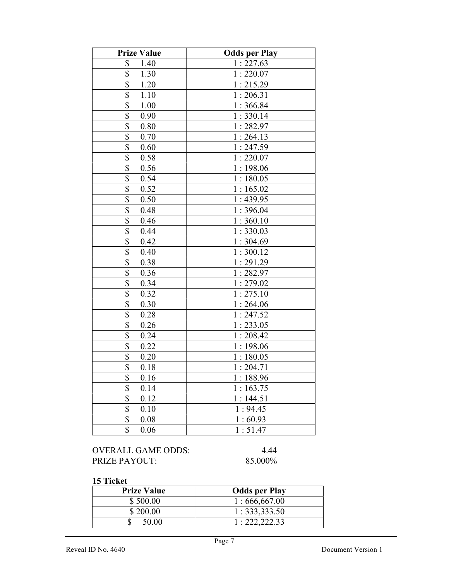| <b>Prize Value</b>               | <b>Odds per Play</b> |
|----------------------------------|----------------------|
| \$<br>1.40                       | 1:227.63             |
| \$<br>1.30                       | 1:220.07             |
| \$<br>1.20                       | 1:215.29             |
| $\overline{\mathbb{S}}$<br>1.10  | 1:206.31             |
| \$<br>1.00                       | 1:366.84             |
| \$<br>0.90                       | 1:330.14             |
| \$<br>0.80                       | 1:282.97             |
| \$<br>0.70                       | 1:264.13             |
| \$<br>0.60                       | 1:247.59             |
| $\overline{\$}$<br>0.58          | 1:220.07             |
| $\overline{\$}$<br>0.56          | 1:198.06             |
| \$<br>0.54                       | 1:180.05             |
| $\overline{\$}$<br>0.52          | 1:165.02             |
| $\overline{\$}$<br>0.50          | 1:439.95             |
| $\overline{\mathbb{S}}$<br>0.48  | 1:396.04             |
| $\overline{\$}$<br>0.46          | 1:360.10             |
| $\overline{\mathcal{S}}$<br>0.44 | 1:330.03             |
| \$<br>0.42                       | 1:304.69             |
| $\overline{\$}$<br>0.40          | 1:300.12             |
| \$<br>0.38                       | 1:291.29             |
| $\overline{\$}$<br>0.36          | 1:282.97             |
| \$<br>0.34                       | 1:279.02             |
| $\overline{\$}$<br>0.32          | 1:275.10             |
| $\overline{\$}$<br>0.30          | 1:264.06             |
| $\overline{\mathbb{S}}$<br>0.28  | 1:247.52             |
| $\overline{\$}$<br>0.26          | 1:233.05             |
| $\overline{\$}$<br>0.24          | 1:208.42             |
| $\overline{\mathbb{S}}$<br>0.22  | 1:198.06             |
| \$<br>0.20                       | 1:180.05             |
| $\overline{\$}$<br>0.18          | 1:204.71             |
| \$<br>0.16                       | 1:188.96             |
| $\overline{\$}$<br>0.14          | 1:163.75             |
| \$<br>0.12                       | 1:144.51             |
| $\overline{\$}$<br>0.10          | 1:94.45              |
| \$<br>0.08                       | 1:60.93              |
| \$<br>0.06                       | 1:51.47              |

| OVERALL GAME ODDS:   | 4.44    |
|----------------------|---------|
| <b>PRIZE PAYOUT:</b> | 85.000% |

| <b>Prize Value</b> | <b>Odds per Play</b> |
|--------------------|----------------------|
| \$500.00           | 1:666,667.00         |
| \$200.00           | 1: 333, 333.50       |
| 50.00              | 1: 222, 222.33       |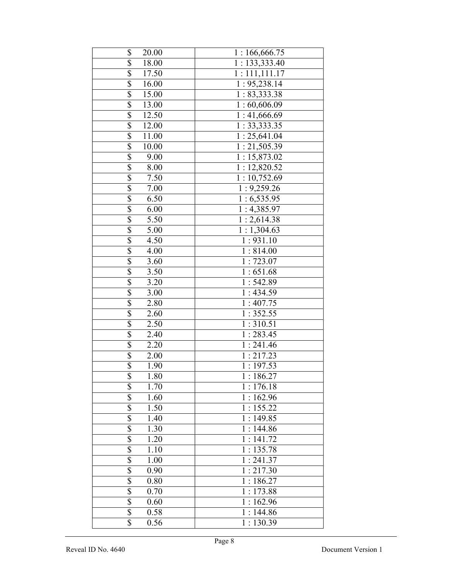| \$<br>20.00              | 1:166,666.75            |
|--------------------------|-------------------------|
| \$<br><b>18.00</b>       | 1: 133,333.40           |
| \$<br>17.50              | 1:111,111.17            |
| $\overline{\$}$<br>16.00 | 1: 95,238.14            |
| \$<br>15.00              | 1: 83,333.38            |
| \$<br>13.00              | 1:60,606.09             |
| \$<br>12.50              | 1:41,666.69             |
| \$<br>12.00              | 1: 33,333.35            |
| \$<br>11.00              | 1:25,641.04             |
| \$<br>10.00              | 1:21,505.39             |
| \$<br>9.00               | 1:15,873.02             |
| \$<br>8.00               | 1:12,820.52             |
| \$<br>7.50               | 1:10,752.69             |
| \$<br>7.00               | 1:9,259.26              |
| \$<br>6.50               | 1:6,535.95              |
| \$<br>6.00               | 1:4,385.97              |
| \$<br>5.50               | 1:2,614.38              |
| \$<br>5.00               | 1:1,304.63              |
| \$<br>4.50               | 1:931.10                |
| \$<br>4.00               | 1:814.00                |
| $\overline{\$}$<br>3.60  | 1:723.07                |
| $\overline{\$}$<br>3.50  | 1:651.68                |
| \$<br>3.20               | 1:542.89                |
| $\overline{\$}$<br>3.00  | 1:434.59                |
| $\overline{\$}$<br>2.80  | $1:407.\overline{75}$   |
| $\overline{\$}$<br>2.60  | 1:352.55                |
| $\overline{\$}$<br>2.50  | 1:310.51                |
| $\overline{\$}$<br>2.40  | 1:283.45                |
| $\overline{\$}$<br>2.20  | 1:241.46                |
| $\overline{\$}$<br>2.00  | 1:217.23                |
| \$<br>1.90               | 1:197.53                |
| \$<br>1.80               | 1:186.27                |
| \$<br>1.70               | 1:176.18                |
| $\overline{\$}$<br>1.60  | 1:162.96                |
| \$<br>1.50               | 1:155.22                |
| \$<br>1.40               | 1:149.85                |
| \$<br>1.30               | 1:144.86                |
| $\overline{\$}$<br>1.20  | $\overline{1}$ : 141.72 |
| \$<br>1.10               | 1:135.78                |
| \$<br>1.00               | 1:241.37                |
| \$<br>$\overline{0.90}$  | 1:217.30                |
| \$<br>0.80               | 1:186.27                |
| \$<br>0.70               | 1:173.88                |
| \$<br>0.60               | 1:162.96                |
| \$<br>0.58               | $\overline{1:}144.86$   |
| $\overline{\$}$<br>0.56  | 1:130.39                |
|                          |                         |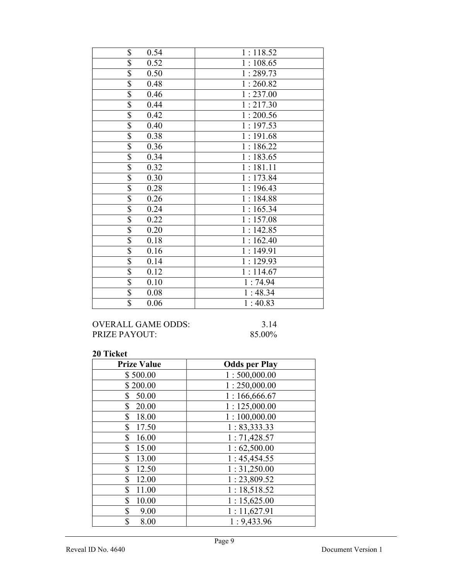| \$<br>0.54                       | 1:118.52 |
|----------------------------------|----------|
| \$<br>0.52                       | 1:108.65 |
| \$<br>0.50                       | 1:289.73 |
| \$<br>0.48                       | 1:260.82 |
| \$<br>0.46                       | 1:237.00 |
| \$<br>0.44                       | 1:217.30 |
| $\overline{\$}$<br>0.42          | 1:200.56 |
| $\overline{\$}$<br>0.40          | 1:197.53 |
| $\overline{\$}$<br>0.38          | 1:191.68 |
| $\overline{\mathbb{S}}$<br>0.36  | 1:186.22 |
| $\overline{\$}$<br>0.34          | 1:183.65 |
| $\overline{\$}$<br>0.32          | 1:181.11 |
| $\overline{\$}$<br>0.30          | 1:173.84 |
| $\overline{\$}$<br>0.28          | 1:196.43 |
| $\overline{\$}$<br>0.26          | 1:184.88 |
| $\overline{\mathcal{S}}$<br>0.24 | 1:165.34 |
| $\overline{\$}$<br>0.22          | 1:157.08 |
| $\overline{\$}$<br>0.20          | 1:142.85 |
| $\overline{\$}$<br>0.18          | 1:162.40 |
| \$<br>0.16                       | 1:149.91 |
| $\overline{\$}$<br>0.14          | 1:129.93 |
| $\overline{\$}$<br>0.12          | 1:114.67 |
| $\overline{\$}$<br>0.10          | 1:74.94  |
| $\overline{\mathcal{S}}$<br>0.08 | 1:48.34  |
| $\overline{\$}$<br>0.06          | 1:40.83  |

## OVERALL GAME ODDS: 3.14<br>PRIZE PAYOUT: 85.00% PRIZE PAYOUT:

| <b>Prize Value</b>    | <b>Odds per Play</b> |
|-----------------------|----------------------|
| \$500.00              | 1:500,000.00         |
| \$200.00              | 1:250,000.00         |
| 50.00<br>\$           | 1:166,666.67         |
| \$<br>20.00           | 1:125,000.00         |
| $\mathbb{S}$<br>18.00 | 1:100,000.00         |
| \$<br>17.50           | 1: 83,333.33         |
| \$<br>16.00           | 1:71,428.57          |
| 15.00<br>\$           | 1:62,500.00          |
| $\mathbb{S}$<br>13.00 | 1:45,454.55          |
| \$<br>12.50           | 1:31,250.00          |
| \$<br>12.00           | 1:23,809.52          |
| \$<br>11.00           | 1:18,518.52          |
| \$<br>10.00           | 1:15,625.00          |
| \$<br>9.00            | 1:11,627.91          |
| \$<br>8.00            | 1:9,433.96           |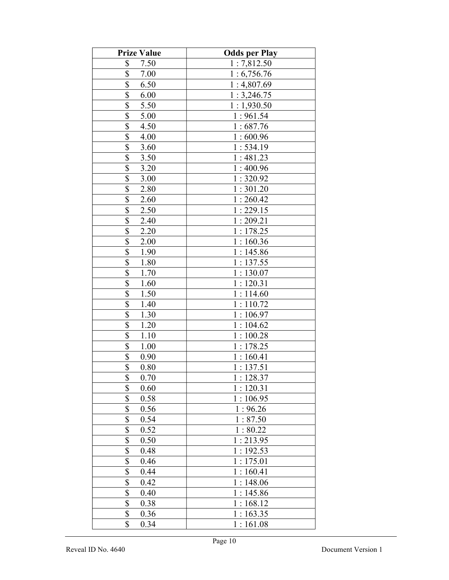| <b>Prize Value</b>                | <b>Odds per Play</b> |
|-----------------------------------|----------------------|
| \$<br>7.50                        | 1:7,812.50           |
| \$<br>7.00                        | 1:6,756.76           |
| \$<br>6.50                        | 1:4,807.69           |
| \$<br>6.00                        | 1:3,246.75           |
| \$<br>5.50                        | 1:1,930.50           |
| \$<br>5.00                        | 1:961.54             |
| \$<br>4.50                        | 1:687.76             |
| \$<br>4.00                        | 1:600.96             |
| \$<br>3.60                        | 1:534.19             |
| $\overline{\mathcal{S}}$<br>3.50  | 1:481.23             |
| \$<br>3.20                        | 1:400.96             |
| \$<br>3.00                        | 1:320.92             |
| $\overline{\$}$<br>2.80           | 1:301.20             |
| \$<br>2.60                        | 1:260.42             |
| \$<br>2.50                        | 1:229.15             |
| \$<br>2.40                        | 1:209.21             |
| \$<br>2.20                        | 1:178.25             |
| \$<br>2.00                        | 1:160.36             |
| \$<br>1.90                        | 1:145.86             |
| \$<br>1.80                        | 1:137.55             |
| \$<br>1.70                        | 1:130.07             |
| \$<br>1.60                        | 1:120.31             |
| $\overline{\$}$<br>1.50           | 1:114.60             |
| $\overline{\$}$<br>1.40           | 1:110.72             |
| \$<br>1.30                        | 1:106.97             |
| $\overline{\$}$<br>1.20           | 1:104.62             |
| $\overline{\$}$<br>1.10           | 1:100.28             |
| $\boldsymbol{\mathsf{S}}$<br>1.00 | 1:178.25             |
| \$<br>0.90                        | 1:160.41             |
| \$<br>0.80                        | 1:137.51             |
| \$<br>0.70                        | 1:128.37             |
| \$<br>0.60                        | 1:120.31             |
| \$<br>0.58                        | 1:106.95             |
| \$<br>0.56                        | 1:96.26              |
| \$<br>0.54                        | 1:87.50              |
| \$<br>0.52                        | 1:80.22              |
| \$<br>0.50                        | 1:213.95             |
| \$<br>0.48                        | 1:192.53             |
| \$<br>0.46                        | 1:175.01             |
| $\overline{\$}$<br>0.44           | 1:160.41             |
| \$<br>0.42                        | 1:148.06             |
| \$<br>0.40                        | 1:145.86             |
| $\overline{\$}$<br>0.38           | 1:168.12             |
| \$<br>0.36                        | 1:163.35             |
| \$<br>0.34                        | 1:161.08             |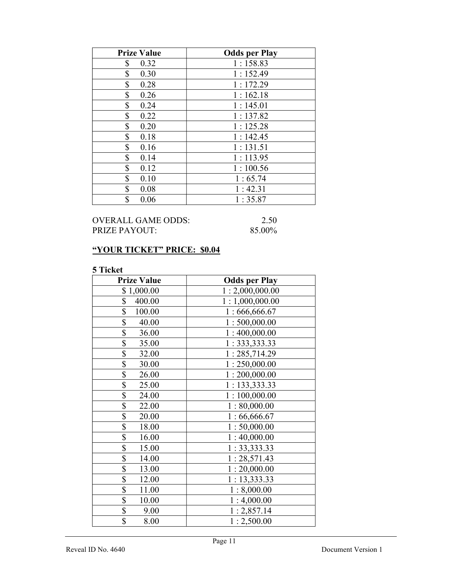| <b>Prize Value</b> | <b>Odds per Play</b> |
|--------------------|----------------------|
| \$<br>0.32         | 1:158.83             |
| \$<br>0.30         | 1:152.49             |
| \$<br>0.28         | 1:172.29             |
| \$<br>0.26         | 1:162.18             |
| \$<br>0.24         | 1:145.01             |
| \$<br>0.22         | 1:137.82             |
| \$<br>0.20         | 1:125.28             |
| \$<br>0.18         | 1:142.45             |
| \$<br>0.16         | 1:131.51             |
| \$<br>0.14         | 1:113.95             |
| \$<br>0.12         | 1:100.56             |
| \$<br>0.10         | 1:65.74              |
| \$<br>0.08         | 1:42.31              |
| \$<br>0.06         | 1:35.87              |

## OVERALL GAME ODDS: 2.50<br>PRIZE PAYOUT: 85.00% PRIZE PAYOUT:

## "YOUR TICKET" PRICE: \$0.04

| <b>Prize Value</b>       | <b>Odds per Play</b> |
|--------------------------|----------------------|
| \$1,000.00               | 1:2,000,000.00       |
| \$<br>400.00             | 1:1,000,000.00       |
| \$<br>100.00             | 1:666,666.67         |
| \$<br>40.00              | 1:500,000.00         |
| $\overline{\$}$<br>36.00 | 1:400,000.00         |
| \$<br>35.00              | 1:333,333.33         |
| \$<br>32.00              | 1:285,714.29         |
| \$<br>30.00              | 1:250,000.00         |
| \$<br>26.00              | 1:200,000.00         |
| \$<br>25.00              | 1: 133, 333.33       |
| $\overline{\$}$<br>24.00 | 1:100,000.00         |
| $\overline{\$}$<br>22.00 | 1:80,000.00          |
| \$<br>20.00              | 1:66,666.67          |
| \$<br>18.00              | 1:50,000.00          |
| \$<br>16.00              | 1:40,000.00          |
| \$<br>15.00              | 1: 33,333.33         |
| $\overline{\$}$<br>14.00 | 1:28,571.43          |
| \$<br>13.00              | 1:20,000.00          |
| \$<br>12.00              | 1:13,333.33          |
| \$<br>11.00              | 1:8,000.00           |
| \$<br>10.00              | 1:4,000.00           |
| \$<br>9.00               | 1:2,857.14           |
| \$<br>8.00               | 1:2,500.00           |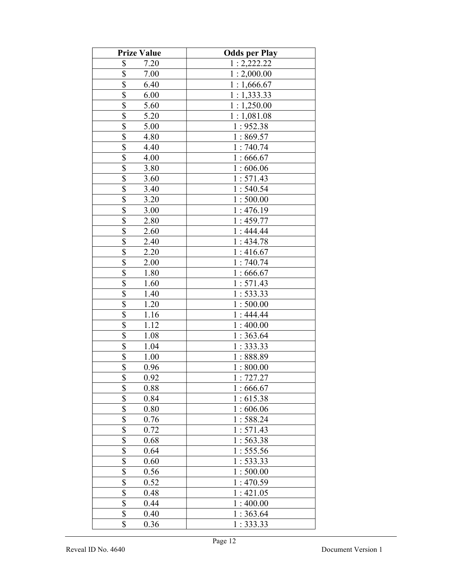| <b>Prize Value</b>              | <b>Odds per Play</b> |
|---------------------------------|----------------------|
| \$<br>7.20                      | 1:2,222.22           |
| \$<br>7.00                      | 1:2,000.00           |
| \$<br>6.40                      | 1:1,666.67           |
| \$<br>6.00                      | 1:1,333.33           |
| \$<br>5.60                      | 1:1,250.00           |
| \$<br>5.20                      | 1:1,081.08           |
| \$<br>5.00                      | 1:952.38             |
| \$<br>4.80                      | 1:869.57             |
| \$<br>4.40                      | 1:740.74             |
| \$<br>4.00                      | 1:666.67             |
| $\overline{\$}$<br>3.80         | 1:606.06             |
| $\overline{\mathbb{S}}$<br>3.60 | 1:571.43             |
| \$<br>3.40                      | 1:540.54             |
| \$<br>3.20                      | 1:500.00             |
| \$<br>3.00                      | 1:476.19             |
| \$<br>2.80                      | 1:459.77             |
| \$<br>2.60                      | 1:444.44             |
| \$<br>2.40                      | 1:434.78             |
| \$<br>2.20                      | 1:416.67             |
| \$<br>2.00                      | 1:740.74             |
| \$<br>1.80                      | 1:666.67             |
| \$<br>1.60                      | 1:571.43             |
| \$<br>1.40                      | 1:533.33             |
| \$<br>1.20                      | 1:500.00             |
| $\overline{\$}$<br>1.16         | 1:444.44             |
| \$<br>1.12                      | 1:400.00             |
| $\overline{\$}$<br>1.08         | 1:363.64             |
| \$<br>1.04                      | 1:333.33             |
| \$<br>1.00                      | 1:888.89             |
| \$<br>0.96                      | 1:800.00             |
| \$<br>0.92                      | 1:727.27             |
| \$<br>0.88                      | 1:666.67             |
| \$<br>0.84                      | 1:615.38             |
| \$<br>0.80                      | 1:606.06             |
| \$<br>0.76                      | 1:588.24             |
| \$<br>0.72                      | 1:571.43             |
| \$<br>0.68                      | 1:563.38             |
| \$<br>0.64                      | 1:555.56             |
| \$<br>0.60                      | 1:533.33             |
| \$<br>0.56                      | 1:500.00             |
| $\overline{\$}$<br>0.52         | 1:470.59             |
| $\overline{\$}$<br>0.48         | 1:421.05             |
| \$<br>0.44                      | 1:400.00             |
| \$<br>0.40                      | 1:363.64             |
| \$<br>0.36                      | 1:333.33             |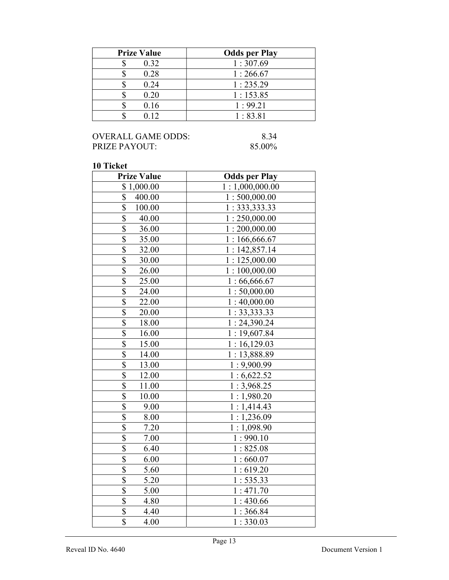| <b>Prize Value</b> | <b>Odds per Play</b> |
|--------------------|----------------------|
| 0.32               | 1:307.69             |
| 0.28               | 1:266.67             |
| 0.24               | 1:235.29             |
| 0.20               | 1:153.85             |
| 0.16               | 1:99.21              |
| 0.12               | 1:83.81              |

## OVERALL GAME ODDS: 8.34<br>PRIZE PAYOUT: 85.00% PRIZE PAYOUT:

| <b>Prize Value</b>               | <b>Odds per Play</b> |
|----------------------------------|----------------------|
| \$1,000.00                       | 1:1,000,000.00       |
| \$<br>400.00                     | 1:500,000.00         |
| \$<br>100.00                     | 1:333,333.33         |
| \$<br>40.00                      | 1:250,000.00         |
| \$<br>36.00                      | 1:200,000.00         |
| \$<br>35.00                      | 1:166,666.67         |
| $\overline{\$}$<br>32.00         | 1:142,857.14         |
| \$<br>30.00                      | 1:125,000.00         |
| \$<br>26.00                      | 1:100,000.00         |
| $\overline{\$}$<br>25.00         | 1:66,666.67          |
| $\overline{\mathbb{S}}$<br>24.00 | 1:50,000.00          |
| \$<br>22.00                      | 1:40,000.00          |
| \$<br>20.00                      | 1: 33, 333.33        |
| \$<br>18.00                      | 1:24,390.24          |
| \$<br>16.00                      | 1:19,607.84          |
| $\frac{\$}{\$}$<br>15.00         | 1:16,129.03          |
| 14.00                            | 1:13,888.89          |
| \$<br>13.00                      | 1:9,900.99           |
| $\overline{\$}$<br>12.00         | 1:6,622.52           |
| \$<br>11.00                      | 1:3,968.25           |
| \$<br>10.00                      | 1:1,980.20           |
| \$<br>9.00                       | 1:1,414.43           |
| $\overline{\$}$<br>8.00          | 1:1,236.09           |
| $\overline{\$}$<br>7.20          | 1:1,098.90           |
| $\overline{\$}$<br>7.00          | 1:990.10             |
| $\overline{\$}$<br>6.40          | 1:825.08             |
| \$<br>6.00                       | 1:660.07             |
| \$<br>5.60                       | 1:619.20             |
| \$<br>5.20                       | 1:535.33             |
| \$<br>5.00                       | 1:471.70             |
| \$<br>4.80                       | 1:430.66             |
| $\overline{\$}$<br>4.40          | 1:366.84             |
| $\overline{\$}$<br>4.00          | 1:330.03             |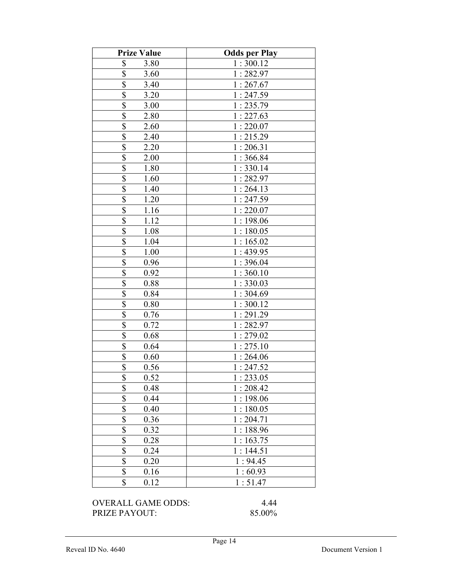| <b>Prize Value</b>              | <b>Odds per Play</b> |
|---------------------------------|----------------------|
| \$<br>3.80                      | 1:300.12             |
| \$<br>3.60                      | 1:282.97             |
| \$<br>3.40                      | 1:267.67             |
| \$<br>3.20                      | 1:247.59             |
| \$<br>3.00                      | 1:235.79             |
| \$<br>2.80                      | 1:227.63             |
| \$<br>2.60                      | 1:220.07             |
| \$<br>2.40                      | 1:215.29             |
| \$<br>2.20                      | 1:206.31             |
| \$<br>2.00                      | 1:366.84             |
| $\overline{\mathbb{S}}$<br>1.80 | 1:330.14             |
| $\overline{\$}$<br>1.60         | 1:282.97             |
| \$<br>1.40                      | 1:264.13             |
| $\overline{\$}$<br>1.20         | 1:247.59             |
| \$<br>1.16                      | 1:220.07             |
| \$<br>1.12                      | 1:198.06             |
| $\overline{\mathbb{S}}$<br>1.08 | 1:180.05             |
| \$<br>1.04                      | 1:165.02             |
| \$<br>1.00                      | 1:439.95             |
| \$<br>0.96                      | 1:396.04             |
| \$<br>0.92                      | 1:360.10             |
| \$<br>0.88                      | 1:330.03             |
| $\overline{\$}$<br>0.84         | 1:304.69             |
| $\overline{\$}$<br>0.80         | 1:300.12             |
| $\overline{\$}$<br>0.76         | 1:291.29             |
| \$<br>0.72                      | 1:282.97             |
| $\overline{\$}$<br>0.68         | 1:279.02             |
| \$<br>0.64                      | 1:275.10             |
| \$<br>0.60                      | 1:264.06             |
| \$<br>0.56                      | 1:247.52             |
| \$<br>0.52                      | 1:233.05             |
| \$<br>0.48                      | 1:208.42             |
| \$<br>0.44                      | 1:198.06             |
| \$<br>0.40                      | 1:180.05             |
| \$<br>0.36                      | 1:204.71             |
| \$<br>0.32                      | 1:188.96             |
| \$<br>0.28                      | 1:163.75             |
| \$<br>0.24                      | 1:144.51             |
| \$<br>0.20                      | 1:94.45              |
| $\overline{\$}$<br>0.16         | 1:60.93              |
| \$<br>0.12                      | 1:51.47              |

OVERALL GAME ODDS: 4.44<br>PRIZE PAYOUT: 85.00% PRIZE PAYOUT: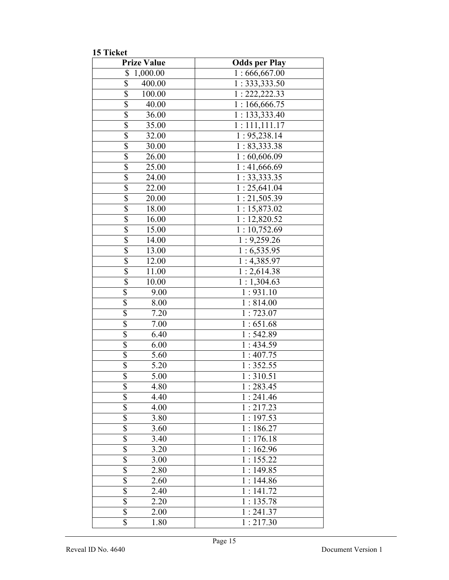15 Ticket

| <b>Prize Value</b>        | <b>Odds per Play</b>      |
|---------------------------|---------------------------|
| \$<br>1,000.00            | 1:666,667.00              |
| \$<br>400.00              | 1: 333, 333.50            |
| $\overline{\$}$<br>100.00 | 1: 222, 222.33            |
| $\overline{\$}$<br>40.00  | 1:166,666.75              |
| $\overline{\$}$<br>36.00  | 1:133,333.40              |
| $\overline{\$}$<br>35.00  | 1:111,111.17              |
| $\overline{\$}$<br>32.00  | 1: 95,238.14              |
| $\overline{\$}$<br>30.00  | 1: 83,333.38              |
| $\overline{\$}$<br>26.00  | 1:60,606.09               |
| \$<br>25.00               | 1:41,666.69               |
| $\overline{\$}$<br>24.00  | $1:33,333.\overline{35}$  |
| $\overline{\$}$<br>22.00  | $\overline{1:}$ 25,641.04 |
| $\overline{\$}$<br>20.00  | 1:21,505.39               |
| $\overline{\$}$<br>18.00  | 1:15,873.02               |
| \$<br>16.00               | 1:12,820.52               |
| $\overline{\$}$<br>15.00  | 1:10,752.69               |
| \$<br>14.00               | 1:9,259.26                |
| \$<br>13.00               | 1:6,535.95                |
| $\overline{\$}$<br>12.00  | 1:4,385.97                |
| $\overline{\$}$<br>11.00  | 1:2,614.38                |
| $\overline{\$}$<br>10.00  | 1:1,304.63                |
| \$<br>9.00                | 1:931.10                  |
| \$<br>8.00                | 1:814.00                  |
| \$<br>7.20                | 1:723.07                  |
| \$<br>7.00                | 1:651.68                  |
| \$<br>6.40                | 1:542.89                  |
| $\overline{\$}$<br>6.00   | 1:434.59                  |
| $\overline{\$}$<br>5.60   | 1:407.75                  |
| $\overline{\$}$<br>5.20   | 1:352.55                  |
| \$<br>5.00                | 1:310.51                  |
| \$<br>4.80                | 1:283.45                  |
| \$<br>4.40                | 1:241.46                  |
| \$<br>4.00                | 1:217.23                  |
| \$<br>3.80                | $\overline{1:}$ 197.53    |
| \$<br>3.60                | 1:186.27                  |
| \$<br>3.40                | 1:176.18                  |
| \$<br>3.20                | $\overline{1:}$ 162.96    |
| \$<br>3.00                | 1:155.22                  |
| \$<br>2.80                | 1:149.85                  |
| \$<br>2.60                | 1:144.86                  |
| \$<br>2.40                | 1:141.72                  |
| $\overline{\$}$<br>2.20   | 1:135.78                  |
| $\overline{\$}$<br>2.00   | 1:241.37                  |
| \$<br>1.80                | 1:217.30                  |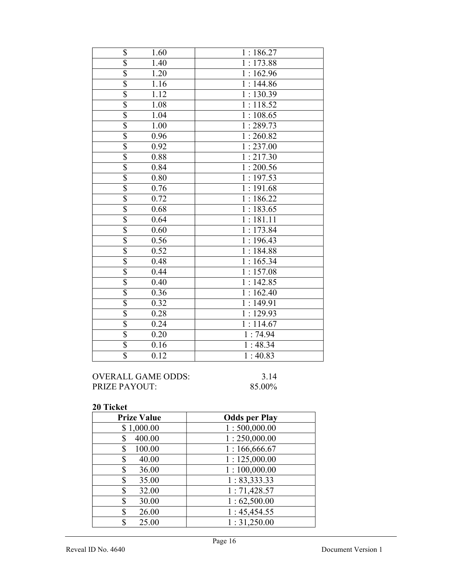| \$                      | 1.60 | 1:186.27               |
|-------------------------|------|------------------------|
| \$                      | 1.40 | 1:173.88               |
| $\overline{\$}$         | 1.20 | 1:162.96               |
| \$                      | 1.16 | 1:144.86               |
| $\overline{\$}$         | 1.12 | $\overline{1:}$ 130.39 |
| $\overline{\$}$         | 1.08 | 1:118.52               |
| \$                      | 1.04 | 1:108.65               |
| \$                      | 1.00 | 1:289.73               |
| $\overline{\mathbb{S}}$ | 0.96 | 1:260.82               |
| $\overline{\mathbb{S}}$ | 0.92 | 1:237.00               |
| $\overline{\mathbb{S}}$ | 0.88 | 1:217.30               |
| \$                      | 0.84 | $\overline{1:}$ 200.56 |
| \$                      | 0.80 | 1:197.53               |
| $\overline{\$}$         | 0.76 | 1:191.68               |
| \$                      | 0.72 | 1:186.22               |
| $\overline{\$}$         | 0.68 | 1:183.65               |
| \$                      | 0.64 | 1:181.11               |
| $\overline{\$}$         | 0.60 | 1:173.84               |
| $\overline{\$}$         | 0.56 | 1:196.43               |
| $\overline{\$}$         | 0.52 | 1:184.88               |
| $\overline{\$}$         | 0.48 | 1:165.34               |
| $\overline{\$}$         | 0.44 | 1:157.08               |
| $\overline{\mathbb{S}}$ | 0.40 | 1:142.85               |
| $\overline{\mathbb{S}}$ | 0.36 | 1:162.40               |
| $\overline{\$}$         | 0.32 | $\overline{1:}$ 149.91 |
| \$                      | 0.28 | 1:129.93               |
| $\overline{\$}$         | 0.24 | 1:114.67               |
| \$                      | 0.20 | 1:74.94                |
| $\overline{\$}$         | 0.16 | 1:48.34                |
| \$                      | 0.12 | $\overline{1}$ : 40.83 |
|                         |      |                        |

| OVERALL GAME ODDS:   | 3.14   |
|----------------------|--------|
| <b>PRIZE PAYOUT:</b> | 85.00% |

| <b>Prize Value</b> | <b>Odds per Play</b> |
|--------------------|----------------------|
| \$1,000.00         | 1:500,000.00         |
| 400.00<br>S        | 1:250,000.00         |
| 100.00<br>\$       | 1:166,666.67         |
| \$<br>40.00        | 1:125,000.00         |
| 36.00<br>\$        | 1:100,000.00         |
| \$<br>35.00        | 1: 83,333.33         |
| \$<br>32.00        | 1:71,428.57          |
| S<br>30.00         | 1:62,500.00          |
| \$<br>26.00        | 1:45,454.55          |
| \$<br>25.00        | 1:31,250.00          |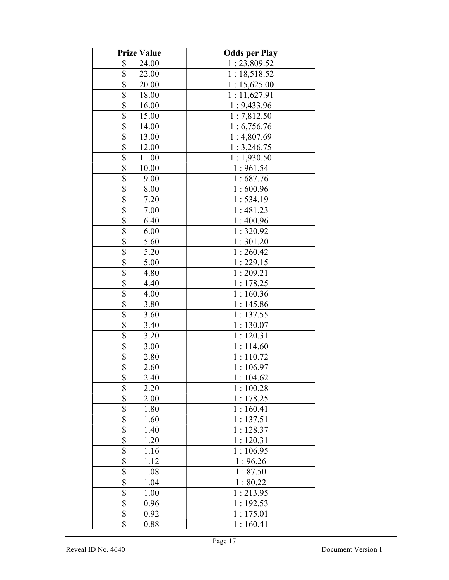| <b>Prize Value</b>       | <b>Odds per Play</b> |
|--------------------------|----------------------|
| \$<br>24.00              | 1:23,809.52          |
| \$<br>22.00              | 1:18,518.52          |
| \$<br>20.00              | 1:15,625.00          |
| \$<br>18.00              | 1:11,627.91          |
| \$<br>16.00              | 1:9,433.96           |
| \$<br>15.00              | 1:7,812.50           |
| \$<br>14.00              | 1:6,756.76           |
| \$<br>13.00              | 1:4,807.69           |
| \$<br>12.00              | 1:3,246.75           |
| \$<br>11.00              | 1:1,930.50           |
| $\overline{\$}$<br>10.00 | 1:961.54             |
| $\overline{\$}$<br>9.00  | 1:687.76             |
| \$<br>8.00               | 1:600.96             |
| \$<br>7.20               | 1:534.19             |
| \$<br>7.00               | 1:481.23             |
| \$<br>6.40               | 1:400.96             |
| \$<br>6.00               | 1:320.92             |
| \$<br>5.60               | 1:301.20             |
| \$<br>5.20               | 1:260.42             |
| \$<br>5.00               | 1:229.15             |
| \$<br>4.80               | 1:209.21             |
| \$<br>4.40               | 1:178.25             |
| \$<br>4.00               | 1:160.36             |
| \$<br>3.80               | 1:145.86             |
| $\overline{\$}$<br>3.60  | 1:137.55             |
| \$<br>3.40               | 1:130.07             |
| \$<br>3.20               | 1:120.31             |
| \$<br>3.00               | 1:114.60             |
| \$<br>2.80               | 1:110.72             |
| \$<br>2.60               | 1:106.97             |
| \$<br>2.40               | 1:104.62             |
| \$<br>2.20               | 1:100.28             |
| \$<br>2.00               | 1:178.25             |
| \$<br>1.80               | 1:160.41             |
| \$<br>1.60               | 1:137.51             |
| \$<br>1.40               | 1:128.37             |
| \$<br>1.20               | 1:120.31             |
| \$<br>1.16               | 1:106.95             |
| \$<br>1.12               | 1:96.26              |
| \$<br>1.08               | 1:87.50              |
| $\overline{\$}$<br>1.04  | 1:80.22              |
| $\overline{\$}$<br>1.00  | 1:213.95             |
| \$<br>0.96               | 1:192.53             |
| \$<br>0.92               | 1:175.01             |
| \$<br>0.88               | 1:160.41             |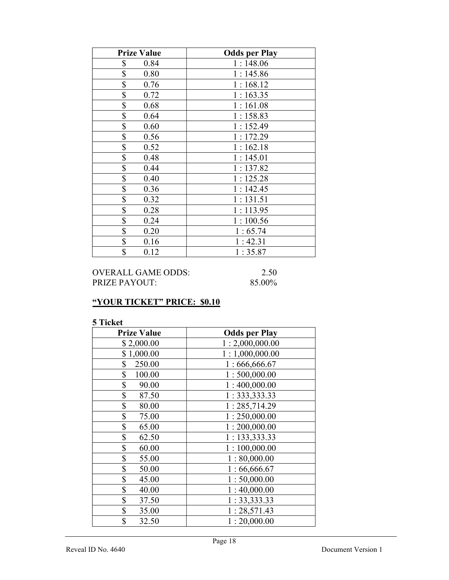| <b>Prize Value</b> | <b>Odds per Play</b> |
|--------------------|----------------------|
| \$<br>0.84         | 1:148.06             |
| \$<br>0.80         | 1:145.86             |
| \$<br>0.76         | 1:168.12             |
| \$<br>0.72         | 1:163.35             |
| \$<br>0.68         | 1:161.08             |
| \$<br>0.64         | 1:158.83             |
| \$<br>0.60         | 1:152.49             |
| \$<br>0.56         | 1:172.29             |
| \$<br>0.52         | 1:162.18             |
| \$<br>0.48         | 1:145.01             |
| \$<br>0.44         | 1:137.82             |
| \$<br>0.40         | 1:125.28             |
| \$<br>0.36         | 1:142.45             |
| \$<br>0.32         | 1:131.51             |
| \$<br>0.28         | 1:113.95             |
| \$<br>0.24         | 1:100.56             |
| \$<br>0.20         | 1:65.74              |
| \$<br>0.16         | 1:42.31              |
| \$<br>0.12         | 1:35.87              |

| OVERALL GAME ODDS: | 2.50   |
|--------------------|--------|
| PRIZE PAYOUT:      | 85.00% |

# "YOUR TICKET" PRICE: \$0.10

| <b>Prize Value</b> | <b>Odds per Play</b> |
|--------------------|----------------------|
| \$2,000.00         | 1:2,000,000.00       |
| \$1,000.00         | 1:1,000,000.00       |
| \$<br>250.00       | 1:666,666.67         |
| \$<br>100.00       | 1:500,000.00         |
| \$<br>90.00        | 1:400,000.00         |
| \$<br>87.50        | 1: 333, 333.33       |
| \$<br>80.00        | 1:285,714.29         |
| \$<br>75.00        | 1:250,000.00         |
| \$<br>65.00        | 1:200,000.00         |
| \$<br>62.50        | 1:133,333.33         |
| \$<br>60.00        | 1:100,000.00         |
| \$<br>55.00        | 1:80,000.00          |
| \$<br>50.00        | 1:66,666.67          |
| \$<br>45.00        | 1:50,000.00          |
| \$<br>40.00        | 1:40,000.00          |
| \$<br>37.50        | 1:33,333.33          |
| \$<br>35.00        | 1:28,571.43          |
| \$<br>32.50        | 1:20,000.00          |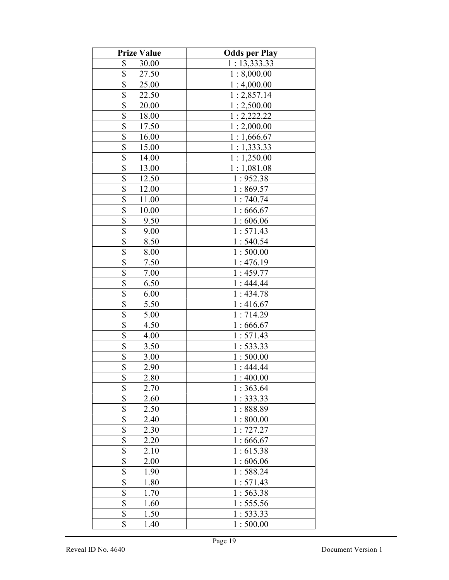| <b>Prize Value</b>               | <b>Odds per Play</b> |
|----------------------------------|----------------------|
| \$<br>30.00                      | 1:13,333.33          |
| \$<br>27.50                      | 1:8,000.00           |
| \$<br>25.00                      | 1:4,000.00           |
| \$<br>22.50                      | 1:2,857.14           |
| \$<br>20.00                      | 1:2,500.00           |
| \$<br>18.00                      | 1:2,222.22           |
| \$<br>17.50                      | 1:2,000.00           |
| \$<br>16.00                      | 1:1,666.67           |
| \$<br>15.00                      | 1:1,333.33           |
| \$<br>14.00                      | 1:1,250.00           |
| $\overline{\$}$<br>13.00         | 1:1,081.08           |
| $\overline{\mathbb{S}}$<br>12.50 | 1:952.38             |
| \$<br>12.00                      | 1:869.57             |
| \$<br>11.00                      | 1:740.74             |
| \$<br>10.00                      | 1:666.67             |
| \$<br>9.50                       | 1:606.06             |
| \$<br>9.00                       | 1:571.43             |
| \$<br>8.50                       | 1:540.54             |
| \$<br>8.00                       | 1:500.00             |
| \$<br>7.50                       | 1:476.19             |
| \$<br>7.00                       | 1:459.77             |
| \$<br>6.50                       | 1:444.44             |
| \$<br>6.00                       | 1:434.78             |
| \$<br>5.50                       | 1:416.67             |
| $\overline{\$}$<br>5.00          | 1:714.29             |
| \$<br>4.50                       | 1:666.67             |
| \$<br>4.00                       | 1:571.43             |
| \$<br>3.50                       | 1:533.33             |
| \$<br>3.00                       | 1:500.00             |
| \$<br>2.90                       | 1:444.44             |
| \$<br>2.80                       | 1:400.00             |
| \$<br>2.70                       | 1:363.64             |
| \$<br>2.60                       | 1:333.33             |
| \$<br>2.50                       | 1:888.89             |
| \$<br>2.40                       | 1:800.00             |
| \$<br>2.30                       | 1:727.27             |
| \$<br>2.20                       | 1:666.67             |
| \$<br>2.10                       | 1:615.38             |
| \$<br>2.00                       | 1:606.06             |
| \$<br>1.90                       | 1:588.24             |
| $\overline{\$}$<br>1.80          | 1:571.43             |
| $\overline{\$}$<br>1.70          | 1:563.38             |
| \$<br>1.60                       | 1:555.56             |
| \$<br>1.50                       | 1: 533.33            |
| \$<br>1.40                       | 1:500.00             |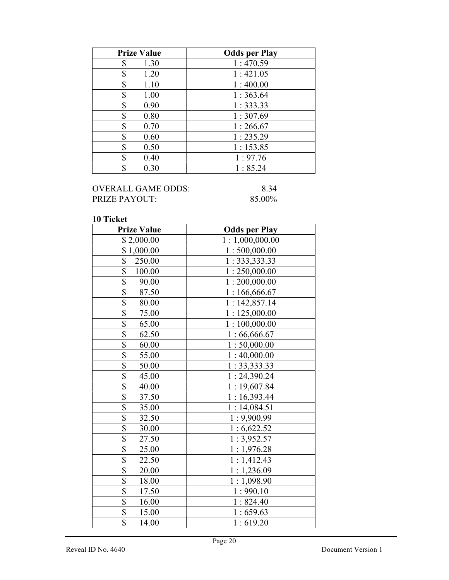| <b>Prize Value</b> | <b>Odds per Play</b> |
|--------------------|----------------------|
| 1.30<br>\$         | 1:470.59             |
| \$<br>1.20         | 1:421.05             |
| \$<br>1.10         | 1:400.00             |
| \$<br>1.00         | 1:363.64             |
| 0.90<br>\$         | 1:333.33             |
| 0.80<br>\$         | 1:307.69             |
| 0.70<br>S          | 1:266.67             |
| 0.60<br>S          | 1:235.29             |
| \$<br>0.50         | 1:153.85             |
| ¢<br>0.40          | 1:97.76              |
| 0.30<br>Φ          | 1:85.24              |

## OVERALL GAME ODDS: 8.34<br>PRIZE PAYOUT: 85.00% PRIZE PAYOUT:

| <b>Prize Value</b>                | <b>Odds per Play</b> |
|-----------------------------------|----------------------|
| \$2,000.00                        | 1:1,000,000.00       |
| \$1,000.00                        | 1:500,000.00         |
| \$<br>250.00                      | 1: 333, 333.33       |
| $\overline{\mathbb{S}}$<br>100.00 | 1:250,000.00         |
| \$<br>90.00                       | 1:200,000.00         |
| \$<br>87.50                       | 1:166,666.67         |
| \$<br>80.00                       | 1:142,857.14         |
| $\overline{\mathcal{S}}$<br>75.00 | 1:125,000.00         |
| $\overline{\mathbb{S}}$<br>65.00  | 1:100,000.00         |
| \$<br>62.50                       | 1:66,666.67          |
| \$<br>60.00                       | 1:50,000.00          |
| \$<br>55.00                       | 1:40,000.00          |
| $\overline{\$}$<br>50.00          | 1:33,333.33          |
| \$<br>45.00                       | 1:24,390.24          |
| \$<br>40.00                       | 1:19,607.84          |
| 37.50                             | 1:16,393.44          |
| $\frac{\$}{\$}$<br>35.00          | 1:14,084.51          |
| $\overline{\$}$<br>32.50          | 1:9,900.99           |
| \$<br>30.00                       | 1:6,622.52           |
| $\overline{\$}$<br>27.50          | 1:3,952.57           |
| \$<br>25.00                       | 1:1,976.28           |
| $\overline{\$}$<br>22.50          | 1:1,412.43           |
| \$<br>20.00                       | 1:1,236.09           |
| $\overline{\mathbb{S}}$<br>18.00  | 1:1,098.90           |
| \$<br>17.50                       | 1:990.10             |
| \$<br>16.00                       | 1:824.40             |
| $\overline{\mathbb{S}}$<br>15.00  | 1:659.63             |
| \$<br>14.00                       | 1:619.20             |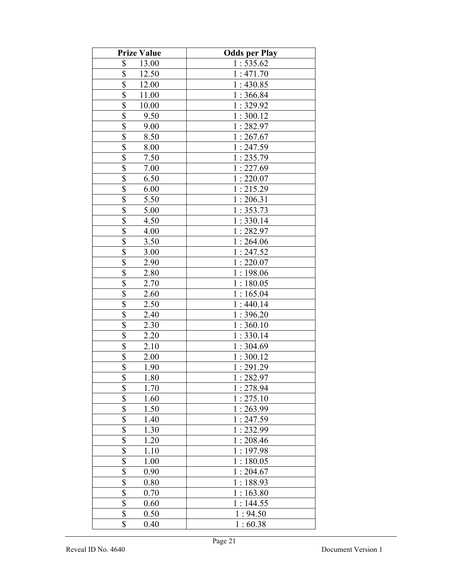| <b>Prize Value</b>              | <b>Odds per Play</b> |
|---------------------------------|----------------------|
| \$<br>13.00                     | 1:535.62             |
| \$<br>12.50                     | 1:471.70             |
| \$<br>12.00                     | 1:430.85             |
| \$<br>11.00                     | 1:366.84             |
| \$<br>10.00                     | 1:329.92             |
| \$<br>9.50                      | 1:300.12             |
| \$<br>9.00                      | 1:282.97             |
| \$<br>8.50                      | 1:267.67             |
| \$<br>8.00                      | 1:247.59             |
| \$<br>7.50                      | 1:235.79             |
| $\overline{\$}$<br>7.00         | 1:227.69             |
| $\overline{\mathbb{S}}$<br>6.50 | 1:220.07             |
| \$<br>6.00                      | 1:215.29             |
| \$<br>5.50                      | 1:206.31             |
| \$<br>5.00                      | 1:353.73             |
| \$<br>4.50                      | 1:330.14             |
| \$<br>4.00                      | 1:282.97             |
| \$<br>3.50                      | 1:264.06             |
| \$<br>3.00                      | 1:247.52             |
| \$<br>2.90                      | 1:220.07             |
| \$<br>2.80                      | 1:198.06             |
| \$<br>2.70                      | 1:180.05             |
| \$<br>2.60                      | 1:165.04             |
| \$<br>2.50                      | 1:440.14             |
| $\overline{\$}$<br>2.40         | 1:396.20             |
| \$<br>2.30                      | 1:360.10             |
| \$<br>2.20                      | 1:330.14             |
| \$<br>2.10                      | 1:304.69             |
| \$<br>2.00                      | 1:300.12             |
| \$<br>1.90                      | 1:291.29             |
| \$<br>1.80                      | 1:282.97             |
| \$<br>1.70                      | 1:278.94             |
| \$<br>1.60                      | 1:275.10             |
| \$<br>1.50                      | 1:263.99             |
| \$<br>1.40                      | 1:247.59             |
| \$<br>1.30                      | 1:232.99             |
| \$<br>1.20                      | 1:208.46             |
| \$<br>1.10                      | 1:197.98             |
| \$<br>1.00                      | 1:180.05             |
| \$<br>0.90                      | 1:204.67             |
| $\overline{\$}$<br>0.80         | 1:188.93             |
| $\overline{\$}$<br>0.70         | 1:163.80             |
| \$<br>0.60                      | 1:144.55             |
| \$<br>0.50                      | 1:94.50              |
| \$<br>0.40                      | 1:60.38              |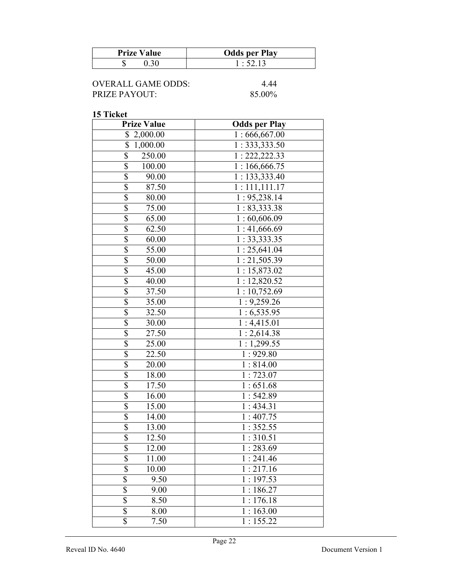| <b>Prize Value</b> | <b>Odds per Play</b> |
|--------------------|----------------------|
|                    | $\cdot$ 52.13        |

| OVERALL GAME ODDS: | 4 44   |
|--------------------|--------|
| PRIZE PAYOUT:      | 85.00% |

| <b>Prize Value</b>                | <b>Odds per Play</b>      |
|-----------------------------------|---------------------------|
| \$<br>2,000.00                    | 1:666,667.00              |
| \$<br>1,000.00                    | 1: 333, 333.50            |
| $\overline{\$}$<br>250.00         | 1: 222, 222.33            |
| \$<br>100.00                      | $\overline{1:166,}666.75$ |
| \$<br>90.00                       | 1: 133, 333.40            |
| $\overline{\$}$<br>87.50          | 1:111,111.17              |
| $\overline{\$}$<br>80.00          | 1: 95,238.14              |
| $\overline{\mathcal{S}}$<br>75.00 | 1: 83,333.38              |
| \$<br>65.00                       | 1:60,606.09               |
| $\overline{\$}$<br>62.50          | 1:41,666.69               |
| \$<br>60.00                       | 1:33,333.35               |
| $\overline{\$}$<br>55.00          | 1:25,641.04               |
| $\overline{\$}$<br>50.00          | 1:21,505.39               |
| $\overline{\$}$<br>45.00          | 1:15,873.02               |
| $\overline{\$}$<br>40.00          | 1:12,820.52               |
| \$<br>37.50                       | 1:10,752.69               |
| $\overline{\$}$<br>35.00          | 1:9,259.26                |
| \$<br>32.50                       | 1:6,535.95                |
| \$<br>30.00                       | 1:4,415.01                |
| $\overline{\$}$<br>27.50          | $\overline{1}$ : 2,614.38 |
| $\overline{\$}$<br>25.00          | 1:1,299.55                |
| $\overline{\$}$<br>22.50          | 1:929.80                  |
| $\overline{\$}$<br>20.00          | 1:814.00                  |
| \$<br>18.00                       | 1:723.07                  |
| \$<br>17.50                       | 1:651.68                  |
| \$<br>16.00                       | 1:542.89                  |
| \$<br>15.00                       | 1:434.31                  |
| \$<br>14.00                       | 1:407.75                  |
| \$<br>13.00                       | 1:352.55                  |
| \$<br>12.50                       | $\overline{1:}310.51$     |
| \$<br>12.00                       | 1:283.69                  |
| \$<br>11.00                       | 1:241.46                  |
| \$<br>10.00                       | 1:217.16                  |
| \$<br>9.50                        | 1:197.53                  |
| \$<br>9.00                        | 1:186.27                  |
| \$<br>8.50                        | 1:176.18                  |
| \$<br>8.00                        | 1:163.00                  |
| $\overline{\mathbb{S}}$<br>7.50   | 1:155.22                  |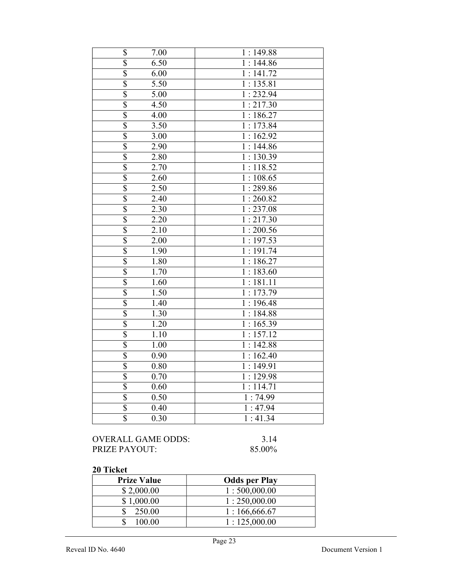| \$                      | 7.00 | 1:149.88 |
|-------------------------|------|----------|
| \$                      | 6.50 | 1:144.86 |
| \$                      | 6.00 | 1:141.72 |
| $\overline{\$}$         | 5.50 | 1:135.81 |
| \$                      | 5.00 | 1:232.94 |
| $\overline{\mathbb{S}}$ | 4.50 | 1:217.30 |
| $\overline{\$}$         | 4.00 | 1:186.27 |
| \$                      | 3.50 | 1:173.84 |
| \$                      | 3.00 | 1:162.92 |
| \$                      | 2.90 | 1:144.86 |
| $\overline{\$}$         | 2.80 | 1:130.39 |
| $\overline{\$}$         | 2.70 | 1:118.52 |
| \$                      | 2.60 | 1:108.65 |
| $\overline{\$}$         | 2.50 | 1:289.86 |
| $\overline{\mathbb{S}}$ | 2.40 | 1:260.82 |
| $\overline{\$}$         | 2.30 | 1:237.08 |
| $\overline{\$}$         | 2.20 | 1:217.30 |
| \$                      | 2.10 | 1:200.56 |
| \$                      | 2.00 | 1:197.53 |
| \$                      | 1.90 | 1:191.74 |
| $\overline{\$}$         | 1.80 | 1:186.27 |
| $\overline{\$}$         | 1.70 | 1:183.60 |
| $\overline{\mathbb{S}}$ | 1.60 | 1:181.11 |
| $\overline{\$}$         | 1.50 | 1:173.79 |
| \$                      | 1.40 | 1:196.48 |
| \$                      | 1.30 | 1:184.88 |
| $\overline{\$}$         | 1.20 | 1:165.39 |
| $\overline{\$}$         | 1.10 | 1:157.12 |
| $\overline{\mathbb{S}}$ | 1.00 | 1:142.88 |
| $\overline{\$}$         | 0.90 | 1:162.40 |
| \$                      | 0.80 | 1:149.91 |
| \$                      | 0.70 | 1:129.98 |
| \$                      | 0.60 | 1:114.71 |
| \$                      | 0.50 | 1:74.99  |
| \$                      | 0.40 | 1:47.94  |
| \$                      | 0.30 | 1:41.34  |
|                         |      |          |

| OVERALL GAME ODDS: | 3.14   |
|--------------------|--------|
| PRIZE PAYOUT:      | 85.00% |

 $85.00\%$ 

| <b>Prize Value</b> | <b>Odds per Play</b> |
|--------------------|----------------------|
| \$2,000.00         | 1:500,000.00         |
| \$1,000.00         | 1:250,000.00         |
| 250.00             | 1:166,666.67         |
| 100.00             | 1:125,000.00         |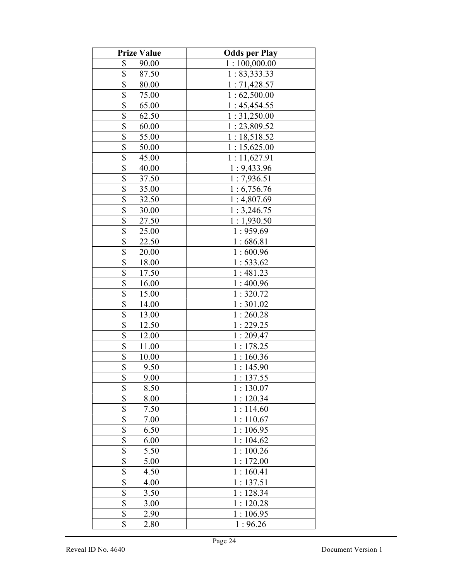| <b>Prize Value</b>       | <b>Odds per Play</b> |
|--------------------------|----------------------|
| \$<br>90.00              | 1:100,000.00         |
| \$<br>87.50              | 1:83,333.33          |
| \$<br>80.00              | 1:71,428.57          |
| \$<br>75.00              | 1:62,500.00          |
| \$<br>65.00              | 1:45,454.55          |
| \$<br>62.50              | 1:31,250.00          |
| \$<br>60.00              | 1:23,809.52          |
| \$<br>55.00              | 1:18,518.52          |
| \$<br>50.00              | 1:15,625.00          |
| \$<br>45.00              | 1:11,627.91          |
| $\overline{\$}$<br>40.00 | 1:9,433.96           |
| $\overline{\$}$<br>37.50 | 1:7,936.51           |
| \$<br>35.00              | 1:6,756.76           |
| \$<br>32.50              | 1:4,807.69           |
| \$<br>30.00              | 1:3,246.75           |
| \$<br>27.50              | 1:1,930.50           |
| \$<br>25.00              | 1:959.69             |
| \$<br>22.50              | 1:686.81             |
| \$<br>20.00              | 1:600.96             |
| \$<br>18.00              | 1:533.62             |
| \$<br>17.50              | 1:481.23             |
| \$<br>16.00              | 1:400.96             |
| \$<br>15.00              | 1:320.72             |
| $\overline{\$}$<br>14.00 | 1:301.02             |
| $\overline{\$}$<br>13.00 | 1:260.28             |
| \$<br>12.50              | 1:229.25             |
| $\overline{\$}$<br>12.00 | 1:209.47             |
| \$<br>11.00              | 1:178.25             |
| \$<br>10.00              | 1:160.36             |
| \$<br>9.50               | 1:145.90             |
| \$<br>9.00               | 1:137.55             |
| \$<br>8.50               | 1:130.07             |
| \$<br>8.00               | 1:120.34             |
| \$<br>7.50               | 1:114.60             |
| \$<br>7.00               | 1:110.67             |
| \$<br>6.50               | 1:106.95             |
| \$<br>6.00               | 1:104.62             |
| \$<br>5.50               | 1:100.26             |
| \$<br>5.00               | 1:172.00             |
| \$<br>4.50               | 1:160.41             |
| $\overline{\$}$<br>4.00  | 1:137.51             |
| $\overline{\$}$<br>3.50  | 1:128.34             |
| \$<br>3.00               | 1:120.28             |
| \$<br>2.90               | 1:106.95             |
| \$<br>2.80               | 1:96.26              |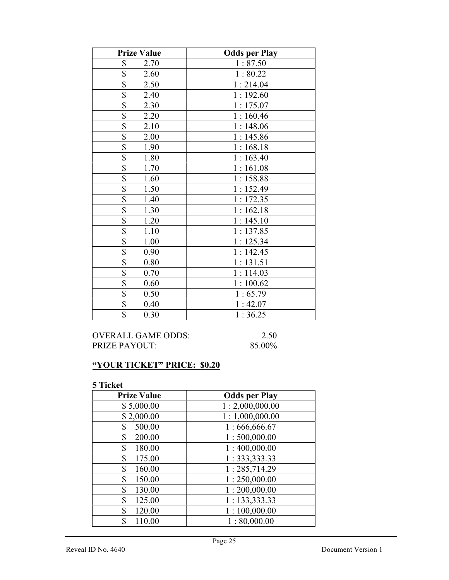| <b>Prize Value</b>              | <b>Odds per Play</b> |
|---------------------------------|----------------------|
| \$<br>2.70                      | 1:87.50              |
| \$<br>2.60                      | 1:80.22              |
| $\overline{\$}$<br>2.50         | 1:214.04             |
| $\overline{\$}$<br>2.40         | 1:192.60             |
| \$<br>2.30                      | 1:175.07             |
| \$<br>2.20                      | 1:160.46             |
| \$<br>2.10                      | 1:148.06             |
| \$<br>2.00                      | 1:145.86             |
| \$<br>1.90                      | 1:168.18             |
| $\overline{\$}$<br>1.80         | 1:163.40             |
| $\overline{\$}$<br>1.70         | 1:161.08             |
| $\overline{\$}$<br>1.60         | 1:158.88             |
| \$<br>1.50                      | 1:152.49             |
| \$<br>1.40                      | 1:172.35             |
| \$<br>1.30                      | 1:162.18             |
| \$<br>1.20                      | 1:145.10             |
| \$<br>1.10                      | 1:137.85             |
| $\overline{\$}$<br>1.00         | 1:125.34             |
| $\overline{\$}$<br>0.90         | 1:142.45             |
| $\overline{\$}$<br>0.80         | 1:131.51             |
| $\overline{\$}$<br>0.70         | 1:114.03             |
| $\overline{\$}$<br>0.60         | 1:100.62             |
| $\overline{\$}$<br>0.50         | 1:65.79              |
| \$<br>0.40                      | 1:42.07              |
| $\overline{\mathbb{S}}$<br>0.30 | 1:36.25              |

OVERALL GAME ODDS: 2.50<br>PRIZE PAYOUT: 85.00% PRIZE PAYOUT:

# "YOUR TICKET" PRICE: \$0.20

| <b>Prize Value</b> | <b>Odds per Play</b> |
|--------------------|----------------------|
| \$5,000.00         | 1:2,000,000.00       |
| \$2,000.00         | 1:1,000,000.00       |
| 500.00<br>\$       | 1:666,666.67         |
| 200.00<br>\$       | 1:500,000.00         |
| \$<br>180.00       | 1:400,000.00         |
| \$<br>175.00       | 1: 333, 333.33       |
| \$<br>160.00       | 1:285,714.29         |
| \$<br>150.00       | 1:250,000.00         |
| \$<br>130.00       | 1:200,000.00         |
| \$<br>125.00       | 1: 133,333.33        |
| \$<br>120.00       | 1:100,000.00         |
| \$<br>110.00       | 1:80,000.00          |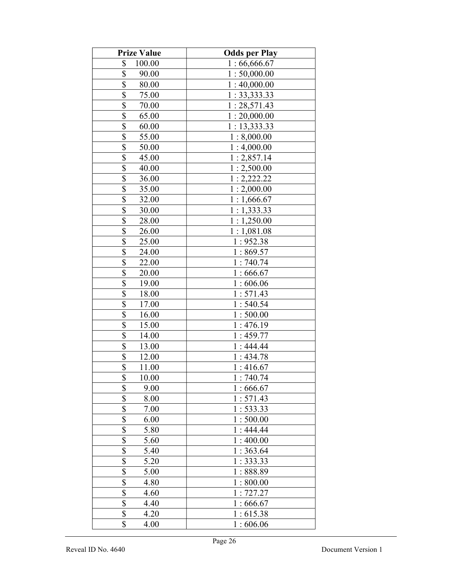| <b>Prize Value</b>               | <b>Odds per Play</b> |
|----------------------------------|----------------------|
| \$<br>100.00                     | 1:66,666.67          |
| \$<br>90.00                      | 1:50,000.00          |
| \$<br>80.00                      | 1:40,000.00          |
| \$<br>75.00                      | 1:33,333.33          |
| \$<br>70.00                      | 1:28,571.43          |
| \$<br>65.00                      | 1:20,000.00          |
| \$<br>60.00                      | 1:13,333.33          |
| \$<br>55.00                      | 1:8,000.00           |
| \$<br>50.00                      | 1:4,000.00           |
| \$<br>45.00                      | 1:2,857.14           |
| \$<br>40.00                      | 1:2,500.00           |
| $\overline{\mathbb{S}}$<br>36.00 | 1:2,222.22           |
| \$<br>35.00                      | 1:2,000.00           |
| \$<br>32.00                      | 1:1,666.67           |
| \$<br>30.00                      | 1:1,333.33           |
| \$<br>28.00                      | 1:1,250.00           |
| \$<br>26.00                      | 1:1,081.08           |
| \$<br>25.00                      | 1:952.38             |
| \$<br>24.00                      | 1:869.57             |
| \$<br>22.00                      | 1:740.74             |
| \$<br>20.00                      | 1:666.67             |
| \$<br>19.00                      | 1:606.06             |
| \$<br>18.00                      | 1:571.43             |
| $\overline{\$}$<br>17.00         | 1:540.54             |
| \$<br>16.00                      | 1:500.00             |
| \$<br>15.00                      | 1:476.19             |
| $\overline{\$}$<br>14.00         | 1:459.77             |
| \$<br>13.00                      | 1:444.44             |
| \$<br>12.00                      | 1:434.78             |
| \$<br>11.00                      | 1:416.67             |
| \$<br>10.00                      | 1:740.74             |
| \$<br>9.00                       | 1:666.67             |
| \$<br>8.00                       | 1:571.43             |
| \$<br>7.00                       | 1:533.33             |
| \$<br>6.00                       | 1:500.00             |
| \$<br>5.80                       | 1:444.44             |
| \$<br>5.60                       | 1:400.00             |
| \$<br>5.40                       | 1:363.64             |
| \$<br>5.20                       | 1:333.33             |
| \$<br>5.00                       | 1:888.89             |
| $\overline{\$}$<br>4.80          | 1:800.00             |
| \$<br>4.60                       | 1:727.27             |
| \$<br>4.40                       | 1:666.67             |
| \$<br>4.20                       | 1:615.38             |
| \$<br>4.00                       | 1:606.06             |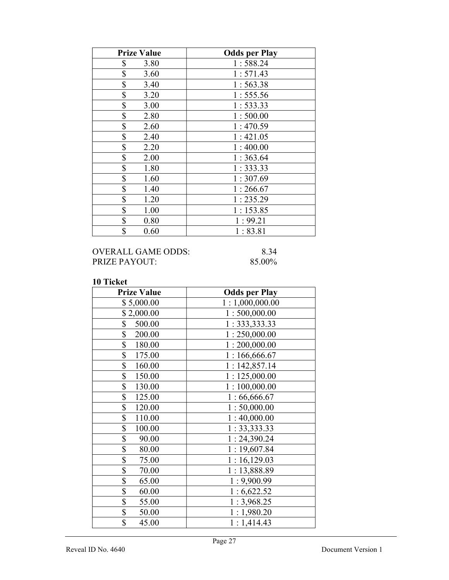| <b>Prize Value</b> | <b>Odds per Play</b> |
|--------------------|----------------------|
| \$<br>3.80         | 1:588.24             |
| \$<br>3.60         | 1:571.43             |
| \$<br>3.40         | 1:563.38             |
| \$<br>3.20         | 1:555.56             |
| \$<br>3.00         | 1:533.33             |
| \$<br>2.80         | 1:500.00             |
| \$<br>2.60         | 1:470.59             |
| \$<br>2.40         | 1:421.05             |
| \$<br>2.20         | 1:400.00             |
| \$<br>2.00         | 1:363.64             |
| \$<br>1.80         | 1:333.33             |
| \$<br>1.60         | 1:307.69             |
| \$<br>1.40         | 1:266.67             |
| \$<br>1.20         | 1:235.29             |
| \$<br>1.00         | 1:153.85             |
| \$<br>0.80         | 1:99.21              |
| \$<br>0.60         | 1:83.81              |

| OVERALL GAME ODDS: | 8.34   |
|--------------------|--------|
| PRIZE PAYOUT:      | 85.00% |

| <b>Prize Value</b> | <b>Odds per Play</b> |
|--------------------|----------------------|
| \$5,000.00         | 1:1,000,000.00       |
| \$2,000.00         | 1:500,000.00         |
| \$<br>500.00       | 1: 333, 333.33       |
| \$<br>200.00       | 1:250,000.00         |
| \$<br>180.00       | 1:200,000.00         |
| \$<br>175.00       | 1:166,666.67         |
| \$<br>160.00       | 1:142,857.14         |
| \$<br>150.00       | 1:125,000.00         |
| \$<br>130.00       | 1:100,000.00         |
| \$<br>125.00       | 1:66,666.67          |
| \$<br>120.00       | 1:50,000.00          |
| \$<br>110.00       | 1:40,000.00          |
| \$<br>100.00       | 1:33,333.33          |
| \$<br>90.00        | 1:24,390.24          |
| \$<br>80.00        | 1:19,607.84          |
| \$<br>75.00        | 1:16,129.03          |
| \$<br>70.00        | 1:13,888.89          |
| \$<br>65.00        | 1:9,900.99           |
| \$<br>60.00        | 1:6,622.52           |
| \$<br>55.00        | 1:3,968.25           |
| \$<br>50.00        | 1:1,980.20           |
| \$<br>45.00        | 1:1,414.43           |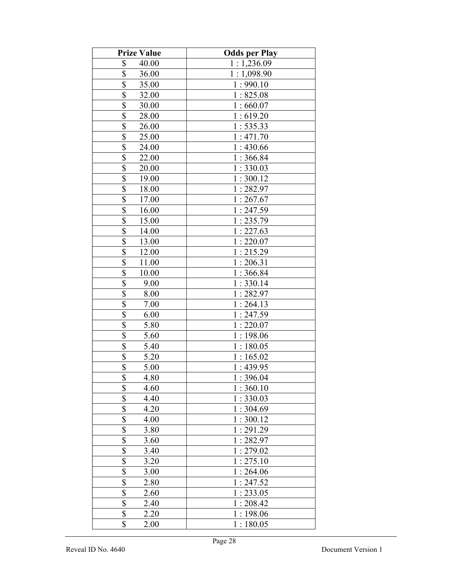| <b>Prize Value</b>      | <b>Odds per Play</b> |
|-------------------------|----------------------|
| \$<br>40.00             | 1:1,236.09           |
| \$<br>36.00             | 1:1,098.90           |
| \$<br>35.00             | 1:990.10             |
| \$<br>32.00             | 1:825.08             |
| \$<br>30.00             | 1:660.07             |
| \$<br>28.00             | 1:619.20             |
| \$<br>26.00             | 1:535.33             |
| \$<br>25.00             | 1:471.70             |
| \$<br>24.00             | 1:430.66             |
| \$<br>22.00             | 1:366.84             |
| \$<br>20.00             | 1:330.03             |
| \$<br>19.00             | 1:300.12             |
| \$<br>18.00             | 1:282.97             |
| \$<br>17.00             | 1:267.67             |
| \$<br>16.00             | 1:247.59             |
| \$<br>15.00             | 1:235.79             |
| \$<br>14.00             | 1:227.63             |
| \$<br>13.00             | 1:220.07             |
| \$<br>12.00             | 1:215.29             |
| \$<br>11.00             | 1:206.31             |
| \$<br>10.00             | 1:366.84             |
| \$<br>9.00              | 1:330.14             |
| \$<br>8.00              | 1:282.97             |
| \$<br>7.00              | 1:264.13             |
| \$<br>6.00              | 1:247.59             |
| \$<br>5.80              | 1:220.07             |
| \$<br>5.60              | 1:198.06             |
| \$<br>5.40              | 1:180.05             |
| \$<br>5.20              | 1:165.02             |
| \$<br>5.00              | 1:439.95             |
| \$<br>4.80              | 1:396.04             |
| \$<br>4.60              | 1:360.10             |
| \$<br>4.40              | 1:330.03             |
| \$<br>4.20              | 1:304.69             |
| \$<br>4.00              | 1:300.12             |
| \$<br>3.80              | 1:291.29             |
| \$<br>3.60              | 1:282.97             |
| \$<br>3.40              | 1:279.02             |
| \$<br>3.20              | 1:275.10             |
| \$<br>3.00              | 1:264.06             |
| $\overline{\$}$<br>2.80 | 1:247.52             |
| $\overline{\$}$<br>2.60 | 1:233.05             |
| \$<br>2.40              | 1:208.42             |
| \$<br>2.20<br>\$        | 1:198.06             |
| 2.00                    | 1:180.05             |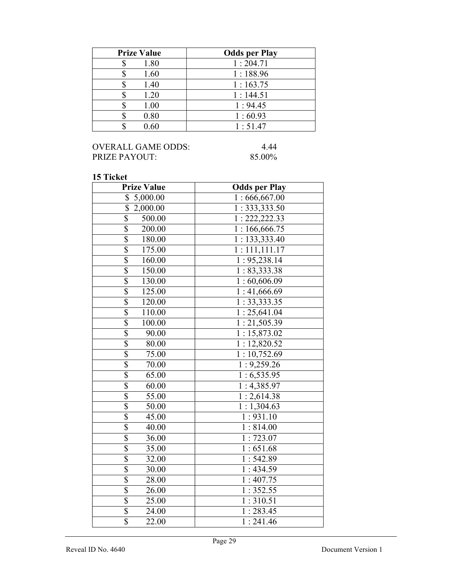| <b>Prize Value</b> | <b>Odds per Play</b> |
|--------------------|----------------------|
| 1.80               | 1:204.71             |
| 1.60               | 1:188.96             |
| 1.40               | 1:163.75             |
| 1.20               | 1:144.51             |
| 1.00               | 1:94.45              |
| 0.80               | 1:60.93              |
| 0.60               | 1:51.47              |

| OVERALL GAME ODDS: | 4.44   |
|--------------------|--------|
| PRIZE PAYOUT:      | 85.00% |

| 19 і іскеі<br><b>Prize Value</b>  | <b>Odds per Play</b>       |
|-----------------------------------|----------------------------|
| \$<br>5,000.00                    | $\overline{1:666,667.00}$  |
| $\overline{\$}$<br>2,000.00       | $\overline{1:33}3,333.50$  |
| $\overline{\$}$<br>500.00         | $\overline{1:}$ 222,222.33 |
| $\overline{\$}$<br>200.00         | $\overline{1:166,}666.75$  |
| \$<br>180.00                      | 1: 133, 333.40             |
| $\overline{\mathbb{S}}$<br>175.00 | $\overline{1:111,111}.17$  |
| $\overline{\$}$<br>160.00         | 1:95,238.14                |
| $\overline{\$}$<br>150.00         | 1:83,333.38                |
| \$<br>130.00                      | 1:60,606.09                |
| \$<br>125.00                      | 1:41,666.69                |
| \$<br>120.00                      | 1:33,333.35                |
| $\overline{\$}$<br>110.00         | 1:25,641.04                |
| $\overline{\$}$<br>100.00         | 1:21,505.39                |
| $\overline{\$}$<br>90.00          | 1:15,873.02                |
| \$<br>80.00                       | $\overline{1:}12,820.52$   |
| \$<br>75.00                       | 1:10,752.69                |
| $\overline{\$}$<br>70.00          | 1:9,259.26                 |
| \$<br>65.00                       | 1:6,535.95                 |
| \$<br>60.00                       | 1:4,385.97                 |
| \$<br>55.00                       | 1:2,614.38                 |
| \$<br>50.00                       | $\overline{1:}1,304.63$    |
| $\overline{\$}$<br>45.00          | 1:931.10                   |
| \$<br>40.00                       | 1:814.00                   |
| $\overline{\$}$<br>36.00          | 1:723.07                   |
| $\overline{\$}$<br>35.00          | 1:651.68                   |
| \$<br>32.00                       | 1:542.89                   |
| \$<br>30.00                       | $\overline{1:}$ 434.59     |
| $\overline{\mathbb{S}}$<br>28.00  | 1:407.75                   |
| \$<br>26.00                       | 1:352.55                   |
| $\overline{\$}$<br>25.00          | 1:310.51                   |
| $\overline{\$}$<br>24.00          | $1:283.\overline{45}$      |
| \$<br>22.00                       | 1:241.46                   |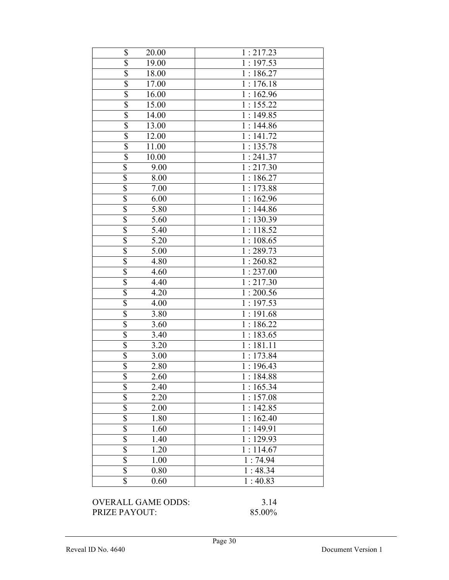| \$<br>1:217.23<br>20.00<br>\$<br>19.00<br>1:197.53<br>$\overline{\$}$<br>18.00<br>1:186.27<br>\$<br>17.00<br>1:176.18<br>$\overline{\$}$<br>16.00<br>1:162.96<br>$\overline{\$}$<br>1:155.22<br>$15.\overline{00}$<br>$\overline{\$}$<br>14.00<br>1:149.85<br>$\overline{\$}$<br>13.00<br>1:144.86<br>$\overline{\$}$<br>1:141.72<br>$12.\overline{00}$<br>$\overline{\mathbb{S}}$<br>11.00<br>1:135.78<br>$\overline{\$}$<br>1:241.37<br>10.00<br>$\overline{\$}$<br>1:217.30<br>9.00<br>\$<br>1:186.27<br>8.00<br>\$<br>1:173.88<br>7.00<br>$\overline{\mathbb{S}}$<br>6.00<br>1:162.96<br>$\overline{\$}$<br>1:144.86<br>5.80<br>$\overline{\mathbb{S}}$<br>1:130.39<br>5.60<br>$\overline{\mathbb{S}}$<br>5.40<br>1:118.52<br>$\overline{\$}$<br>5.20<br>1:108.65<br>$\overline{\$}$<br>1:289.73<br>5.00<br>\$<br>4.80<br>1:260.82<br>$\overline{\$}$<br>4.60<br>1:237.00<br>$\overline{\mathbb{S}}$<br>4.40<br>1:217.30<br>$\overline{\$}$<br>4.20<br>1:200.56<br>$\overline{\$}$<br>$1:197.\overline{53}$<br>4.00<br>$\overline{\mathbb{S}}$<br>3.80<br>1:191.68<br>$\overline{\$}$<br>1:186.22<br>3.60<br>$\overline{\mathbb{S}}$<br>1:183.65<br>3.40<br>\$<br>1:181.11<br>3.20<br>$\overline{\$}$<br>1:173.84<br>3.00<br>$\overline{\$}$<br>2.80<br>1:196.43<br>\$<br>2.60<br>1:184.88<br>\$<br>1:165.34<br>2.40<br>\$<br>1:157.08<br>2.20 |            |          |
|----------------------------------------------------------------------------------------------------------------------------------------------------------------------------------------------------------------------------------------------------------------------------------------------------------------------------------------------------------------------------------------------------------------------------------------------------------------------------------------------------------------------------------------------------------------------------------------------------------------------------------------------------------------------------------------------------------------------------------------------------------------------------------------------------------------------------------------------------------------------------------------------------------------------------------------------------------------------------------------------------------------------------------------------------------------------------------------------------------------------------------------------------------------------------------------------------------------------------------------------------------------------------------------------------------------------------------------------------|------------|----------|
|                                                                                                                                                                                                                                                                                                                                                                                                                                                                                                                                                                                                                                                                                                                                                                                                                                                                                                                                                                                                                                                                                                                                                                                                                                                                                                                                                    |            |          |
|                                                                                                                                                                                                                                                                                                                                                                                                                                                                                                                                                                                                                                                                                                                                                                                                                                                                                                                                                                                                                                                                                                                                                                                                                                                                                                                                                    |            |          |
|                                                                                                                                                                                                                                                                                                                                                                                                                                                                                                                                                                                                                                                                                                                                                                                                                                                                                                                                                                                                                                                                                                                                                                                                                                                                                                                                                    |            |          |
|                                                                                                                                                                                                                                                                                                                                                                                                                                                                                                                                                                                                                                                                                                                                                                                                                                                                                                                                                                                                                                                                                                                                                                                                                                                                                                                                                    |            |          |
|                                                                                                                                                                                                                                                                                                                                                                                                                                                                                                                                                                                                                                                                                                                                                                                                                                                                                                                                                                                                                                                                                                                                                                                                                                                                                                                                                    |            |          |
|                                                                                                                                                                                                                                                                                                                                                                                                                                                                                                                                                                                                                                                                                                                                                                                                                                                                                                                                                                                                                                                                                                                                                                                                                                                                                                                                                    |            |          |
|                                                                                                                                                                                                                                                                                                                                                                                                                                                                                                                                                                                                                                                                                                                                                                                                                                                                                                                                                                                                                                                                                                                                                                                                                                                                                                                                                    |            |          |
|                                                                                                                                                                                                                                                                                                                                                                                                                                                                                                                                                                                                                                                                                                                                                                                                                                                                                                                                                                                                                                                                                                                                                                                                                                                                                                                                                    |            |          |
|                                                                                                                                                                                                                                                                                                                                                                                                                                                                                                                                                                                                                                                                                                                                                                                                                                                                                                                                                                                                                                                                                                                                                                                                                                                                                                                                                    |            |          |
|                                                                                                                                                                                                                                                                                                                                                                                                                                                                                                                                                                                                                                                                                                                                                                                                                                                                                                                                                                                                                                                                                                                                                                                                                                                                                                                                                    |            |          |
|                                                                                                                                                                                                                                                                                                                                                                                                                                                                                                                                                                                                                                                                                                                                                                                                                                                                                                                                                                                                                                                                                                                                                                                                                                                                                                                                                    |            |          |
|                                                                                                                                                                                                                                                                                                                                                                                                                                                                                                                                                                                                                                                                                                                                                                                                                                                                                                                                                                                                                                                                                                                                                                                                                                                                                                                                                    |            |          |
|                                                                                                                                                                                                                                                                                                                                                                                                                                                                                                                                                                                                                                                                                                                                                                                                                                                                                                                                                                                                                                                                                                                                                                                                                                                                                                                                                    |            |          |
|                                                                                                                                                                                                                                                                                                                                                                                                                                                                                                                                                                                                                                                                                                                                                                                                                                                                                                                                                                                                                                                                                                                                                                                                                                                                                                                                                    |            |          |
|                                                                                                                                                                                                                                                                                                                                                                                                                                                                                                                                                                                                                                                                                                                                                                                                                                                                                                                                                                                                                                                                                                                                                                                                                                                                                                                                                    |            |          |
|                                                                                                                                                                                                                                                                                                                                                                                                                                                                                                                                                                                                                                                                                                                                                                                                                                                                                                                                                                                                                                                                                                                                                                                                                                                                                                                                                    |            |          |
|                                                                                                                                                                                                                                                                                                                                                                                                                                                                                                                                                                                                                                                                                                                                                                                                                                                                                                                                                                                                                                                                                                                                                                                                                                                                                                                                                    |            |          |
|                                                                                                                                                                                                                                                                                                                                                                                                                                                                                                                                                                                                                                                                                                                                                                                                                                                                                                                                                                                                                                                                                                                                                                                                                                                                                                                                                    |            |          |
|                                                                                                                                                                                                                                                                                                                                                                                                                                                                                                                                                                                                                                                                                                                                                                                                                                                                                                                                                                                                                                                                                                                                                                                                                                                                                                                                                    |            |          |
|                                                                                                                                                                                                                                                                                                                                                                                                                                                                                                                                                                                                                                                                                                                                                                                                                                                                                                                                                                                                                                                                                                                                                                                                                                                                                                                                                    |            |          |
|                                                                                                                                                                                                                                                                                                                                                                                                                                                                                                                                                                                                                                                                                                                                                                                                                                                                                                                                                                                                                                                                                                                                                                                                                                                                                                                                                    |            |          |
|                                                                                                                                                                                                                                                                                                                                                                                                                                                                                                                                                                                                                                                                                                                                                                                                                                                                                                                                                                                                                                                                                                                                                                                                                                                                                                                                                    |            |          |
|                                                                                                                                                                                                                                                                                                                                                                                                                                                                                                                                                                                                                                                                                                                                                                                                                                                                                                                                                                                                                                                                                                                                                                                                                                                                                                                                                    |            |          |
|                                                                                                                                                                                                                                                                                                                                                                                                                                                                                                                                                                                                                                                                                                                                                                                                                                                                                                                                                                                                                                                                                                                                                                                                                                                                                                                                                    |            |          |
|                                                                                                                                                                                                                                                                                                                                                                                                                                                                                                                                                                                                                                                                                                                                                                                                                                                                                                                                                                                                                                                                                                                                                                                                                                                                                                                                                    |            |          |
|                                                                                                                                                                                                                                                                                                                                                                                                                                                                                                                                                                                                                                                                                                                                                                                                                                                                                                                                                                                                                                                                                                                                                                                                                                                                                                                                                    |            |          |
|                                                                                                                                                                                                                                                                                                                                                                                                                                                                                                                                                                                                                                                                                                                                                                                                                                                                                                                                                                                                                                                                                                                                                                                                                                                                                                                                                    |            |          |
|                                                                                                                                                                                                                                                                                                                                                                                                                                                                                                                                                                                                                                                                                                                                                                                                                                                                                                                                                                                                                                                                                                                                                                                                                                                                                                                                                    |            |          |
|                                                                                                                                                                                                                                                                                                                                                                                                                                                                                                                                                                                                                                                                                                                                                                                                                                                                                                                                                                                                                                                                                                                                                                                                                                                                                                                                                    |            |          |
|                                                                                                                                                                                                                                                                                                                                                                                                                                                                                                                                                                                                                                                                                                                                                                                                                                                                                                                                                                                                                                                                                                                                                                                                                                                                                                                                                    |            |          |
|                                                                                                                                                                                                                                                                                                                                                                                                                                                                                                                                                                                                                                                                                                                                                                                                                                                                                                                                                                                                                                                                                                                                                                                                                                                                                                                                                    |            |          |
|                                                                                                                                                                                                                                                                                                                                                                                                                                                                                                                                                                                                                                                                                                                                                                                                                                                                                                                                                                                                                                                                                                                                                                                                                                                                                                                                                    |            |          |
|                                                                                                                                                                                                                                                                                                                                                                                                                                                                                                                                                                                                                                                                                                                                                                                                                                                                                                                                                                                                                                                                                                                                                                                                                                                                                                                                                    |            |          |
|                                                                                                                                                                                                                                                                                                                                                                                                                                                                                                                                                                                                                                                                                                                                                                                                                                                                                                                                                                                                                                                                                                                                                                                                                                                                                                                                                    |            |          |
|                                                                                                                                                                                                                                                                                                                                                                                                                                                                                                                                                                                                                                                                                                                                                                                                                                                                                                                                                                                                                                                                                                                                                                                                                                                                                                                                                    | \$<br>2.00 | 1:142.85 |
| \$<br>1:162.40<br>1.80                                                                                                                                                                                                                                                                                                                                                                                                                                                                                                                                                                                                                                                                                                                                                                                                                                                                                                                                                                                                                                                                                                                                                                                                                                                                                                                             |            |          |
| $\overline{\$}$<br>1:149.91<br>1.60                                                                                                                                                                                                                                                                                                                                                                                                                                                                                                                                                                                                                                                                                                                                                                                                                                                                                                                                                                                                                                                                                                                                                                                                                                                                                                                |            |          |
| \$<br>1.40<br>1:129.93                                                                                                                                                                                                                                                                                                                                                                                                                                                                                                                                                                                                                                                                                                                                                                                                                                                                                                                                                                                                                                                                                                                                                                                                                                                                                                                             |            |          |
| \$<br>1.20<br>1:114.67                                                                                                                                                                                                                                                                                                                                                                                                                                                                                                                                                                                                                                                                                                                                                                                                                                                                                                                                                                                                                                                                                                                                                                                                                                                                                                                             |            |          |
| \$<br>1.00<br>1:74.94                                                                                                                                                                                                                                                                                                                                                                                                                                                                                                                                                                                                                                                                                                                                                                                                                                                                                                                                                                                                                                                                                                                                                                                                                                                                                                                              |            |          |
| $\overline{\$}$<br>1:48.34<br>0.80                                                                                                                                                                                                                                                                                                                                                                                                                                                                                                                                                                                                                                                                                                                                                                                                                                                                                                                                                                                                                                                                                                                                                                                                                                                                                                                 |            |          |
| $\overline{\$}$<br>1:40.83<br>0.60                                                                                                                                                                                                                                                                                                                                                                                                                                                                                                                                                                                                                                                                                                                                                                                                                                                                                                                                                                                                                                                                                                                                                                                                                                                                                                                 |            |          |

## OVERALL GAME ODDS: 3.14<br>PRIZE PAYOUT: 85.00% PRIZE PAYOUT: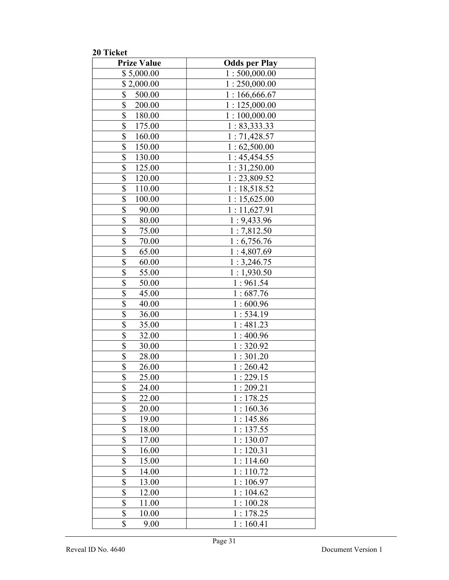20 Ticket

| <b>Prize Value</b>        | <b>Odds per Play</b> |
|---------------------------|----------------------|
| \$5,000.00                | 1:500,000.00         |
| \$2,000.00                | 1:250,000.00         |
| \$<br>500.00              | 1:166,666.67         |
| $\overline{\$}$<br>200.00 | 1:125,000.00         |
| \$<br>180.00              | 1:100,000.00         |
| $\overline{\$}$<br>175.00 | 1: 83,333.33         |
| \$<br>160.00              | 1:71,428.57          |
| \$<br>150.00              | 1:62,500.00          |
| \$<br>130.00              | 1:45,454.55          |
| \$<br>125.00              | 1:31,250.00          |
| \$<br>120.00              | 1:23,809.52          |
| \$<br>110.00              | 1:18,518.52          |
| \$<br>100.00              | 1:15,625.00          |
| \$<br>90.00               | 1:11,627.91          |
| \$<br>80.00               | 1:9,433.96           |
| \$<br>75.00               | 1:7,812.50           |
| \$<br>70.00               | 1:6,756.76           |
| $\overline{\$}$<br>65.00  | 1:4,807.69           |
| $\overline{\$}$<br>60.00  | 1:3,246.75           |
| \$<br>55.00               | 1:1,930.50           |
| $\overline{\$}$<br>50.00  | 1:961.54             |
| \$<br>45.00               | 1:687.76             |
| \$<br>40.00               | 1:600.96             |
| \$<br>36.00               | 1:534.19             |
| \$<br>35.00               | 1:481.23             |
| \$<br>32.00               | 1:400.96             |
| \$<br>30.00               | 1:320.92             |
| \$<br>28.00               | 1:301.20             |
| \$<br>26.00               | 1:260.42             |
| \$<br>25.00               | 1:229.15             |
| \$<br>24.00               | 1:209.21             |
| \$<br>22.00               | 1:178.25             |
| \$<br>20.00               | 1:160.36             |
| \$<br>19.00               | 1:145.86             |
| \$<br>18.00               | 1:137.55             |
| $\overline{\$}$<br>17.00  | 1:130.07             |
| \$<br>16.00               | 1:120.31             |
| \$<br>15.00               | 1:114.60             |
| \$<br>14.00               | 1:110.72             |
| \$<br>13.00               | 1:106.97             |
| \$<br>12.00               | 1:104.62             |
| \$<br>11.00               | 1:100.28             |
| \$<br>10.00               | 1:178.25             |
| \$<br>9.00                | 1:160.41             |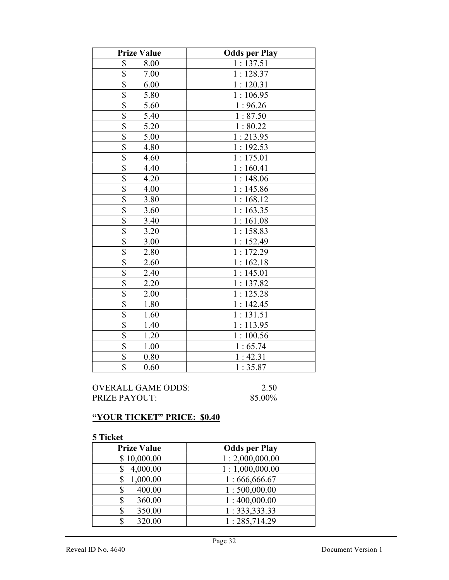| <b>Prize Value</b>              | <b>Odds per Play</b> |
|---------------------------------|----------------------|
| \$<br>8.00                      | 1:137.51             |
| \$<br>7.00                      | 1:128.37             |
| $\overline{\$}$<br>6.00         | 1:120.31             |
| \$<br>5.80                      | 1:106.95             |
| $\overline{\$}$<br>5.60         | 1:96.26              |
| $\overline{\mathbb{S}}$<br>5.40 | 1:87.50              |
| \$<br>5.20                      | 1:80.22              |
| $\overline{\$}$<br>5.00         | 1:213.95             |
| $\overline{\mathbb{S}}$<br>4.80 | 1:192.53             |
| \$<br>4.60                      | 1:175.01             |
| \$<br>4.40                      | 1:160.41             |
| $\overline{\mathbb{S}}$<br>4.20 | 1:148.06             |
| $\overline{\$}$<br>4.00         | 1:145.86             |
| $\overline{\mathbb{S}}$<br>3.80 | 1:168.12             |
| $\overline{\$}$<br>3.60         | 1:163.35             |
| \$<br>3.40                      | 1:161.08             |
| \$<br>3.20                      | 1:158.83             |
| $\overline{\mathbb{S}}$<br>3.00 | 1:152.49             |
| $\overline{\mathbb{S}}$<br>2.80 | 1:172.29             |
| \$<br>2.60                      | 1:162.18             |
| \$<br>2.40                      | 1:145.01             |
| \$<br>2.20                      | 1:137.82             |
| $\overline{\$}$<br>2.00         | 1:125.28             |
| $\overline{\$}$<br>1.80         | 1:142.45             |
| \$<br>1.60                      | 1:131.51             |
| \$<br>1.40                      | 1:113.95             |
| \$<br>1.20                      | 1:100.56             |
| $\overline{\$}$<br>1.00         | 1:65.74              |
| $\overline{\$}$<br>0.80         | 1:42.31              |
| \$<br>0.60                      | 1:35.87              |

OVERALL GAME ODDS: 2.50<br>PRIZE PAYOUT: 85.00% PRIZE PAYOUT:

# "YOUR TICKET" PRICE: \$0.40

| <b>Prize Value</b> | <b>Odds per Play</b> |
|--------------------|----------------------|
| \$10,000.00        | 1:2,000,000.00       |
| 4,000.00           | 1:1,000,000.00       |
| 1,000.00           | 1:666,666.67         |
| 400.00             | 1:500,000.00         |
| 360.00             | 1:400,000.00         |
| 350.00<br>S        | 1: 333, 333.33       |
| 320.00             | 1:285,714.29         |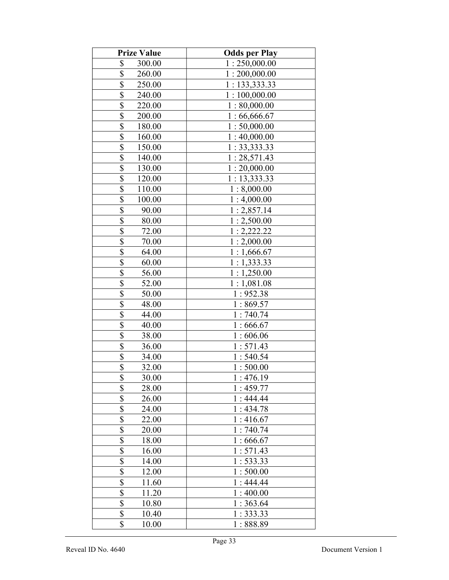| <b>Prize Value</b>                  | <b>Odds per Play</b> |
|-------------------------------------|----------------------|
| \$<br>300.00                        | 1:250,000.00         |
| $\boldsymbol{\mathsf{S}}$<br>260.00 | 1:200,000.00         |
| $\overline{\$}$<br>250.00           | 1:133,333.33         |
| $\overline{\$}$<br>240.00           | 1:100,000.00         |
| $\overline{\$}$<br>220.00           | 1:80,000.00          |
| \$<br>200.00                        | 1:66,666.67          |
| $\overline{\mathcal{S}}$<br>180.00  | 1:50,000.00          |
| $\overline{\$}$<br>160.00           | 1:40,000.00          |
| $\overline{\$}$<br>150.00           | 1:33,333.33          |
| \$<br>140.00                        | 1:28,571.43          |
| \$<br>130.00                        | 1:20,000.00          |
| \$<br>120.00                        | 1:13,333.33          |
| \$<br>110.00                        | 1:8,000.00           |
| \$<br>100.00                        | 1:4,000.00           |
| \$<br>90.00                         | 1:2,857.14           |
| $\overline{\$}$<br>80.00            | 1:2,500.00           |
| \$<br>72.00                         | 1:2,222.22           |
| $\overline{\$}$<br>70.00            | 1:2,000.00           |
| $\overline{\$}$<br>64.00            | 1:1,666.67           |
| \$<br>60.00                         | 1:1,333.33           |
| \$<br>56.00                         | 1:1,250.00           |
| $\overline{\$}$<br>52.00            | 1:1,081.08           |
| \$<br>50.00                         | 1:952.38             |
| \$<br>48.00                         | 1:869.57             |
| $\overline{\$}$<br>44.00            | 1:740.74             |
| \$<br>40.00                         | 1:666.67             |
| \$<br>38.00                         | 1:606.06             |
| \$<br>36.00                         | 1:571.43             |
| \$<br>34.00                         | 1:540.54             |
| \$<br>32.00                         | 1:500.00             |
| \$<br>30.00                         | 1:476.19             |
| \$<br>28.00                         | 1:459.77             |
| \$<br>26.00                         | 1:444.44             |
| $\overline{\$}$<br>24.00            | 1:434.78             |
| $\overline{\mathbb{S}}$<br>22.00    | 1:416.67             |
| $\overline{\mathcal{S}}$<br>20.00   | 1:740.74             |
| $\overline{\$}$<br>18.00            | 1:666.67             |
| $\overline{\mathbb{S}}$<br>16.00    | 1:571.43             |
| $\overline{\$}$<br>14.00            | 1:533.33             |
| \$<br>12.00                         | 1:500.00             |
| \$<br>11.60                         | 1:444.44             |
| \$<br>11.20                         | 1:400.00             |
| \$<br>10.80                         | 1:363.64             |
| \$<br>10.40                         | 1:333.33             |
| \$<br>10.00                         | 1:888.89             |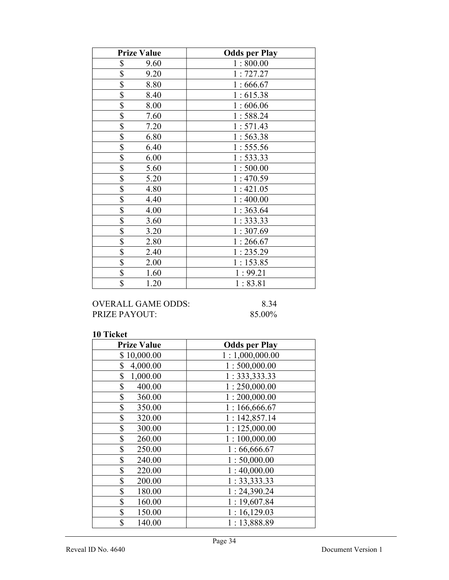| <b>Prize Value</b> | <b>Odds per Play</b> |
|--------------------|----------------------|
| \$<br>9.60         | 1:800.00             |
| \$<br>9.20         | 1:727.27             |
| \$<br>8.80         | 1:666.67             |
| \$<br>8.40         | 1:615.38             |
| \$<br>8.00         | 1:606.06             |
| \$<br>7.60         | 1:588.24             |
| \$<br>7.20         | 1:571.43             |
| \$<br>6.80         | 1:563.38             |
| \$<br>6.40         | 1:555.56             |
| \$<br>6.00         | 1:533.33             |
| \$<br>5.60         | 1:500.00             |
| \$<br>5.20         | 1:470.59             |
| \$<br>4.80         | 1:421.05             |
| \$<br>4.40         | 1:400.00             |
| \$<br>4.00         | 1:363.64             |
| \$<br>3.60         | 1:333.33             |
| \$<br>3.20         | 1:307.69             |
| \$<br>2.80         | 1:266.67             |
| \$<br>2.40         | 1:235.29             |
| \$<br>2.00         | 1:153.85             |
| \$<br>1.60         | 1:99.21              |
| \$<br>1.20         | 1:83.81              |

# OVERALL GAME ODDS: 8.34<br>PRIZE PAYOUT: 85.00% PRIZE PAYOUT:

| <b>Prize Value</b> | <b>Odds per Play</b> |
|--------------------|----------------------|
| \$10,000.00        | 1:1,000,000.00       |
| \$<br>4,000.00     | 1:500,000.00         |
| \$<br>1,000.00     | 1: 333, 333.33       |
| \$<br>400.00       | 1:250,000.00         |
| \$<br>360.00       | 1:200,000.00         |
| \$<br>350.00       | 1:166,666.67         |
| \$<br>320.00       | 1:142,857.14         |
| \$<br>300.00       | 1:125,000.00         |
| \$<br>260.00       | 1:100,000.00         |
| \$<br>250.00       | 1:66,666.67          |
| \$<br>240.00       | 1:50,000.00          |
| \$<br>220.00       | 1:40,000.00          |
| \$<br>200.00       | 1:33,333.33          |
| \$<br>180.00       | 1:24,390.24          |
| \$<br>160.00       | 1:19,607.84          |
| \$<br>150.00       | 1:16,129.03          |
| \$<br>140.00       | 1:13,888.89          |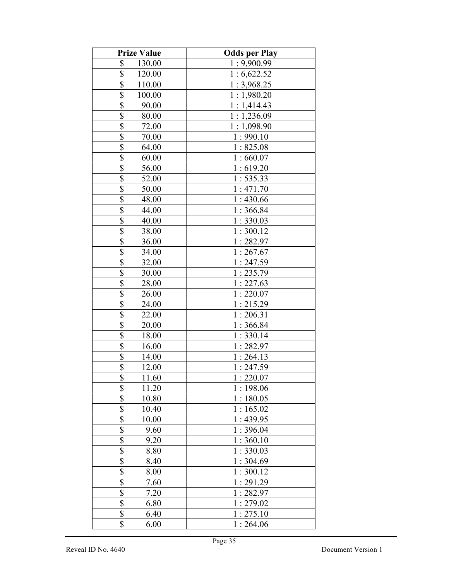| <b>Prize Value</b>                         | <b>Odds per Play</b> |
|--------------------------------------------|----------------------|
| \$<br>130.00                               | 1:9,900.99           |
| \$<br>120.00                               | 1:6,622.52           |
| \$<br>110.00                               | 1:3,968.25           |
| \$<br>100.00                               | 1:1,980.20           |
| \$<br>90.00                                | 1:1,414.43           |
| \$<br>80.00                                | 1:1,236.09           |
| \$<br>72.00                                | 1:1,098.90           |
| \$<br>70.00                                | 1:990.10             |
| \$<br>64.00                                | 1:825.08             |
| $\overline{\mathcal{S}}$<br>60.00          | 1:660.07             |
| \$<br>56.00                                | 1:619.20             |
| $\overline{\mathbb{S}}$<br>52.00           | 1:535.33             |
| $\overline{\mathbb{S}}$<br>50.00           | 1:471.70             |
| \$<br>48.00                                | 1:430.66             |
| $\overline{\mathbb{S}}$<br>44.00           | 1:366.84             |
| \$<br>40.00                                | 1:330.03             |
| \$<br>38.00                                | 1:300.12             |
| \$<br>36.00                                | 1:282.97             |
| \$<br>34.00                                | 1:267.67             |
| \$<br>32.00                                | 1:247.59             |
| \$<br>30.00                                | 1:235.79             |
| \$<br>28.00                                | 1:227.63             |
| $\overline{\mathcal{S}}$<br>26.00          | 1:220.07             |
| $\overline{\$}$<br>24.00                   | 1:215.29             |
| $\overline{\$}$<br>22.00                   | 1:206.31             |
| $\overline{\$}$<br>20.00                   | 1:366.84             |
| \$<br>18.00                                | 1:330.14             |
| $\overline{\mathcal{S}}$<br>16.00          | 1:282.97             |
| \$<br>14.00                                | 1:264.13             |
| $\overline{\$}$<br>12.00                   | 1:247.59             |
| \$<br>11.60                                | 1:220.07             |
| \$<br>11.20                                | 1:198.06             |
| \$<br>10.80                                | 1:180.05             |
| \$<br>10.40                                | 1:165.02             |
| \$<br>10.00                                | 1:439.95             |
| \$<br>9.60                                 | 1:396.04             |
| \$<br>9.20                                 | 1:360.10             |
| \$<br>8.80                                 | 1:330.03             |
| \$<br>8.40                                 | 1:304.69             |
| \$<br>8.00                                 | 1:300.12             |
| \$<br>7.60                                 | 1:291.29             |
| $\overline{\overline{\mathbb{S}}}$<br>7.20 | 1:282.97             |
| $\overline{\$}$<br>6.80                    | 1:279.02             |
| \$<br>6.40                                 | 1:275.10             |
| \$<br>6.00                                 | 1:264.06             |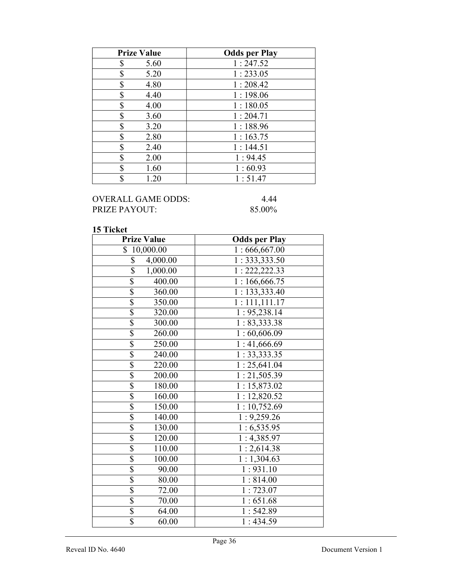| <b>Prize Value</b> | <b>Odds per Play</b> |
|--------------------|----------------------|
| S<br>5.60          | 1:247.52             |
| \$<br>5.20         | 1:233.05             |
| \$<br>4.80         | 1:208.42             |
| \$<br>4.40         | 1:198.06             |
| \$<br>4.00         | 1:180.05             |
| \$<br>3.60         | 1:204.71             |
| \$<br>3.20         | 1:188.96             |
| \$<br>2.80         | 1:163.75             |
| \$<br>2.40         | 1:144.51             |
| \$<br>2.00         | 1:94.45              |
| \$<br>1.60         | 1:60.93              |
| \$<br>1.20         | 1:51.47              |

## OVERALL GAME ODDS: 4.44<br>PRIZE PAYOUT: 85.00% PRIZE PAYOUT:

| <b>Prize Value</b>          | <b>Odds per Play</b>     |
|-----------------------------|--------------------------|
| \$10,000.00                 | 1:666,667.00             |
| \$<br>4,000.00              | 1: 333, 333.50           |
| $\overline{\$}$<br>1,000.00 | 1: 222, 222.33           |
| $\overline{\$}$<br>400.00   | 1:166, 666.75            |
| \$<br>360.00                | 1: 133, 333.40           |
| \$<br>350.00                | 1:111,111.17             |
| \$<br>320.00                | 1:95,238.14              |
| \$<br>300.00                | 1: 83,333.38             |
| \$<br>260.00                | 1:60,606.09              |
| $\overline{\$}$<br>250.00   | $\overline{1:41,666.69}$ |
| $\overline{\$}$<br>240.00   | 1: 33,333.35             |
| $\overline{\$}$<br>220.00   | 1:25,641.04              |
| \$<br>200.00                | 1:21,505.39              |
| \$<br>180.00                | 1:15,873.02              |
| $\overline{\$}$<br>160.00   | 1:12,820.52              |
| $\overline{\$}$<br>150.00   | 1:10,752.69              |
| \$<br>140.00                | 1:9,259.26               |
| \$<br>130.00                | 1:6,535.95               |
| $\overline{\$}$<br>120.00   | 1:4,385.97               |
| $\overline{\$}$<br>110.00   | 1:2,614.38               |
| $\overline{\$}$<br>100.00   | 1:1,304.63               |
| $\overline{\$}$<br>90.00    | $1:931.\overline{10}$    |
| $\overline{\$}$<br>80.00    | 1:814.00                 |
| $\overline{\$}$<br>72.00    | 1:723.07                 |
| \$<br>70.00                 | 1:651.68                 |
| \$<br>64.00                 | 1:542.89                 |
| $\overline{\$}$<br>60.00    | 1:434.59                 |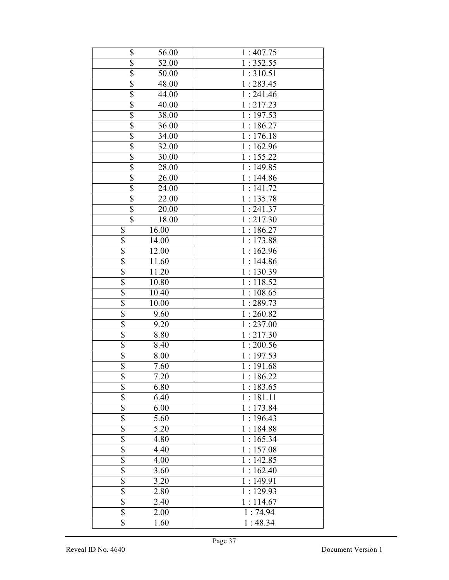| \$                      | 56.00              | 1:407.75               |
|-------------------------|--------------------|------------------------|
| $\overline{\$}$         | 52.00              | 1:352.55               |
| \$                      | 50.00              | 1:310.51               |
| $\overline{\$}$         | 48.00              | 1:283.45               |
| $\overline{\$}$         | 44.00              | 1:241.46               |
| $\overline{\$}$         | $40.\overline{00}$ | 1:217.23               |
| \$                      | 38.00              | 1:197.53               |
| $\overline{\$}$         | 36.00              | 1:186.27               |
| $\overline{\mathbb{S}}$ | 34.00              | $1:176.\overline{18}$  |
| $\overline{\mathbb{S}}$ | 32.00              | 1:162.96               |
| $\overline{\$}$         | 30.00              | 1:155.22               |
| $\overline{\$}$         | 28.00              | 1:149.85               |
| $\overline{\$}$         | 26.00              | 1:144.86               |
| $\overline{\mathbb{S}}$ | 24.00              | 1:141.72               |
| $\overline{\mathbb{S}}$ | 22.00              | 1:135.78               |
| $\overline{\$}$         | 20.00              | $\overline{1:}$ 241.37 |
| $\overline{\$}$         | 18.00              | 1:217.30               |
| \$                      | 16.00              | 1:186.27               |
| $\overline{\$}$         | 14.00              | $\overline{1:}173.88$  |
| $\overline{\$}$         | 12.00              | 1:162.96               |
| $\overline{\$}$         | 11.60              | 1:144.86               |
| $\overline{\$}$         | 11.20              | 1:130.39               |
| $\overline{\mathbb{S}}$ | 10.80              | 1:118.52               |
| $\overline{\$}$         | 10.40              | 1:108.65               |
| $\overline{\$}$         | 10.00              | 1:289.73               |
| $\overline{\$}$         | 9.60               | 1:260.82               |
| \$                      | 9.20               | 1:237.00               |
| $\overline{\$}$         | 8.80               | 1:217.30               |
| $\overline{\$}$         | 8.40               | 1:200.56               |
| $\overline{\$}$         | 8.00               | 1:197.53               |
| $\overline{\$}$         | 7.60               | 1:191.68               |
| \$                      | 7.20               | 1:186.22               |
| \$                      | 6.80               | 1:183.65               |
|                         | 6.40               | 1:181.11               |
| $\frac{3}{3}$           | 6.00               | 1:173.84               |
| \$                      | 5.60               | 1:196.43               |
| \$                      | 5.20               | 1:184.88               |
| $\overline{\mathbb{S}}$ | 4.80               | 1:165.34               |
| \$                      | 4.40               | 1:157.08               |
| \$                      |                    | 1:142.85               |
|                         | 4.00               |                        |
| \$                      | 3.60               | 1:162.40               |
| $rac{1}{3}$             | 3.20               | 1:149.91               |
|                         | 2.80               | 1:129.93               |
| \$                      | 2.40               | 1:114.67               |
| \$                      | 2.00               | 1:74.94                |
| \$                      | 1.60               | 1:48.34                |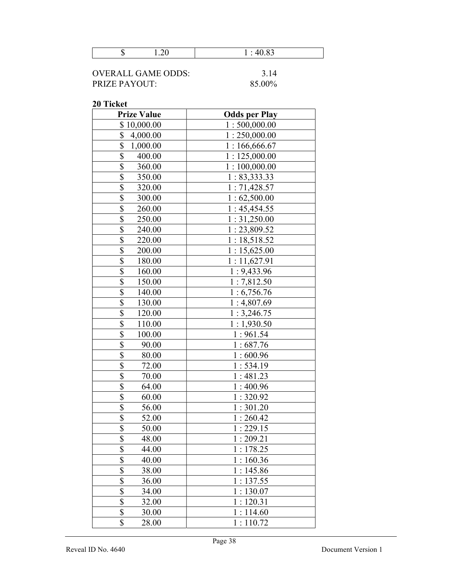| $ -$ | .10.05<br>$\sim$ |
|------|------------------|
|      |                  |

| OVERALL GAME ODDS:   | 3.14   |
|----------------------|--------|
| <b>PRIZE PAYOUT:</b> | 85.00% |

| <b>Prize Value</b>                  | <b>Odds per Play</b> |
|-------------------------------------|----------------------|
| \$10,000.00                         | 1:500,000.00         |
| \$<br>4,000.00                      | 1:250,000.00         |
| \$<br>1,000.00                      | 1:166,666.67         |
| \$<br>400.00                        | 1:125,000.00         |
| \$<br>360.00                        | 1:100,000.00         |
| $\overline{\$}$<br>350.00           | 1: 83,333.33         |
| $\overline{\$}$<br>320.00           | 1:71,428.57          |
| $\overline{\mathcal{S}}$<br>300.00  | 1:62,500.00          |
| $\overline{\$}$<br>260.00           | 1:45,454.55          |
| $\overline{\$}$<br>250.00           | 1:31,250.00          |
| $\overline{\$}$<br>240.00           | 1:23,809.52          |
| $\boldsymbol{\mathsf{S}}$<br>220.00 | 1:18,518.52          |
| $\overline{\mathbb{S}}$<br>200.00   | 1:15,625.00          |
| \$<br>180.00                        | 1:11,627.91          |
| $\overline{\$}$<br>160.00           | 1:9,433.96           |
| \$<br>150.00                        | 1:7,812.50           |
| \$<br>140.00                        | 1:6,756.76           |
| \$<br>130.00                        | 1:4,807.69           |
| \$<br>120.00                        | 1:3,246.75           |
| \$<br>110.00                        | 1:1,930.50           |
| \$<br>100.00                        | 1:961.54             |
| $\overline{\$}$<br>90.00            | 1:687.76             |
| \$<br>80.00                         | 1:600.96             |
| \$<br>72.00                         | 1:534.19             |
| $\overline{\$}$<br>70.00            | 1:481.23             |
| $\overline{\mathbb{S}}$<br>64.00    | 1:400.96             |
| $\overline{\$}$<br>60.00            | 1:320.92             |
| $\overline{\$}$<br>56.00            | 1:301.20             |
| $\overline{\mathbb{S}}$<br>52.00    | 1:260.42             |
| \$<br>50.00                         | 1:229.15             |
| $\triangle$<br>48.00<br>P           | 1:209.21             |
| \$<br>44.00                         | 1:178.25             |
| \$<br>40.00                         | 1:160.36             |
| \$<br>38.00                         | 1:145.86             |
| \$<br>36.00                         | 1:137.55             |
| \$<br>34.00                         | 1:130.07             |
| $\overline{\$}$<br>32.00            | 1:120.31             |
| $\overline{\mathbb{S}}$<br>30.00    | 1:114.60             |
| $\overline{\$}$<br>28.00            | 1:110.72             |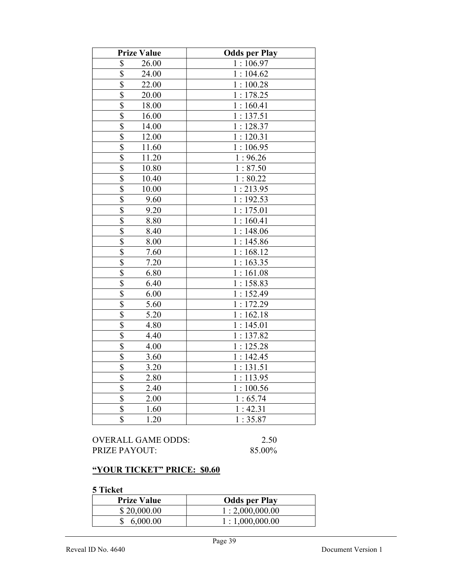| <b>Prize Value</b>                | <b>Odds per Play</b>    |
|-----------------------------------|-------------------------|
| \$<br>26.00                       | 1:106.97                |
| 24.00                             | 1:104.62                |
| $rac{S}{S}$<br>22.00              | 1:100.28                |
| $\overline{\mathcal{S}}$<br>20.00 | 1:178.25                |
| \$<br>18.00                       | 1:160.41                |
| \$<br>16.00                       | 1:137.51                |
| $\overline{\$}$<br>14.00          | 1:128.37                |
| $\overline{\$}$<br>12.00          | $\overline{1:}$ 120.31  |
| \$<br>11.60                       | 1:106.95                |
| $\overline{\$}$<br>11.20          | 1:96.26                 |
| $\overline{\$}$<br>10.80          | 1:87.50                 |
| $\overline{\$}$<br>10.40          | 1:80.22                 |
| $\overline{\$}$<br>10.00          | 1:213.95                |
| \$<br>9.60                        | 1:192.53                |
| $\overline{\mathbb{S}}$<br>9.20   | 1:175.01                |
| $\overline{\mathbb{S}}$<br>8.80   | 1:160.41                |
| $\overline{\mathbb{S}}$<br>8.40   | 1:148.06                |
| $\overline{\mathbb{S}}$<br>8.00   | 1:145.86                |
| $rac{1}{3}$<br>7.60               | 1:168.12                |
| 7.20                              | 1:163.35                |
| $\overline{\mathbb{S}}$<br>6.80   | 1:161.08                |
| $\overline{\$}$<br>6.40           | 1:158.83                |
| $\overline{\$}$<br>6.00           | $\overline{1}$ : 152.49 |
| $\overline{\$}$<br>5.60           | 1:172.29                |
| $\overline{\$}$<br>5.20           | 1:162.18                |
| $\overline{\$}$<br>4.80           | 1:145.01                |
| $\overline{\$}$<br>4.40           | 1:137.82                |
| $\boldsymbol{\mathsf{S}}$<br>4.00 | 1:125.28                |
| $\overline{\$}$<br>3.60           | 1:142.45                |
| \$<br>3.20                        | 1:131.51                |
| \$<br>2.80                        | 1:113.95                |
| $\overline{\$}$<br>2.40           | 1:100.56                |
| \$<br>2.00                        | 1:65.74                 |
| \$<br>1.60                        | 1:42.31                 |
| \$<br>1.20                        | 1:35.87                 |

| OVERALL GAME ODDS: | 2.50   |
|--------------------|--------|
| PRIZE PAYOUT:      | 85.00% |

# "YOUR TICKET" PRICE: \$0.60

| <b>Prize Value</b> | <b>Odds per Play</b> |
|--------------------|----------------------|
| \$20,000.00        | 1:2,000,000.00       |
| 6,000.00           | 1:1,000,000.00       |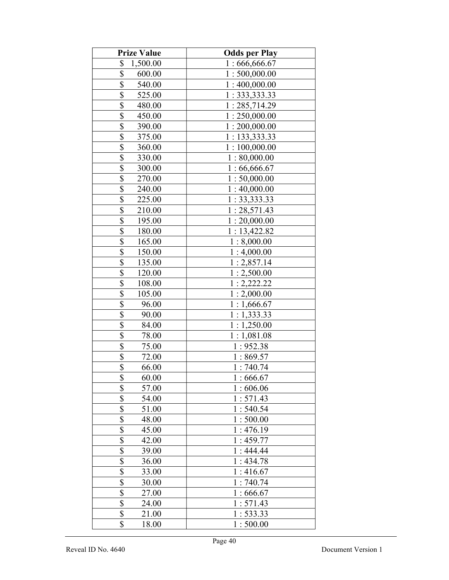| <b>Prize Value</b>               | <b>Odds per Play</b> |
|----------------------------------|----------------------|
| \$<br>1,500.00                   | 1:666,666.67         |
| \$<br>600.00                     | 1:500,000.00         |
| \$<br>540.00                     | 1:400,000.00         |
| \$<br>525.00                     | 1: 333, 333.33       |
| \$<br>480.00                     | 1:285,714.29         |
| \$<br>450.00                     | 1:250,000.00         |
| \$<br>390.00                     | 1:200,000.00         |
| \$<br>375.00                     | 1: 133,333.33        |
| \$<br>360.00                     | 1:100,000.00         |
| \$<br>330.00                     | 1:80,000.00          |
| $\overline{\$}$<br>300.00        | 1:66,666.67          |
| $\overline{\$}$<br>270.00        | 1:50,000.00          |
| \$<br>240.00                     | 1:40,000.00          |
| \$<br>225.00                     | 1:33,333.33          |
| $\overline{\$}$<br>210.00        | 1:28,571.43          |
| \$<br>195.00                     | 1:20,000.00          |
| \$<br>180.00                     | 1:13,422.82          |
| \$<br>165.00                     | 1:8,000.00           |
| \$<br>150.00                     | 1:4,000.00           |
| $\overline{\$}$<br>135.00        | 1:2,857.14           |
| \$<br>120.00                     | 1:2,500.00           |
| \$<br>108.00                     | 1:2,222.22           |
| \$<br>105.00                     | 1:2,000.00           |
| $\overline{\$}$<br>96.00         | 1:1,666.67           |
| $\overline{\$}$<br>90.00         | 1:1,333.33           |
| $\overline{\$}$<br>84.00         | 1:1,250.00           |
| \$<br>78.00                      | 1:1,081.08           |
| $\overline{\mathbb{S}}$<br>75.00 | 1:952.38             |
| $\overline{\$}$<br>72.00         | 1:869.57             |
| $\overline{\$}$<br>66.00         | 1:740.74             |
| \$<br>60.00                      | 1:666.67             |
| \$<br>57.00                      | 1:606.06             |
| \$<br>54.00                      | 1:571.43             |
| \$<br>51.00                      | 1:540.54             |
| \$<br>48.00                      | 1:500.00             |
| \$<br>45.00                      | 1:476.19             |
| \$<br>42.00                      | 1:459.77             |
| \$<br>39.00                      | 1:444.44             |
| \$<br>36.00                      | 1:434.78             |
| \$<br>33.00                      | 1:416.67             |
| \$<br>30.00                      | 1:740.74             |
| $\overline{\$}$<br>27.00         | 1:666.67             |
| $\overline{\mathbb{S}}$<br>24.00 | 1:571.43             |
| \$<br>21.00                      | 1:533.33             |
| \$<br>18.00                      | 1:500.00             |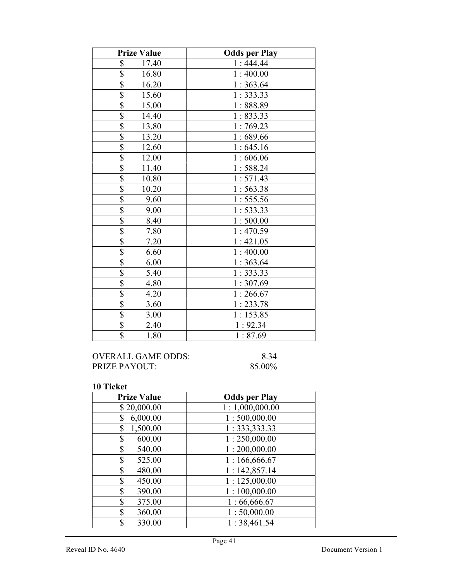| <b>Prize Value</b>               | <b>Odds per Play</b> |
|----------------------------------|----------------------|
| \$<br>17.40                      | 1:444.44             |
| \$<br>16.80                      | 1:400.00             |
| $\overline{\$}$<br>16.20         | 1:363.64             |
| $\overline{\$}$<br>15.60         | 1:333.33             |
| $\overline{\$}$<br>15.00         | 1:888.89             |
| $\overline{\$}$<br>14.40         | 1:833.33             |
| $\overline{\mathbb{S}}$<br>13.80 | 1:769.23             |
| $\overline{\$}$<br>13.20         | 1:689.66             |
| $\overline{\$}$<br>12.60         | 1:645.16             |
| $\overline{\$}$<br>12.00         | 1:606.06             |
| $\overline{\$}$<br>11.40         | 1:588.24             |
| $\overline{\$}$<br>10.80         | 1:571.43             |
| \$<br>10.20                      | 1:563.38             |
| \$<br>9.60                       | 1:555.56             |
| $\overline{\$}$<br>9.00          | 1:533.33             |
| $\overline{\$}$<br>8.40          | 1:500.00             |
| $\overline{\$}$<br>7.80          | 1:470.59             |
| $\overline{\$}$<br>7.20          | 1:421.05             |
| $rac{1}{s}$<br>6.60              | 1:400.00             |
| 6.00                             | 1:363.64             |
| $\overline{\$}$<br>5.40          | 1:333.33             |
| $\overline{\$}$<br>4.80          | 1:307.69             |
| \$<br>4.20                       | 1:266.67             |
| $\overline{\$}$<br>3.60          | 1:233.78             |
| $\overline{\$}$<br>3.00          | 1:153.85             |
| \$<br>2.40                       | 1:92.34              |
| $\overline{\mathbb{S}}$<br>1.80  | 1:87.69              |

| OVERALL GAME ODDS:   | 8.34   |
|----------------------|--------|
| <b>PRIZE PAYOUT:</b> | 85.00% |

| <b>Prize Value</b> | <b>Odds per Play</b> |
|--------------------|----------------------|
| \$20,000.00        | 1:1,000,000.00       |
| 6,000.00<br>\$     | 1:500,000.00         |
| 1,500.00<br>\$     | 1: 333, 333.33       |
| 600.00<br>\$       | 1:250,000.00         |
| \$<br>540.00       | 1:200,000.00         |
| \$<br>525.00       | 1:166,666.67         |
| \$<br>480.00       | 1:142,857.14         |
| \$<br>450.00       | 1:125,000.00         |
| \$<br>390.00       | 1:100,000.00         |
| \$<br>375.00       | 1:66,666.67          |
| \$<br>360.00       | 1:50,000.00          |
| \$<br>330.00       | 1:38,461.54          |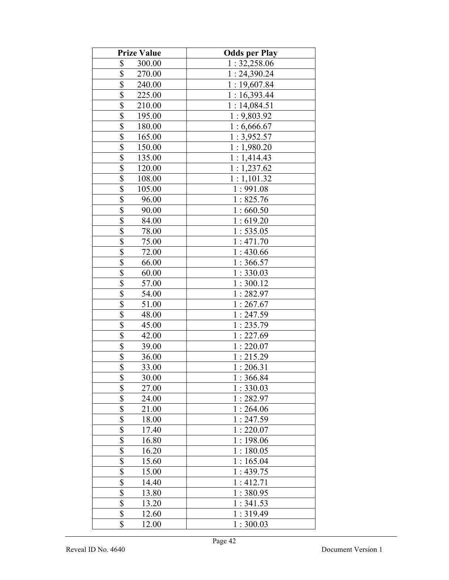| <b>Prize Value</b>                | <b>Odds per Play</b> |
|-----------------------------------|----------------------|
| \$<br>300.00                      | 1:32,258.06          |
| \$<br>270.00                      | 1:24,390.24          |
| \$<br>240.00                      | 1:19,607.84          |
| \$<br>225.00                      | 1:16,393.44          |
| \$<br>210.00                      | 1:14,084.51          |
| \$<br>195.00                      | 1:9,803.92           |
| \$<br>180.00                      | 1:6,666.67           |
| \$<br>165.00                      | 1:3,952.57           |
| \$<br>150.00                      | 1:1,980.20           |
| \$<br>135.00                      | 1:1,414.43           |
| $\overline{\$}$<br>120.00         | 1:1,237.62           |
| $\overline{\mathbb{S}}$<br>108.00 | 1:1,101.32           |
| $\overline{\$}$<br>105.00         | 1:991.08             |
| \$<br>96.00                       | 1:825.76             |
| $\overline{\$}$<br>90.00          | 1:660.50             |
| $\overline{\$}$<br>84.00          | 1:619.20             |
| \$<br>78.00                       | 1:535.05             |
| \$<br>75.00                       | 1:471.70             |
| \$<br>72.00                       | 1:430.66             |
| $\overline{\mathbb{S}}$<br>66.00  | 1:366.57             |
| \$<br>60.00                       | 1:330.03             |
| \$<br>57.00                       | 1:300.12             |
| $\overline{\mathcal{S}}$<br>54.00 | 1:282.97             |
| \$<br>51.00                       | 1:267.67             |
| \$<br>48.00                       | 1:247.59             |
| $\overline{\$}$<br>45.00          | 1:235.79             |
| \$<br>42.00                       | 1:227.69             |
| $rac{1}{s}$<br>39.00              | 1:220.07             |
| 36.00                             | 1:215.29             |
| $\overline{\$}$<br>33.00          | 1:206.31             |
| \$<br>30.00                       | 1:366.84             |
| \$<br>27.00                       | 1:330.03             |
| \$<br>24.00                       | 1:282.97             |
| \$<br>21.00                       | 1:264.06             |
| \$<br>18.00                       | 1:247.59             |
| \$<br>17.40                       | 1:220.07             |
| \$<br>16.80                       | 1:198.06             |
| \$<br>16.20                       | 1:180.05             |
| \$<br>15.60                       | 1:165.04             |
| \$<br>15.00                       | 1:439.75             |
| \$<br>14.40                       | 1:412.71             |
| \$<br>13.80                       | 1:380.95             |
| $\overline{\$}$<br>13.20          | 1:341.53             |
| \$<br>12.60                       | 1:319.49             |
| \$<br>12.00                       | 1:300.03             |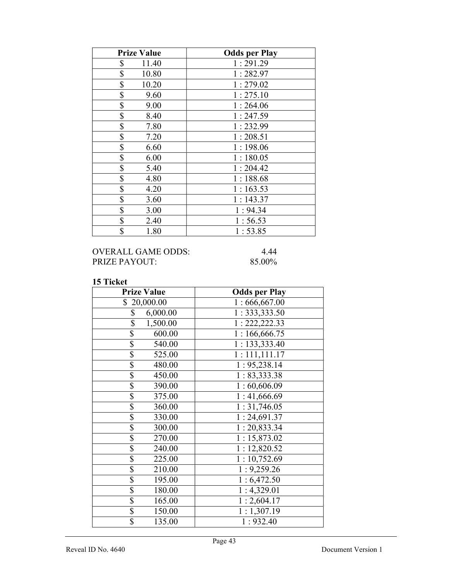| <b>Prize Value</b> | <b>Odds per Play</b> |
|--------------------|----------------------|
| \$<br>11.40        | 1:291.29             |
| \$<br>10.80        | 1:282.97             |
| \$<br>10.20        | 1:279.02             |
| \$<br>9.60         | 1:275.10             |
| \$<br>9.00         | 1:264.06             |
| \$<br>8.40         | 1:247.59             |
| \$<br>7.80         | 1:232.99             |
| \$<br>7.20         | 1:208.51             |
| \$<br>6.60         | 1:198.06             |
| \$<br>6.00         | 1:180.05             |
| \$<br>5.40         | 1:204.42             |
| \$<br>4.80         | 1:188.68             |
| \$<br>4.20         | 1:163.53             |
| \$<br>3.60         | 1:143.37             |
| \$<br>3.00         | 1:94.34              |
| \$<br>2.40         | 1:56.53              |
| \$<br>1.80         | 1:53.85              |

## OVERALL GAME ODDS: 4.44 PRIZE PAYOUT: 85.00%

| <b>Prize Value</b>        | <b>Odds per Play</b>      |
|---------------------------|---------------------------|
| \$20,000.00               | 1:666,667.00              |
| 6,000.00<br>\$            | 1: 333, 333.50            |
| 1,500.00<br>\$            | 1: 222, 222.33            |
| \$<br>600.00              | 1:166,666.75              |
| $\overline{\$}$<br>540.00 | 1: 133,333.40             |
| $\bar{\$}$<br>525.00      | 1:111,111.17              |
| \$<br>480.00              | 1: 95,238.14              |
| \$<br>450.00              | 1:83,333.38               |
| $\overline{\$}$<br>390.00 | 1:60,606.09               |
| \$<br>375.00              | 1:41,666.69               |
| \$<br>360.00              | 1:31,746.05               |
| \$<br>330.00              | 1:24,691.37               |
| $\overline{\$}$<br>300.00 | 1:20,833.34               |
| $\overline{\$}$<br>270.00 | 1:15,873.02               |
| \$<br>240.00              | 1:12,820.52               |
| \$<br>225.00              | $\overline{1:}$ 10,752.69 |
| \$<br>210.00              | 1:9,259.26                |
| $\overline{\$}$<br>195.00 | 1:6,472.50                |
| $\overline{\$}$<br>180.00 | 1:4,329.01                |
| \$<br>165.00              | 1:2,604.17                |
| \$<br>150.00              | 1:1,307.19                |
| $\overline{\$}$<br>135.00 | 1:932.40                  |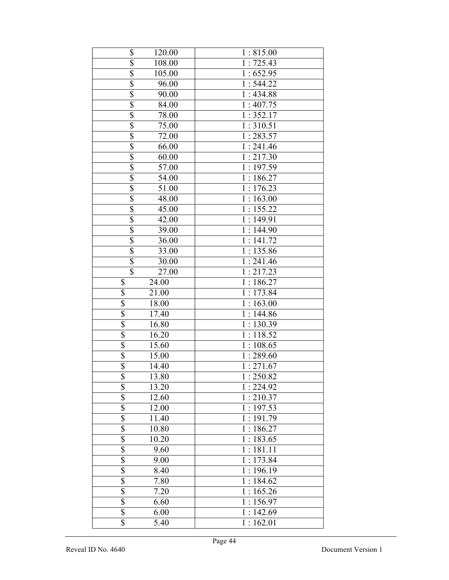| \$                      | 120.00 | 1:815.00                |
|-------------------------|--------|-------------------------|
| $\overline{\$}$         | 108.00 | $1:725.\overline{43}$   |
| $\overline{\$}$         | 105.00 | 1:652.95                |
| $\overline{\$}$         | 96.00  | 1:544.22                |
| $\overline{\$}$         | 90.00  | 1:434.88                |
| $\overline{\mathbb{S}}$ | 84.00  | 1:407.75                |
| $\overline{\$}$         | 78.00  | 1:352.17                |
| $\overline{\$}$         | 75.00  | 1:310.51                |
| \$                      | 72.00  | 1:283.57                |
| \$                      | 66.00  | 1:241.46                |
| $\overline{\$}$         | 60.00  | 1:217.30                |
| $\overline{\$}$         | 57.00  | 1:197.59                |
| $\overline{\$}$         | 54.00  | 1:186.27                |
| $\overline{\$}$         | 51.00  | $\overline{1:}$ 176.23  |
| $\overline{\$}$         | 48.00  | 1:163.00                |
| $\overline{\$}$         | 45.00  | 1:155.22                |
| $\overline{\$}$         | 42.00  | 1:149.91                |
| $\overline{\$}$         | 39.00  | 1:144.90                |
| $\overline{\$}$         | 36.00  | 1:141.72                |
| $\overline{\$}$         | 33.00  | 1:135.86                |
| $\overline{\$}$         | 30.00  | 1:241.46                |
| $\overline{\mathbb{S}}$ | 27.00  | 1:217.23                |
| \$                      | 24.00  | 1:186.27                |
| \$                      | 21.00  | 1:173.84                |
| $\overline{\$}$         | 18.00  | $\overline{1:}$ 163.00  |
| \$                      | 17.40  | 1:144.86                |
| $\overline{\$}$         | 16.80  | 1:130.39                |
| $\overline{\$}$         | 16.20  | 1:118.52                |
| $\overline{\$}$         | 15.60  | 1:108.65                |
| $\overline{\$}$         | 15.00  | $\overline{1}$ : 289.60 |
| \$                      | 14.40  | 1:271.67                |
| \$                      | 13.80  | 1:250.82                |
| \$                      | 13.20  | 1:224.92                |
| \$                      | 12.60  | 1:210.37                |
| \$                      | 12.00  | 1:197.53                |
|                         | 11.40  | 1:191.79                |
| $rac{1}{s}$             | 10.80  | 1:186.27                |
|                         | 10.20  | 1:183.65                |
| \$                      | 9.60   | $1:181.\overline{11}$   |
| \$                      | 9.00   | 1:173.84                |
|                         | 8.40   | 1:196.19                |
| $rac{1}{3}$             | 7.80   | 1:184.62                |
| \$                      | 7.20   | $\overline{1:}$ 165.26  |
| \$                      | 6.60   | 1:156.97                |
| \$                      | 6.00   | 1:142.69                |
| \$                      | 5.40   | 1:162.01                |
|                         |        |                         |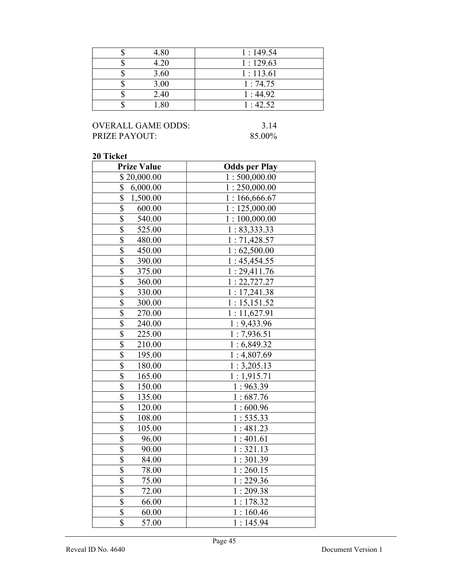| 4.80 | 1:149.54 |
|------|----------|
| 4.20 | 1:129.63 |
| 3.60 | 1:113.61 |
| 3.00 | 1:74.75  |
| 2.40 | 1:44.92  |
| -80  | 1:42.52  |

## OVERALL GAME ODDS: 3.14<br>PRIZE PAYOUT: 85.00% PRIZE PAYOUT:

| <b>Prize Value</b>                 | <b>Odds per Play</b> |
|------------------------------------|----------------------|
| \$20,000.00                        | 1:500,000.00         |
| \$<br>6,000.00                     | 1:250,000.00         |
| \$<br>1,500.00                     | 1:166,666.67         |
| $\overline{\$}$<br>600.00          | 1:125,000.00         |
| $\overline{\$}$<br>540.00          | 1:100,000.00         |
| \$<br>525.00                       | 1: 83,333.33         |
| $\overline{\$}$<br>480.00          | 1:71,428.57          |
| $\overline{\mathcal{S}}$<br>450.00 | 1:62,500.00          |
| $\overline{\$}$<br>390.00          | 1:45,454.55          |
| $\overline{\$}$<br>375.00          | 1:29,411.76          |
| $\overline{\$}$<br>360.00          | 1: 22, 727.27        |
| $\overline{\$}$<br>330.00          | 1:17,241.38          |
| \$<br>300.00                       | 1:15,151.52          |
| \$<br>270.00                       | 1:11,627.91          |
| $\overline{\$}$<br>240.00          | 1:9,433.96           |
| \$<br>225.00                       | 1:7,936.51           |
| \$<br>210.00                       | 1:6,849.32           |
| \$<br>195.00                       | 1:4,807.69           |
| \$<br>180.00                       | 1:3,205.13           |
| $\overline{\$}$<br>165.00          | 1:1,915.71           |
| $rac{1}{3}$<br>150.00              | 1:963.39             |
| 135.00                             | 1:687.76             |
| \$<br>120.00                       | 1:600.96             |
| $\overline{\$}$<br>108.00          | 1:535.33             |
| \$<br>105.00                       | 1:481.23             |
| $\overline{\$}$<br>96.00           | 1:401.61             |
| $rac{1}{s}$<br>90.00               | 1:321.13             |
| 84.00                              | 1:301.39             |
| 78.00                              | 1:260.15             |
| $\frac{$}{\$}$<br>75.00            | 1:229.36             |
| 72.00                              | 1:209.38             |
| $\overline{\mathbb{S}}$<br>66.00   | 1:178.32             |
| $\overline{\$}$<br>60.00           | 1:160.46             |
| $\overline{\$}$<br>57.00           | 1:145.94             |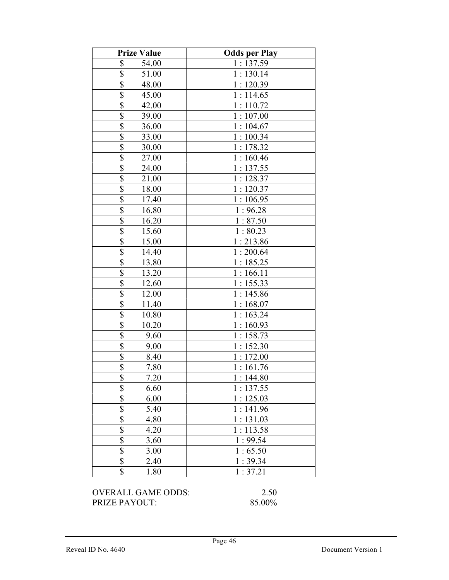| <b>Prize Value</b>                 | <b>Odds per Play</b> |
|------------------------------------|----------------------|
| \$<br>54.00                        | 1:137.59             |
| $\overline{\mathbb{S}}$<br>51.00   | 1:130.14             |
| $\overline{\mathbb{S}}$<br>48.00   | 1:120.39             |
| \$<br>45.00                        | 1:114.65             |
| $\overline{\$}$<br>42.00           | 1:110.72             |
| \$<br>39.00                        | 1:107.00             |
| $\overline{\mathbb{S}}$<br>36.00   | 1:104.67             |
| $\overline{\$}$<br>33.00           | 1:100.34             |
| \$<br>30.00                        | 1:178.32             |
| \$<br>27.00                        | 1:160.46             |
| \$<br>24.00                        | 1:137.55             |
| $\overline{\mathbb{S}}$<br>21.00   | 1:128.37             |
| \$<br>18.00                        | 1:120.37             |
| \$<br>17.40                        | 1:106.95             |
| \$<br>16.80                        | 1:96.28              |
| \$<br>16.20                        | 1:87.50              |
| $\boldsymbol{\mathsf{S}}$<br>15.60 | 1:80.23              |
| $\overline{\$}$<br>15.00           | 1:213.86             |
| \$<br>14.40                        | 1:200.64             |
| $\overline{\mathbb{S}}$<br>13.80   | 1:185.25             |
| \$<br>13.20                        | 1:166.11             |
| \$<br>12.60                        | 1:155.33             |
| \$<br>12.00                        | 1:145.86             |
| $\overline{\mathbb{S}}$<br>11.40   | 1:168.07             |
| \$<br>10.80                        | 1:163.24             |
| $\overline{\$}$<br>10.20           | 1:160.93             |
| \$<br>9.60                         | 1:158.73             |
| \$<br>9.00                         | 1:152.30             |
| \$<br>8.40                         | 1:172.00             |
| \$<br>7.80                         | 1:161.76             |
| \$<br>7.20                         | 1:144.80             |
| \$<br>6.60                         | 1:137.55             |
| $\overline{\mathcal{S}}$<br>6.00   | 1:125.03             |
| \$<br>5.40                         | 1:141.96             |
| $\overline{\mathbb{S}}$<br>4.80    | 1:131.03             |
| $\overline{\$}$<br>4.20            | 1:113.58             |
| $\overline{\$}$<br>3.60            | 1:99.54              |
| $rac{1}{s}$<br>3.00                | 1:65.50              |
| 2.40                               | 1:39.34              |
| \$<br>1.80                         | 1:37.21              |

OVERALL GAME ODDS: 2.50<br>PRIZE PAYOUT: 85.00% PRIZE PAYOUT: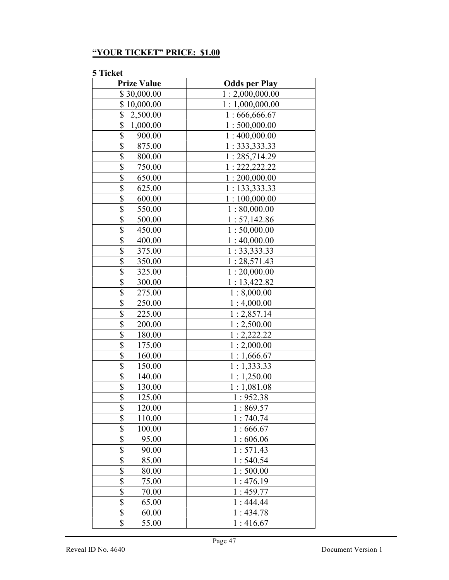# "YOUR TICKET" PRICE: \$1.00

| <b>Prize Value</b>        | <b>Odds per Play</b> |
|---------------------------|----------------------|
| \$30,000.00               | 1:2,000,000.00       |
| \$10,000.00               | 1:1,000,000.00       |
| \$<br>2,500.00            | 1:666,666.67         |
| \$<br>1,000.00            | 1:500,000.00         |
| \$<br>900.00              | 1:400,000.00         |
| \$<br>875.00              | 1: 333, 333.33       |
| \$<br>800.00              | 1:285,714.29         |
| \$<br>750.00              | 1: 222, 222.22       |
| \$<br>650.00              | 1:200,000.00         |
| \$<br>625.00              | 1: 133,333.33        |
| \$<br>600.00              | 1:100,000.00         |
| \$<br>550.00              | 1:80,000.00          |
| $\overline{\$}$<br>500.00 | 1:57,142.86          |
| \$<br>450.00              | 1:50,000.00          |
| \$<br>400.00              | 1:40,000.00          |
| \$<br>375.00              | 1: 33, 333.33        |
| \$<br>350.00              | 1:28,571.43          |
| \$<br>325.00              | 1:20,000.00          |
| \$<br>300.00              | 1:13,422.82          |
| $\overline{\$}$<br>275.00 | 1:8,000.00           |
| \$<br>250.00              | 1:4,000.00           |
| \$<br>225.00              | 1:2,857.14           |
| \$<br>200.00              | 1:2,500.00           |
| \$<br>180.00              | 1:2,222.22           |
| \$<br>175.00              | 1:2,000.00           |
| \$<br>160.00              | 1:1,666.67           |
| \$<br>150.00              | 1:1,333.33           |
| \$<br>140.00              | 1:1,250.00           |
| \$<br>130.00              | 1:1,081.08           |
| $\overline{\$}$<br>125.00 | 1:952.38             |
| \$<br>120.00              | 1:869.57             |
| $\overline{\$}$<br>110.00 | 1:740.74             |
| $\overline{\$}$<br>100.00 | 1:666.67             |
| \$<br>95.00               | 1:606.06             |
| \$<br>90.00               | 1:571.43             |
| \$<br>85.00               | 1:540.54             |
| $\overline{\$}$<br>80.00  | 1:500.00             |
| \$<br>75.00               | 1:476.19             |
| \$<br>70.00               | 1:459.77             |
| \$<br>65.00               | 1:444.44             |
| \$<br>60.00               | 1:434.78             |
| \$<br>55.00               | 1:416.67             |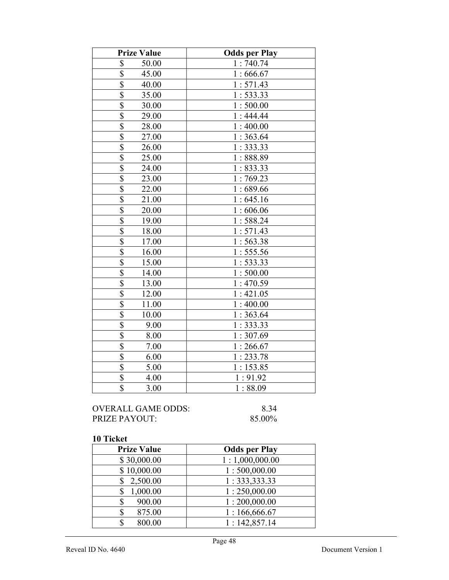| <b>Prize Value</b>                 | <b>Odds per Play</b> |
|------------------------------------|----------------------|
| \$<br>50.00                        | 1:740.74             |
| \$<br>45.00                        | 1:666.67             |
| \$<br>40.00                        | 1:571.43             |
| \$<br>35.00                        | 1:533.33             |
| $\overline{\$}$<br>30.00           | 1:500.00             |
| $\overline{\mathbb{S}}$<br>29.00   | 1:444.44             |
| $\overline{\mathbb{S}}$<br>28.00   | 1:400.00             |
| \$<br>27.00                        | 1:363.64             |
| \$<br>26.00                        | 1:333.33             |
| \$<br>25.00                        | 1:888.89             |
| $\boldsymbol{\mathsf{S}}$<br>24.00 | 1:833.33             |
| $\overline{\$}$<br>23.00           | 1:769.23             |
| $\overline{\$}$<br>22.00           | 1:689.66             |
| $\boldsymbol{\mathsf{S}}$<br>21.00 | 1:645.16             |
| $\overline{\mathbb{S}}$<br>20.00   | 1:606.06             |
| \$<br>19.00                        | 1:588.24             |
| $\overline{\$}$<br>18.00           | 1:571.43             |
| $\boldsymbol{\mathsf{S}}$<br>17.00 | 1:563.38             |
| $\overline{\mathbb{S}}$<br>16.00   | 1:555.56             |
| $\overline{\$}$<br>15.00           | 1:533.33             |
| $\overline{\$}$<br>14.00           | 1:500.00             |
| \$<br>13.00                        | 1:470.59             |
| \$<br>12.00                        | 1:421.05             |
| $\overline{\$}$<br>11.00           | 1:400.00             |
| \$<br>10.00                        | 1:363.64             |
| $\boldsymbol{\mathsf{S}}$<br>9.00  | 1:333.33             |
| \$<br>8.00                         | 1:307.69             |
| $\overline{\$}$<br>7.00            | 1:266.67             |
| $\overline{\$}$<br>6.00            | 1:233.78             |
| $\overline{\$}$<br>5.00            | 1:153.85             |
| $\overline{\$}$<br>4.00            | 1:91.92              |
| $\overline{\$}$<br>3.00            | 1:88.09              |

# OVERALL GAME ODDS: 8.34<br>PRIZE PAYOUT: 85.00% PRIZE PAYOUT:

| <b>Prize Value</b> | <b>Odds per Play</b> |
|--------------------|----------------------|
| \$30,000.00        | 1:1,000,000.00       |
| \$10,000.00        | 1:500,000.00         |
| 2,500.00           | 1:333,333.33         |
| 1,000.00           | 1:250,000.00         |
| 900.00<br>S        | 1:200,000.00         |
| 875.00<br>\$       | 1:166,666.67         |
| 800.00             | 1:142,857.14         |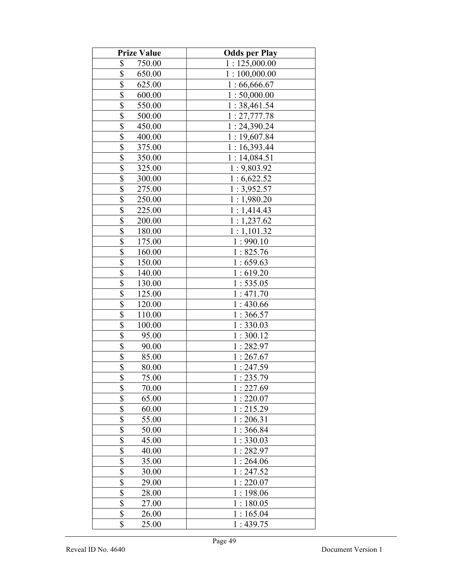| <b>Prize Value</b>                  | <b>Odds per Play</b> |
|-------------------------------------|----------------------|
| \$<br>750.00                        | 1:125,000.00         |
| \$<br>650.00                        | 1:100,000.00         |
| \$<br>625.00                        | 1:66,666.67          |
| \$<br>600.00                        | 1:50,000.00          |
| \$<br>550.00                        | 1:38,461.54          |
| \$<br>500.00                        | 1: 27,777.78         |
| \$<br>450.00                        | 1:24,390.24          |
| \$<br>400.00                        | 1:19,607.84          |
| \$<br>375.00                        | 1:16,393.44          |
| \$<br>350.00                        | 1:14,084.51          |
| $\overline{\$}$<br>325.00           | 1:9,803.92           |
| $\overline{\mathbb{S}}$<br>300.00   | 1:6,622.52           |
| $\overline{\mathbb{S}}$<br>275.00   | 1:3,952.57           |
| \$<br>250.00                        | 1:1,980.20           |
| $\overline{\mathbb{S}}$<br>225.00   | 1:1,414.43           |
| \$<br>200.00                        | 1:1,237.62           |
| \$<br>180.00                        | 1:1,101.32           |
| \$<br>175.00                        | 1:990.10             |
| \$<br>160.00                        | 1:825.76             |
| $\overline{\mathbb{S}}$<br>150.00   | 1:659.63             |
| \$<br>140.00                        | 1:619.20             |
| \$<br>130.00                        | 1:535.05             |
| $\boldsymbol{\mathsf{S}}$<br>125.00 | 1:471.70             |
| $\overline{\$}$<br>120.00           | 1:430.66             |
| \$<br>110.00                        | 1:366.57             |
| $\overline{\$}$<br>100.00           | 1:330.03             |
| \$<br>95.00                         | 1:300.12             |
| $\overline{\mathbb{S}}$<br>90.00    | 1:282.97             |
| $\overline{\$}$<br>85.00            | 1:267.67             |
| $\overline{\$}$<br>80.00            | 1:247.59             |
| \$<br>75.00                         | 1:235.79             |
| \$<br>70.00                         | 1:227.69             |
| $\overline{\mathbb{S}}$<br>65.00    | 1:220.07             |
| \$<br>60.00                         | 1:215.29             |
| \$<br>55.00                         | 1:206.31             |
| \$<br>50.00                         | 1:366.84             |
| \$<br>45.00                         | 1:330.03             |
| \$<br>40.00                         | 1:282.97             |
| \$<br>35.00                         | 1:264.06             |
| \$<br>30.00                         | 1:247.52             |
| \$<br>29.00                         | 1:220.07             |
| $\overline{\$}$<br>28.00            | 1:198.06             |
| $\overline{\mathbb{S}}$<br>27.00    | 1:180.05             |
| \$<br>26.00                         | 1:165.04             |
| \$<br>25.00                         | 1:439.75             |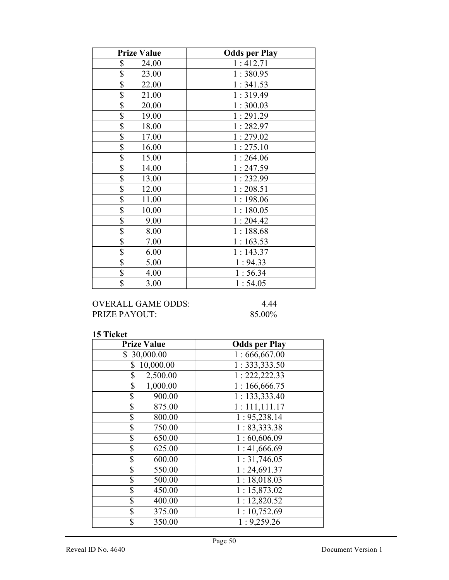| <b>Prize Value</b>       | <b>Odds per Play</b> |
|--------------------------|----------------------|
| \$<br>24.00              | 1:412.71             |
| \$<br>23.00              | 1:380.95             |
| \$<br>22.00              | 1:341.53             |
| \$<br>21.00              | 1:319.49             |
| \$<br>20.00              | 1:300.03             |
| $\overline{\$}$<br>19.00 | 1:291.29             |
| \$<br>18.00              | 1:282.97             |
| \$<br>17.00              | 1:279.02             |
| \$<br>16.00              | 1:275.10             |
| \$<br>15.00              | 1:264.06             |
| \$<br>14.00              | 1:247.59             |
| \$<br>13.00              | 1:232.99             |
| \$<br>12.00              | 1:208.51             |
| $\overline{\$}$<br>11.00 | 1:198.06             |
| \$<br>10.00              | 1:180.05             |
| \$<br>9.00               | 1:204.42             |
| \$<br>8.00               | 1:188.68             |
| \$<br>7.00               | 1:163.53             |
| $\overline{\$}$<br>6.00  | 1:143.37             |
| \$<br>5.00               | 1:94.33              |
| \$<br>4.00               | 1:56.34              |
| \$<br>3.00               | 1:54.05              |

# OVERALL GAME ODDS: 4.44<br>PRIZE PAYOUT: 85.00% PRIZE PAYOUT:

| <b>Prize Value</b> | <b>Odds per Play</b> |
|--------------------|----------------------|
| \$30,000.00        | 1:666,667.00         |
| 10,000.00<br>\$    | 1: 333, 333.50       |
| \$<br>2,500.00     | 1: 222, 222.33       |
| \$<br>1,000.00     | 1:166,666.75         |
| \$<br>900.00       | 1: 133,333.40        |
| \$<br>875.00       | 1:111,111.17         |
| \$<br>800.00       | 1: 95,238.14         |
| \$<br>750.00       | 1: 83,333.38         |
| \$<br>650.00       | 1:60,606.09          |
| \$<br>625.00       | 1:41,666.69          |
| \$<br>600.00       | 1:31,746.05          |
| \$<br>550.00       | 1:24,691.37          |
| \$<br>500.00       | 1:18,018.03          |
| \$<br>450.00       | 1:15,873.02          |
| \$<br>400.00       | 1:12,820.52          |
| \$<br>375.00       | 1:10,752.69          |
| \$<br>350.00       | 1:9,259.26           |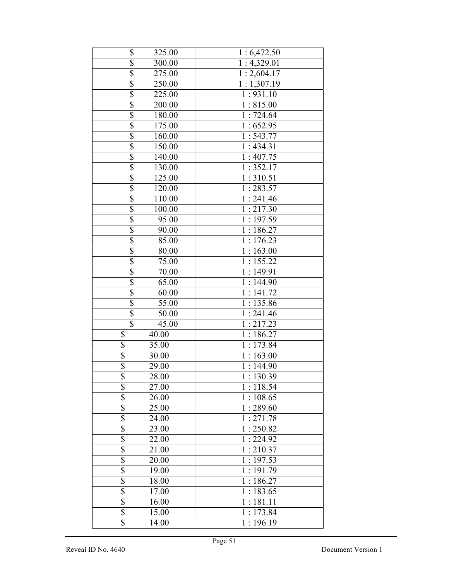| \$                                  | 325.00 | 1:6,472.50               |
|-------------------------------------|--------|--------------------------|
| $\overline{\$}$                     | 300.00 | $\overline{1:}4,329.01$  |
| $\overline{\$}$                     | 275.00 | 1:2,604.17               |
| \$                                  | 250.00 | $\overline{1}: 1,307.19$ |
| $\overline{\$}$                     | 225.00 | 1:931.10                 |
| \$                                  | 200.00 | 1:815.00                 |
| $\overline{\$}$                     | 180.00 | 1:724.64                 |
| $\overline{\$}$                     | 175.00 | $\overline{1}$ : 652.95  |
| \$                                  | 160.00 | 1:543.77                 |
| $\overline{\$}$                     | 150.00 | 1:434.31                 |
| $\overline{\$}$                     | 140.00 | 1:407.75                 |
| \$                                  | 130.00 | 1:352.17                 |
| $\overline{\$}$                     | 125.00 | 1:310.51                 |
| $\overline{\$}$                     | 120.00 | 1:283.57                 |
| $\overline{\$}$                     | 110.00 | 1:241.46                 |
| $\overline{\$}$                     | 100.00 | 1:217.30                 |
| $\overline{\$}$                     | 95.00  | 1:197.59                 |
| $\overline{\$}$                     | 90.00  | 1:186.27                 |
| $\overline{\$}$                     | 85.00  | 1:176.23                 |
| \$                                  | 80.00  | 1:163.00                 |
| \$                                  | 75.00  | 1:155.22                 |
| $\overline{\$}$                     | 70.00  | 1:149.91                 |
| \$                                  | 65.00  | 1:144.90                 |
| $\overline{\$}$                     | 60.00  | 1:141.72                 |
| \$                                  | 55.00  | 1:135.86                 |
| \$                                  | 50.00  | 1:241.46                 |
| $\overline{\mathbb{S}}$             | 45.00  | 1:217.23                 |
| \$                                  | 40.00  | $1:186.\overline{27}$    |
| $\overline{\$}$                     | 35.00  | 1:173.84                 |
| \$                                  | 30.00  | 1:163.00                 |
| \$                                  | 29.00  | 1:144.90                 |
| \$                                  | 28.00  | 1:130.39                 |
| \$                                  | 27.00  | $1:118.\overline{54}$    |
| $\overline{\overline{\mathcal{S}}}$ | 26.00  | 1:108.65                 |
| \$                                  | 25.00  | 1:289.60                 |
| \$                                  | 24.00  | $1:271.\overline{78}$    |
| $\overline{\mathbb{S}}$             | 23.00  | 1:250.82                 |
| \$                                  | 22.00  | $\overline{1}$ : 224.92  |
| \$                                  | 21.00  | 1:210.37                 |
| $\overline{\$}$                     | 20.00  | 1:197.53                 |
| \$                                  | 19.00  | 1:191.79                 |
| \$                                  | 18.00  | 1:186.27                 |
| \$                                  | 17.00  | 1:183.65                 |
| \$                                  | 16.00  | 1:181.11                 |
| \$                                  | 15.00  | 1:173.84                 |
| \$                                  | 14.00  | 1:196.19                 |
|                                     |        |                          |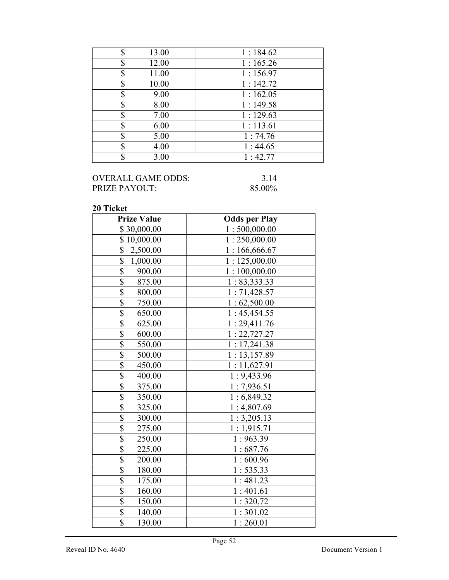| 13.00<br>S  | 1:184.62 |
|-------------|----------|
| 12.00<br>\$ | 1:165.26 |
| 11.00<br>\$ | 1:156.97 |
| 10.00<br>\$ | 1:142.72 |
| 9.00<br>\$  | 1:162.05 |
| 8.00<br>\$  | 1:149.58 |
| 7.00<br>S   | 1:129.63 |
| 6.00<br>S   | 1:113.61 |
| 5.00<br>\$  | 1:74.76  |
| 4.00<br>σ   | 1:44.65  |
| 3.00<br>\$  | 1:42.77  |

## OVERALL GAME ODDS: 3.14<br>PRIZE PAYOUT: 85.00% PRIZE PAYOUT:

| <b>Prize Value</b>                | <b>Odds per Play</b> |
|-----------------------------------|----------------------|
| \$30,000.00                       | 1:500,000.00         |
| \$10,000.00                       | 1:250,000.00         |
| $\overline{\$}$<br>2,500.00       | 1:166,666.67         |
| \$<br>1,000.00                    | 1:125,000.00         |
| $\overline{\$}$<br>900.00         | 1:100,000.00         |
| \$<br>875.00                      | 1: 83,333.33         |
| \$<br>800.00                      | 1:71,428.57          |
| $\overline{\$}$<br>750.00         | 1:62,500.00          |
| \$<br>650.00                      | 1:45,454.55          |
| \$<br>625.00                      | 1:29,411.76          |
| $\overline{\$}$<br>600.00         | 1: 22, 727.27        |
| $\overline{\$}$<br>550.00         | 1:17,241.38          |
| $\overline{\$}$<br>500.00         | 1:13,157.89          |
| $\overline{\mathbb{S}}$<br>450.00 | 1:11,627.91          |
| \$<br>400.00                      | 1:9,433.96           |
| $\overline{\$}$<br>375.00         | 1:7,936.51           |
| $\overline{\$}$<br>350.00         | 1:6,849.32           |
| \$<br>325.00                      | 1:4,807.69           |
| \$<br>300.00                      | 1:3,205.13           |
| $\overline{\$}$<br>275.00         | 1:1,915.71           |
| $\overline{\$}$<br>250.00         | 1:963.39             |
| $\overline{\$}$<br>225.00         | 1:687.76             |
| \$<br>200.00                      | 1:600.96             |
| $\overline{\$}$<br>180.00         | 1:535.33             |
| \$<br>175.00                      | 1:481.23             |
| $\overline{\$}$<br>160.00         | 1:401.61             |
| $\overline{\$}$<br>150.00         | 1:320.72             |
| \$<br>140.00                      | 1:301.02             |
| \$<br>130.00                      | 1:260.01             |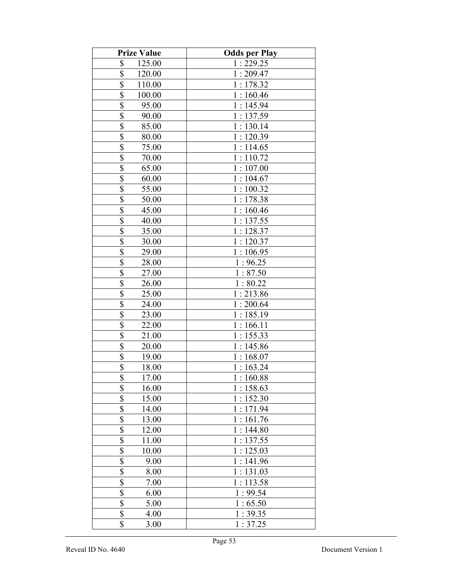| <b>Prize Value</b>                | <b>Odds per Play</b> |
|-----------------------------------|----------------------|
| \$<br>125.00                      | 1:229.25             |
| \$<br>120.00                      | 1:209.47             |
| \$<br>110.00                      | 1:178.32             |
| \$<br>100.00                      | 1:160.46             |
| \$<br>95.00                       | 1:145.94             |
| \$<br>90.00                       | 1:137.59             |
| \$<br>85.00                       | 1:130.14             |
| \$<br>80.00                       | 1:120.39             |
| \$<br>75.00                       | 1:114.65             |
| $\overline{\mathcal{S}}$<br>70.00 | 1:110.72             |
| $\overline{\$}$<br>65.00          | 1:107.00             |
| \$<br>60.00                       | 1:104.67             |
| $\overline{\mathbb{S}}$<br>55.00  | 1:100.32             |
| \$<br>50.00                       | 1:178.38             |
| $\overline{\mathbb{S}}$<br>45.00  | 1:160.46             |
| \$<br>40.00                       | 1:137.55             |
| \$<br>35.00                       | 1:128.37             |
| \$<br>30.00                       | 1:120.37             |
| \$<br>29.00                       | 1:106.95             |
| $\overline{\mathbb{S}}$<br>28.00  | 1:96.25              |
| \$<br>27.00                       | 1:87.50              |
| \$<br>26.00                       | 1:80.22              |
| $\overline{\mathcal{S}}$<br>25.00 | 1:213.86             |
| $\overline{\$}$<br>24.00          | 1:200.64             |
| $\overline{\$}$<br>23.00          | 1:185.19             |
| $\overline{\$}$<br>22.00          | 1:166.11             |
| $\overline{\$}$<br>21.00          | 1:155.33             |
| $\overline{\mathbb{S}}$<br>20.00  | 1:145.86             |
| \$<br>19.00                       | 1:168.07             |
| $\overline{\$}$<br>18.00          | 1:163.24             |
| \$<br>17.00                       | 1:160.88             |
| \$<br>16.00                       | 1:158.63             |
| \$<br>15.00                       | 1:152.30             |
| \$<br>14.00                       | 1:171.94             |
| \$<br>13.00                       | 1:161.76             |
| \$<br>12.00                       | 1:144.80             |
| \$<br>11.00                       | 1:137.55             |
| \$<br>10.00                       | 1:125.03             |
| \$<br>9.00                        | 1:141.96             |
| \$<br>8.00                        | 1:131.03             |
| 7.00                              | 1:113.58             |
| $rac{1}{2}$<br>6.00               | 1:99.54              |
| $\overline{\$}$<br>5.00           | 1:65.50              |
| \$<br>4.00                        | 1:39.35              |
| \$<br>3.00                        | 1:37.25              |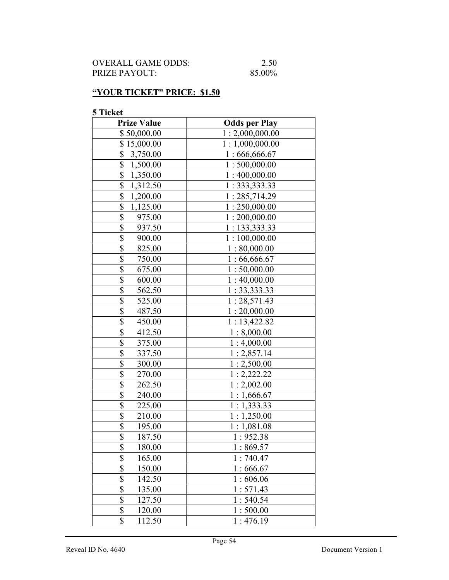| OVERALL GAME ODDS:   | 2.50   |
|----------------------|--------|
| <b>PRIZE PAYOUT:</b> | 85.00% |

## "YOUR TICKET" PRICE: \$1.50

| <b>Prize Value</b>                  | <b>Odds per Play</b> |
|-------------------------------------|----------------------|
| \$50,000.00                         | 1:2,000,000.00       |
| \$15,000.00                         | 1:1,000,000.00       |
| \$<br>3,750.00                      | 1:666,666.67         |
| \$<br>1,500.00                      | 1:500,000.00         |
| \$<br>1,350.00                      | 1:400,000.00         |
| \$<br>1,312.50                      | 1:333,333.33         |
| $\overline{\mathbb{S}}$<br>1,200.00 | 1:285,714.29         |
| \$<br>1,125.00                      | 1:250,000.00         |
| \$<br>975.00                        | 1:200,000.00         |
| \$<br>937.50                        | 1: 133,333.33        |
| \$<br>900.00                        | 1:100,000.00         |
| $\overline{\mathbb{S}}$<br>825.00   | 1:80,000.00          |
| \$<br>750.00                        | 1:66,666.67          |
| \$<br>675.00                        | 1:50,000.00          |
| \$<br>600.00                        | 1:40,000.00          |
| \$<br>562.50                        | 1: 33, 333.33        |
| \$<br>525.00                        | 1:28,571.43          |
| \$<br>487.50                        | 1:20,000.00          |
| \$<br>450.00                        | 1:13,422.82          |
| \$<br>412.50                        | 1:8,000.00           |
| $\overline{\$}$<br>375.00           | 1:4,000.00           |
| $\overline{\$}$<br>337.50           | 1:2,857.14           |
| \$<br>300.00                        | 1:2,500.00           |
| \$<br>270.00                        | 1:2,222.22           |
| $\overline{\$}$<br>262.50           | 1:2,002.00           |
| \$<br>240.00                        | 1:1,666.67           |
| \$<br>225.00                        | 1:1,333.33           |
| \$<br>210.00                        | 1:1,250.00           |
| \$<br>195.00                        | 1:1,081.08           |
| \$<br>187.50                        | 1:952.38             |
| \$<br>180.00                        | 1:869.57             |
| \$<br>165.00                        | 1:740.47             |
| \$<br>150.00                        | 1:666.67             |
| \$<br>142.50                        | 1:606.06             |
| \$<br>135.00                        | 1:571.43             |
| \$<br>127.50                        | 1:540.54             |
| \$<br>120.00                        | 1:500.00             |
| \$<br>112.50                        | 1:476.19             |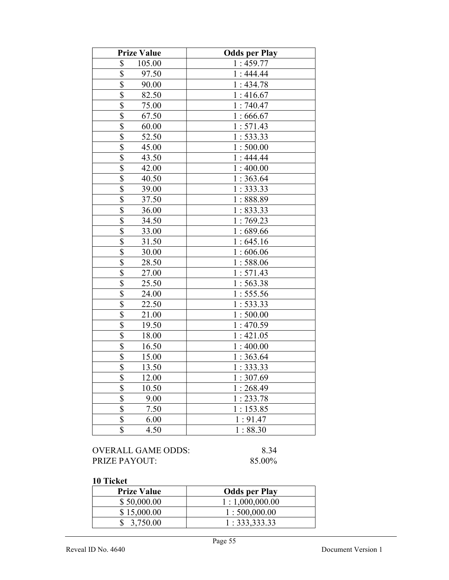| \$<br>105.00<br>1:459.77<br>\$<br>97.50<br>1:444.44<br>$\overline{\$}$<br>1:434.78<br>90.00<br>$\overline{\$}$<br>82.50<br>1:416.67<br>$\overline{\mathbb{S}}$<br>1:740.47<br>75.00<br>\$<br>67.50<br>1:666.67<br>$\overline{\mathbb{S}}$<br>60.00<br>1:571.43<br>$\overline{\mathbb{S}}$<br>52.50<br>1:533.33<br>$\overline{\mathbb{S}}$<br>1:500.00<br>45.00<br>\$<br>43.50<br>1:444.44<br>\$<br>42.00<br>1:400.00<br>\$<br>40.50<br>1:363.64<br>\$<br>1:333.33<br>39.00<br>\$<br>37.50<br>1:888.89<br>\$<br>36.00<br>1:833.33<br>$\overline{\$}$<br>34.50<br>1:769.23<br>$\overline{\mathbb{S}}$<br>33.00<br>1:689.66<br>$\overline{\mathbb{S}}$<br>31.50<br>1:645.16<br>$\overline{\mathcal{S}}$<br>1:606.06<br>30.00 |  |
|---------------------------------------------------------------------------------------------------------------------------------------------------------------------------------------------------------------------------------------------------------------------------------------------------------------------------------------------------------------------------------------------------------------------------------------------------------------------------------------------------------------------------------------------------------------------------------------------------------------------------------------------------------------------------------------------------------------------------|--|
|                                                                                                                                                                                                                                                                                                                                                                                                                                                                                                                                                                                                                                                                                                                           |  |
|                                                                                                                                                                                                                                                                                                                                                                                                                                                                                                                                                                                                                                                                                                                           |  |
|                                                                                                                                                                                                                                                                                                                                                                                                                                                                                                                                                                                                                                                                                                                           |  |
|                                                                                                                                                                                                                                                                                                                                                                                                                                                                                                                                                                                                                                                                                                                           |  |
|                                                                                                                                                                                                                                                                                                                                                                                                                                                                                                                                                                                                                                                                                                                           |  |
|                                                                                                                                                                                                                                                                                                                                                                                                                                                                                                                                                                                                                                                                                                                           |  |
|                                                                                                                                                                                                                                                                                                                                                                                                                                                                                                                                                                                                                                                                                                                           |  |
|                                                                                                                                                                                                                                                                                                                                                                                                                                                                                                                                                                                                                                                                                                                           |  |
|                                                                                                                                                                                                                                                                                                                                                                                                                                                                                                                                                                                                                                                                                                                           |  |
|                                                                                                                                                                                                                                                                                                                                                                                                                                                                                                                                                                                                                                                                                                                           |  |
|                                                                                                                                                                                                                                                                                                                                                                                                                                                                                                                                                                                                                                                                                                                           |  |
|                                                                                                                                                                                                                                                                                                                                                                                                                                                                                                                                                                                                                                                                                                                           |  |
|                                                                                                                                                                                                                                                                                                                                                                                                                                                                                                                                                                                                                                                                                                                           |  |
|                                                                                                                                                                                                                                                                                                                                                                                                                                                                                                                                                                                                                                                                                                                           |  |
|                                                                                                                                                                                                                                                                                                                                                                                                                                                                                                                                                                                                                                                                                                                           |  |
|                                                                                                                                                                                                                                                                                                                                                                                                                                                                                                                                                                                                                                                                                                                           |  |
|                                                                                                                                                                                                                                                                                                                                                                                                                                                                                                                                                                                                                                                                                                                           |  |
|                                                                                                                                                                                                                                                                                                                                                                                                                                                                                                                                                                                                                                                                                                                           |  |
|                                                                                                                                                                                                                                                                                                                                                                                                                                                                                                                                                                                                                                                                                                                           |  |
| $\overline{\mathbb{S}}$<br>28.50<br>1:588.06                                                                                                                                                                                                                                                                                                                                                                                                                                                                                                                                                                                                                                                                              |  |
| $\overline{\$}$<br>27.00<br>1:571.43                                                                                                                                                                                                                                                                                                                                                                                                                                                                                                                                                                                                                                                                                      |  |
| $\overline{\$}$<br>25.50<br>1:563.38                                                                                                                                                                                                                                                                                                                                                                                                                                                                                                                                                                                                                                                                                      |  |
| \$<br>1:555.56<br>24.00                                                                                                                                                                                                                                                                                                                                                                                                                                                                                                                                                                                                                                                                                                   |  |
| \$<br>22.50<br>1:533.33                                                                                                                                                                                                                                                                                                                                                                                                                                                                                                                                                                                                                                                                                                   |  |
| $\overline{\mathbb{S}}$<br>21.00<br>1:500.00                                                                                                                                                                                                                                                                                                                                                                                                                                                                                                                                                                                                                                                                              |  |
| \$<br>19.50<br>1:470.59                                                                                                                                                                                                                                                                                                                                                                                                                                                                                                                                                                                                                                                                                                   |  |
| \$<br>1:421.05<br>18.00                                                                                                                                                                                                                                                                                                                                                                                                                                                                                                                                                                                                                                                                                                   |  |
| \$<br>16.50<br>1:400.00                                                                                                                                                                                                                                                                                                                                                                                                                                                                                                                                                                                                                                                                                                   |  |
| \$<br>15.00<br>1:363.64                                                                                                                                                                                                                                                                                                                                                                                                                                                                                                                                                                                                                                                                                                   |  |
| \$<br>13.50<br>1:333.33                                                                                                                                                                                                                                                                                                                                                                                                                                                                                                                                                                                                                                                                                                   |  |
| \$<br>12.00<br>1:307.69                                                                                                                                                                                                                                                                                                                                                                                                                                                                                                                                                                                                                                                                                                   |  |
| $\overline{\$}$<br>10.50<br>1:268.49                                                                                                                                                                                                                                                                                                                                                                                                                                                                                                                                                                                                                                                                                      |  |
| $rac{1}{3}$<br>9.00<br>1:233.78                                                                                                                                                                                                                                                                                                                                                                                                                                                                                                                                                                                                                                                                                           |  |
| 7.50<br>1:153.85                                                                                                                                                                                                                                                                                                                                                                                                                                                                                                                                                                                                                                                                                                          |  |
| $\overline{\mathbb{S}}$<br>1:91.47<br>6.00                                                                                                                                                                                                                                                                                                                                                                                                                                                                                                                                                                                                                                                                                |  |
| \$<br>4.50<br>1:88.30                                                                                                                                                                                                                                                                                                                                                                                                                                                                                                                                                                                                                                                                                                     |  |

| OVERALL GAME ODDS: | 8.34   |
|--------------------|--------|
| PRIZE PAYOUT:      | 85.00% |

| <b>Prize Value</b> | <b>Odds per Play</b> |
|--------------------|----------------------|
| \$50,000.00        | 1:1,000,000.00       |
| \$15,000.00        | 1:500,000.00         |
| \$3,750.00         | 1: 333, 333.33       |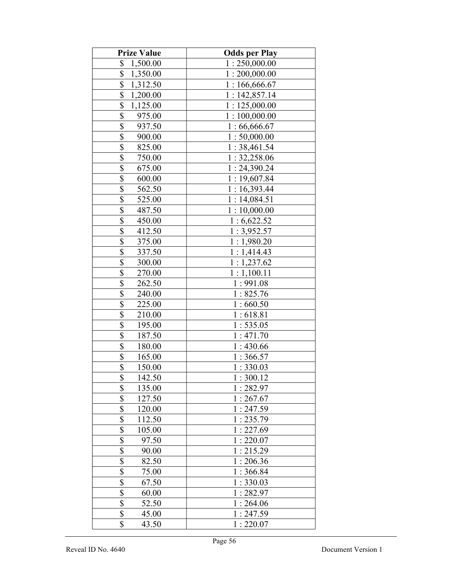| <b>Prize Value</b>                  | <b>Odds per Play</b> |
|-------------------------------------|----------------------|
| \$<br>1,500.00                      | 1:250,000.00         |
| \$<br>1,350.00                      | 1:200,000.00         |
| \$<br>1,312.50                      | 1:166,666.67         |
| \$<br>1,200.00                      | 1:142,857.14         |
| \$<br>1,125.00                      | 1:125,000.00         |
| \$<br>975.00                        | 1:100,000.00         |
| \$<br>937.50                        | 1:66,666.67          |
| \$<br>900.00                        | 1:50,000.00          |
| \$<br>825.00                        | 1:38,461.54          |
| $\boldsymbol{\mathsf{S}}$<br>750.00 | 1:32,258.06          |
| $\overline{\$}$<br>675.00           | 1:24,390.24          |
| \$<br>600.00                        | 1:19,607.84          |
| $\overline{\$}$<br>562.50           | 1:16,393.44          |
| \$<br>525.00                        | 1:14,084.51          |
| $\overline{\$}$<br>487.50           | 1:10,000.00          |
| \$<br>450.00                        | 1:6,622.52           |
| \$<br>412.50                        | 1:3,952.57           |
| \$<br>375.00                        | 1:1,980.20           |
| \$<br>337.50                        | 1:1,414.43           |
| \$<br>300.00                        | 1:1,237.62           |
| \$<br>270.00                        | 1:1,100.11           |
| \$<br>262.50                        | 1:991.08             |
| $\boldsymbol{\mathsf{S}}$<br>240.00 | 1:825.76             |
| $\overline{\$}$<br>225.00           | 1:660.50             |
| $\overline{\$}$<br>210.00           | 1:618.81             |
| $\overline{\$}$<br>195.00           | 1:535.05             |
| \$<br>187.50                        | 1:471.70             |
| $\overline{\mathcal{S}}$<br>180.00  | 1:430.66             |
| \$<br>165.00                        | 1:366.57             |
| $\overline{\$}$<br>150.00           | 1:330.03             |
| \$<br>142.50                        | 1:300.12             |
| \$<br>135.00                        | 1:282.97             |
| \$<br>127.50                        | 1:267.67             |
| \$<br>120.00                        | 1:247.59             |
| \$<br>112.50                        | 1:235.79             |
| \$<br>105.00                        | 1:227.69             |
| \$<br>97.50                         | 1:220.07             |
| \$<br>90.00                         | 1:215.29             |
| \$<br>82.50                         | 1:206.36             |
| \$<br>75.00                         | 1:366.84             |
| \$<br>67.50                         | 1:330.03             |
| $\overline{\$}$<br>60.00            | 1:282.97             |
| $\overline{\mathbb{S}}$<br>52.50    | 1:264.06             |
| \$<br>45.00                         | 1:247.59             |
| \$<br>43.50                         | 1:220.07             |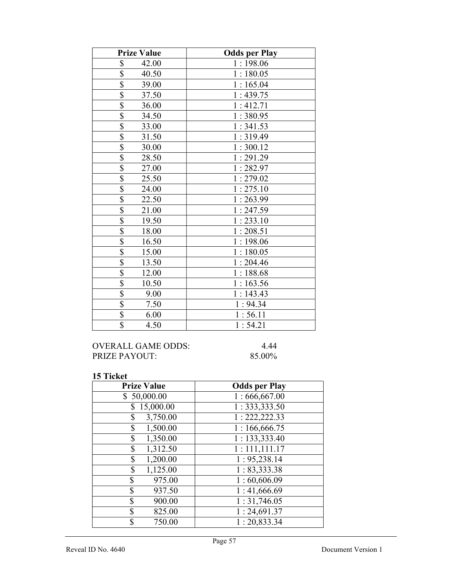| <b>Prize Value</b>                | <b>Odds per Play</b> |
|-----------------------------------|----------------------|
| \$<br>42.00                       | 1:198.06             |
| $\overline{\mathbb{S}}$<br>40.50  | 1:180.05             |
| $\overline{\$}$<br>39.00          | 1:165.04             |
| \$<br>37.50                       | 1:439.75             |
| \$<br>36.00                       | 1:412.71             |
| $\overline{\mathbb{S}}$<br>34.50  | 1:380.95             |
| $\overline{\mathbb{S}}$<br>33.00  | 1:341.53             |
| \$<br>31.50                       | 1:319.49             |
| 30.00                             | 1:300.12             |
| $\frac{1}{3}$<br>28.50            | 1:291.29             |
| $\overline{\$}$<br>27.00          | 1:282.97             |
| $\overline{\$}$<br>25.50          | 1:279.02             |
| $\overline{\mathbb{S}}$<br>24.00  | 1:275.10             |
| $\overline{\mathbb{S}}$<br>22.50  | 1:263.99             |
| $\overline{\$}$<br>21.00          | 1:247.59             |
| $\overline{\$}$<br>19.50          | 1:233.10             |
| $\overline{\mathcal{S}}$<br>18.00 | 1:208.51             |
| $\overline{\$}$<br>16.50          | 1:198.06             |
| $\overline{\$}$<br>15.00          | 1:180.05             |
| $\overline{\$}$<br>13.50          | 1:204.46             |
| $\overline{\$}$<br>12.00          | 1:188.68             |
| $\overline{\$}$<br>10.50          | 1:163.56             |
| $\overline{\$}$<br>9.00           | 1:143.43             |
| $\overline{\$}$<br>7.50           | 1:94.34              |
| $\overline{\$}$<br>6.00           | 1:56.11              |
| $\overline{\$}$<br>4.50           | 1:54.21              |

## OVERALL GAME ODDS: 4.44<br>PRIZE PAYOUT: 85.00% PRIZE PAYOUT:

| <b>Prize Value</b> | <b>Odds per Play</b>       |
|--------------------|----------------------------|
| \$50,000.00        | 1:666,667.00               |
| \$15,000.00        | 1: 333, 333.50             |
| 3,750.00<br>\$     | 1: 222, 222.33             |
| 1,500.00<br>\$     | 1:166,666.75               |
| \$<br>1,350.00     | 1: 133,333.40              |
| \$<br>1,312.50     | $\overline{1:}$ 111,111.17 |
| 1,200.00<br>\$     | 1: 95,238.14               |
| \$<br>1,125.00     | 1: 83,333.38               |
| \$<br>975.00       | 1:60,606.09                |
| \$<br>937.50       | 1:41,666.69                |
| \$<br>900.00       | 1:31,746.05                |
| \$<br>825.00       | 1:24,691.37                |
| \$<br>750.00       | 1: 20,833.34               |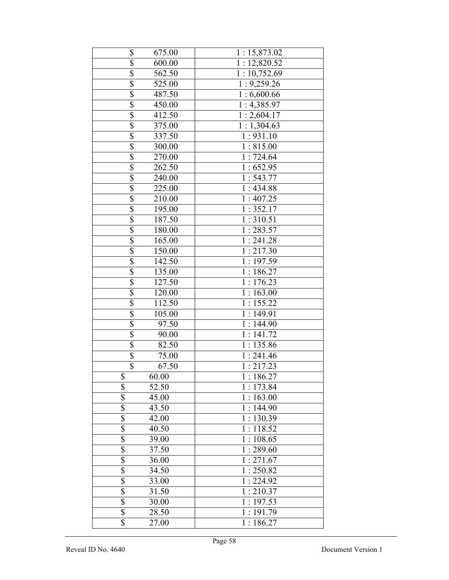| \$                      | 675.00               | 1:15,873.02             |
|-------------------------|----------------------|-------------------------|
| $\overline{\$}$         | 600.00               | 1:12,820.52             |
| $\overline{\$}$         | 562.50               | 1:10,752.69             |
| $\overline{\$}$         | 525.00               | 1:9,259.26              |
| $\overline{\$}$         | 487.50               | 1:6,600.66              |
| $\overline{\$}$         | 450.00               | 1:4,385.97              |
| $\overline{\$}$         | 412.50               | $1:2,604.\overline{17}$ |
| $\overline{\$}$         | 375.00               | 1:1,304.63              |
| $\overline{\$}$         | 337.50               | $1:931.\overline{10}$   |
| $\overline{\$}$         | 300.00               | 1:815.00                |
| $\overline{\$}$         | 270.00               | 1:724.64                |
| $\overline{\$}$         | 262.50               | 1:652.95                |
| $\overline{\$}$         | 240.00               | 1:543.77                |
| $\overline{\$}$         | 225.00               | 1:434.88                |
| $\overline{\$}$         | 210.00               | 1:407.25                |
| $\overline{\$}$         | 195.00               | 1:352.17                |
| \$                      | 187.50               | 1:310.51                |
| $\overline{\$}$         | 180.00               | 1:283.57                |
| $\overline{\$}$         | $\overline{1}$ 65.00 | 1:241.28                |
| \$                      | 150.00               | 1:217.30                |
| \$                      | 142.50               | 1:197.59                |
| \$                      | 135.00               | 1:186.27                |
| $\overline{\$}$         | 127.50               | 1:176.23                |
| $\overline{\$}$         | 120.00               | 1:163.00                |
| $\overline{\$}$         | 112.50               | $1:155.\overline{22}$   |
| $\overline{\mathbb{S}}$ | 105.00               | 1:149.91                |
| $\overline{\mathbb{S}}$ | 97.50                | 1:144.90                |
| $\overline{\$}$         | 90.00                | 1:141.72                |
| $\overline{\$}$         | 82.50                | 1:135.86                |
| \$                      | 75.00                | 1:241.46                |
| $\overline{\$}$         | 67.50                | 1:217.23                |
| \$                      | 60.00                | 1:186.27                |
| $\overline{\mathbb{S}}$ | 52.50                | 1:173.84                |
| \$                      | 45.00                | 1:163.00                |
| \$                      | 43.50                | 1:144.90                |
| $\overline{\$}$         | 42.00                | 1:130.39                |
| $\overline{\$}$         | 40.50                | 1:118.52                |
| \$                      | 39.00                | 1:108.65                |
| \$                      | 37.50                | 1:289.60                |
| $\overline{\$}$         | 36.00                | 1:271.67                |
| $\overline{\mathbb{S}}$ | 34.50                | 1:250.82                |
| \$                      | 33.00                | 1:224.92                |
| \$                      | 31.50                | 1:210.37                |
| \$                      | 30.00                | 1:197.53                |
| $\overline{\$}$         | 28.50                | 1:191.79                |
| $\overline{\$}$         | 27.00                | 1:186.27                |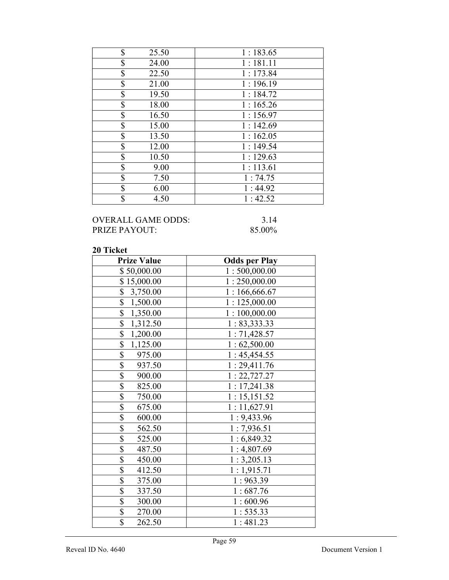| \$<br>25.50 | 1:183.65 |
|-------------|----------|
| \$<br>24.00 | 1:181.11 |
| \$<br>22.50 | 1:173.84 |
| \$<br>21.00 | 1:196.19 |
| \$<br>19.50 | 1:184.72 |
| \$<br>18.00 | 1:165.26 |
| \$<br>16.50 | 1:156.97 |
| \$<br>15.00 | 1:142.69 |
| \$<br>13.50 | 1:162.05 |
| \$<br>12.00 | 1:149.54 |
| \$<br>10.50 | 1:129.63 |
| \$<br>9.00  | 1:113.61 |
| \$<br>7.50  | 1:74.75  |
| \$<br>6.00  | 1:44.92  |
| \$<br>4.50  | 1:42.52  |

## OVERALL GAME ODDS: 3.14<br>PRIZE PAYOUT: 85.00% PRIZE PAYOUT:

| <b>Prize Value</b>                  | <b>Odds per Play</b> |
|-------------------------------------|----------------------|
| \$50,000.00                         | 1:500,000.00         |
| \$15,000.00                         | 1:250,000.00         |
| \$<br>3,750.00                      | 1:166,666.67         |
| $\overline{\mathbb{S}}$<br>1,500.00 | 1:125,000.00         |
| \$<br>1,350.00                      | 1:100,000.00         |
| \$<br>1,312.50                      | 1: 83,333.33         |
| \$<br>1,200.00                      | 1:71,428.57          |
| $\overline{\mathbb{S}}$<br>1,125.00 | 1:62,500.00          |
| $\overline{\$}$<br>975.00           | 1:45,454.55          |
| $\overline{\$}$<br>937.50           | 1:29,411.76          |
| $\overline{\mathbb{S}}$<br>900.00   | 1: 22,727.27         |
| $\overline{\$}$<br>825.00           | 1:17,241.38          |
| $\overline{\mathbb{S}}$<br>750.00   | 1:15,151.52          |
| $\overline{\$}$<br>675.00           | 1:11,627.91          |
| \$<br>600.00                        | 1:9,433.96           |
| $\overline{\mathcal{S}}$<br>562.50  | 1:7,936.51           |
| $\overline{\$}$<br>525.00           | 1:6,849.32           |
| $\overline{\$}$<br>487.50           | 1:4,807.69           |
| $\overline{\mathbb{S}}$<br>450.00   | 1:3,205.13           |
| $\overline{\$}$<br>412.50           | 1:1,915.71           |
| \$<br>375.00                        | 1:963.39             |
| \$<br>337.50                        | 1:687.76             |
| $\overline{\$}$<br>300.00           | 1:600.96             |
| \$<br>270.00                        | 1:535.33             |
| $\overline{\$}$<br>262.50           | 1:481.23             |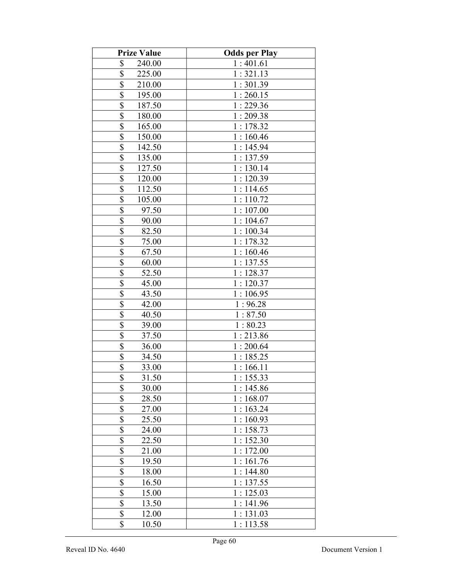| <b>Prize Value</b>                | <b>Odds per Play</b> |
|-----------------------------------|----------------------|
| \$<br>240.00                      | 1:401.61             |
| \$<br>225.00                      | 1:321.13             |
| \$<br>210.00                      | 1:301.39             |
| \$<br>195.00                      | 1:260.15             |
| \$<br>187.50                      | 1:229.36             |
| \$<br>180.00                      | 1:209.38             |
| \$<br>165.00                      | 1:178.32             |
| \$<br>150.00                      | 1:160.46             |
| \$<br>142.50                      | 1:145.94             |
| \$<br>135.00                      | 1:137.59             |
| $\overline{\$}$<br>127.50         | 1:130.14             |
| $\overline{\mathbb{S}}$<br>120.00 | 1:120.39             |
| $\overline{\$}$<br>112.50         | 1:114.65             |
| \$<br>105.00                      | 1:110.72             |
| $\overline{\mathbb{S}}$<br>97.50  | 1:107.00             |
| $\overline{\$}$<br>90.00          | 1:104.67             |
| $\overline{\$}$<br>82.50          | 1:100.34             |
| $\overline{\mathbb{S}}$<br>75.00  | 1:178.32             |
| \$<br>67.50                       | 1:160.46             |
| $\overline{\mathbb{S}}$<br>60.00  | 1:137.55             |
| \$<br>52.50                       | 1:128.37             |
| \$<br>45.00                       | 1:120.37             |
| $\overline{\mathcal{S}}$<br>43.50 | 1:106.95             |
| \$<br>42.00                       | 1:96.28              |
| $\overline{\mathbb{S}}$<br>40.50  | 1:87.50              |
| $\overline{\mathbb{S}}$<br>39.00  | 1:80.23              |
| $\overline{\mathbb{S}}$<br>37.50  | 1:213.86             |
| $rac{1}{3}$<br>36.00              | 1:200.64             |
| 34.50                             | 1:185.25             |
| $\overline{\$}$<br>33.00          | 1:166.11             |
| \$<br>31.50                       | 1:155.33             |
| \$<br>30.00                       | 1:145.86             |
| $\overline{\mathbb{S}}$<br>28.50  | 1:168.07             |
| \$<br>27.00                       | 1:163.24             |
| \$<br>25.50                       | 1:160.93             |
| \$<br>24.00                       | 1:158.73             |
| \$<br>22.50                       | 1:152.30             |
| \$<br>21.00                       | 1:172.00             |
| \$<br>19.50                       | 1:161.76             |
| \$<br>18.00                       | 1:144.80             |
| \$<br>16.50                       | 1:137.55             |
| $\overline{\$}$<br>15.00          | 1:125.03             |
| \$<br>13.50                       | 1:141.96             |
| $\sqrt{\frac{2}{n}}$<br>12.00     | 1:131.03             |
| \$<br>10.50                       | 1:113.58             |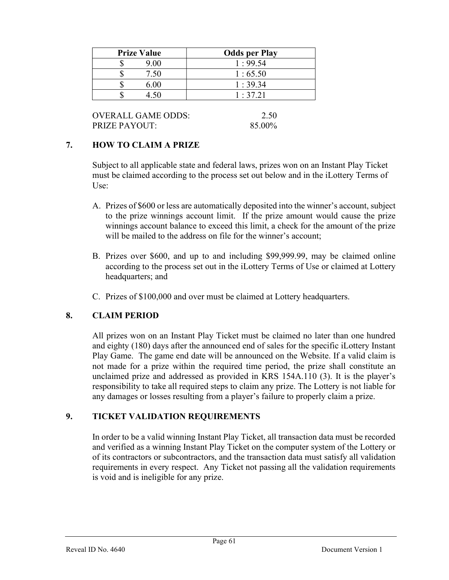| <b>Prize Value</b> | <b>Odds per Play</b> |
|--------------------|----------------------|
| 9.00               | 1:99.54              |
| 7.50               | 1:65.50              |
| 6.00               | 1:39.34              |
|                    | 1:37.21              |

OVERALL GAME ODDS: 2.50 PRIZE PAYOUT: 85.00%

## 7. HOW TO CLAIM A PRIZE

Subject to all applicable state and federal laws, prizes won on an Instant Play Ticket must be claimed according to the process set out below and in the iLottery Terms of Use:

- A. Prizes of \$600 or less are automatically deposited into the winner's account, subject to the prize winnings account limit. If the prize amount would cause the prize winnings account balance to exceed this limit, a check for the amount of the prize will be mailed to the address on file for the winner's account;
- B. Prizes over \$600, and up to and including \$99,999.99, may be claimed online according to the process set out in the iLottery Terms of Use or claimed at Lottery headquarters; and
- C. Prizes of \$100,000 and over must be claimed at Lottery headquarters.

# 8. CLAIM PERIOD

 All prizes won on an Instant Play Ticket must be claimed no later than one hundred and eighty (180) days after the announced end of sales for the specific iLottery Instant Play Game. The game end date will be announced on the Website. If a valid claim is not made for a prize within the required time period, the prize shall constitute an unclaimed prize and addressed as provided in KRS 154A.110 (3). It is the player's responsibility to take all required steps to claim any prize. The Lottery is not liable for any damages or losses resulting from a player's failure to properly claim a prize.

## 9. TICKET VALIDATION REQUIREMENTS

In order to be a valid winning Instant Play Ticket, all transaction data must be recorded and verified as a winning Instant Play Ticket on the computer system of the Lottery or of its contractors or subcontractors, and the transaction data must satisfy all validation requirements in every respect. Any Ticket not passing all the validation requirements is void and is ineligible for any prize.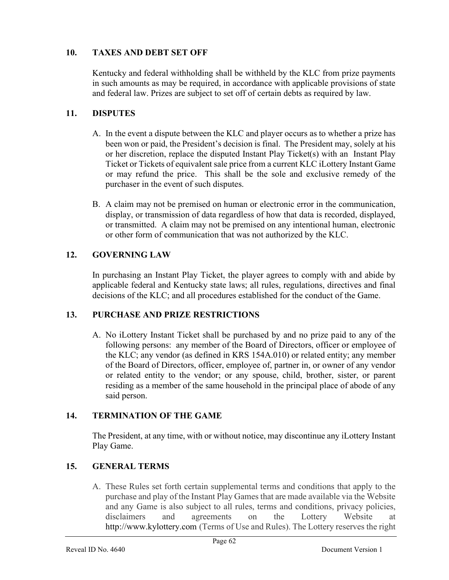## 10. TAXES AND DEBT SET OFF

 Kentucky and federal withholding shall be withheld by the KLC from prize payments in such amounts as may be required, in accordance with applicable provisions of state and federal law. Prizes are subject to set off of certain debts as required by law.

## 11. DISPUTES

- A. In the event a dispute between the KLC and player occurs as to whether a prize has been won or paid, the President's decision is final. The President may, solely at his or her discretion, replace the disputed Instant Play Ticket(s) with an Instant Play Ticket or Tickets of equivalent sale price from a current KLC iLottery Instant Game or may refund the price. This shall be the sole and exclusive remedy of the purchaser in the event of such disputes.
- B. A claim may not be premised on human or electronic error in the communication, display, or transmission of data regardless of how that data is recorded, displayed, or transmitted. A claim may not be premised on any intentional human, electronic or other form of communication that was not authorized by the KLC.

## 12. GOVERNING LAW

 In purchasing an Instant Play Ticket, the player agrees to comply with and abide by applicable federal and Kentucky state laws; all rules, regulations, directives and final decisions of the KLC; and all procedures established for the conduct of the Game.

## 13. PURCHASE AND PRIZE RESTRICTIONS

A. No iLottery Instant Ticket shall be purchased by and no prize paid to any of the following persons: any member of the Board of Directors, officer or employee of the KLC; any vendor (as defined in KRS 154A.010) or related entity; any member of the Board of Directors, officer, employee of, partner in, or owner of any vendor or related entity to the vendor; or any spouse, child, brother, sister, or parent residing as a member of the same household in the principal place of abode of any said person.

## 14. TERMINATION OF THE GAME

The President, at any time, with or without notice, may discontinue any iLottery Instant Play Game.

## 15. GENERAL TERMS

A. These Rules set forth certain supplemental terms and conditions that apply to the purchase and play of the Instant Play Games that are made available via the Website and any Game is also subject to all rules, terms and conditions, privacy policies, disclaimers and agreements on the Lottery Website at http://www.kylottery.com (Terms of Use and Rules). The Lottery reserves the right